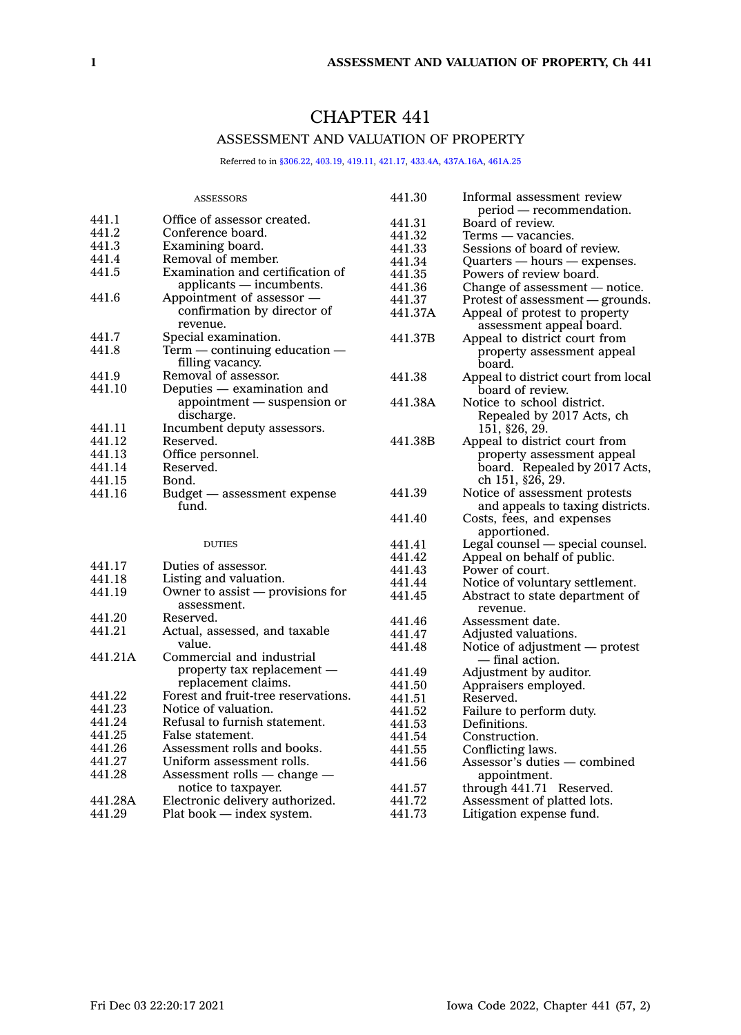# CHAPTER 441

# ASSESSMENT AND VALUATION OF PROPERTY

Referred to in [§306.22](https://www.legis.iowa.gov/docs/code/306.22.pdf), [403.19](https://www.legis.iowa.gov/docs/code/403.19.pdf), [419.11](https://www.legis.iowa.gov/docs/code/419.11.pdf), [421.17](https://www.legis.iowa.gov/docs/code/421.17.pdf), [433.4A](https://www.legis.iowa.gov/docs/code/433.4A.pdf), [437A.16A,](https://www.legis.iowa.gov/docs/code/437A.16A.pdf) [461A.25](https://www.legis.iowa.gov/docs/code/461A.25.pdf)

|         | <b>ASSESSORS</b>                    | 441.30  | Informal assessment review          |
|---------|-------------------------------------|---------|-------------------------------------|
|         |                                     |         | period — recommendation.            |
| 441.1   | Office of assessor created.         | 441.31  | Board of review.                    |
| 441.2   | Conference board.                   | 441.32  | Terms — vacancies.                  |
| 441.3   | Examining board.                    | 441.33  | Sessions of board of review.        |
| 441.4   | Removal of member.                  | 441.34  | $Quarters - hours - expenses.$      |
| 441.5   | Examination and certification of    | 441.35  | Powers of review board.             |
|         | applicants — incumbents.            | 441.36  | Change of assessment $-$ notice.    |
| 441.6   | Appointment of assessor —           | 441.37  | Protest of assessment - grounds.    |
|         | confirmation by director of         | 441.37A | Appeal of protest to property       |
|         | revenue.                            |         | assessment appeal board.            |
| 441.7   | Special examination.                | 441.37B | Appeal to district court from       |
| 441.8   | $Term$ — continuing education —     |         | property assessment appeal          |
|         | filling vacancy.                    |         | board.                              |
| 441.9   | Removal of assessor.                | 441.38  | Appeal to district court from local |
| 441.10  | Deputies — examination and          |         | board of review.                    |
|         | appointment — suspension or         | 441.38A | Notice to school district.          |
|         | discharge.                          |         | Repealed by 2017 Acts, ch           |
| 441.11  | Incumbent deputy assessors.         |         | 151, §26, 29.                       |
| 441.12  | Reserved.                           | 441.38B | Appeal to district court from       |
| 441.13  | Office personnel.                   |         | property assessment appeal          |
| 441.14  | Reserved.                           |         | board. Repealed by 2017 Acts.       |
| 441.15  | Bond.                               |         | ch 151, §26, 29.                    |
| 441.16  | Budget — assessment expense         | 441.39  | Notice of assessment protests       |
|         | fund.                               |         | and appeals to taxing districts.    |
|         |                                     | 441.40  | Costs, fees, and expenses           |
|         |                                     |         | apportioned.                        |
|         | <b>DUTIES</b>                       | 441.41  | Legal counsel - special counsel.    |
|         |                                     | 441.42  | Appeal on behalf of public.         |
| 441.17  | Duties of assessor.                 | 441.43  | Power of court.                     |
| 441.18  | Listing and valuation.              | 441.44  | Notice of voluntary settlement.     |
| 441.19  | Owner to assist — provisions for    | 441.45  | Abstract to state department of     |
|         | assessment.                         |         | revenue.                            |
| 441.20  | Reserved.                           | 441.46  | Assessment date.                    |
| 441.21  | Actual, assessed, and taxable       | 441.47  | Adjusted valuations.                |
|         | value.                              | 441.48  | Notice of adjustment — protest      |
| 441.21A | Commercial and industrial           |         | — final action.                     |
|         | property tax replacement —          | 441.49  | Adjustment by auditor.              |
|         | replacement claims.                 | 441.50  | Appraisers employed.                |
| 441.22  | Forest and fruit-tree reservations. | 441.51  | Reserved.                           |
| 441.23  | Notice of valuation.                | 441.52  | Failure to perform duty.            |
| 441.24  | Refusal to furnish statement.       | 441.53  | Definitions.                        |
| 441.25  | False statement.                    | 441.54  | Construction.                       |
| 441.26  | Assessment rolls and books.         | 441.55  | Conflicting laws.                   |
| 441.27  | Uniform assessment rolls.           | 441.56  | Assessor's duties — combined        |
| 441.28  | Assessment rolls $-$ change $-$     |         | appointment.                        |
|         | notice to taxpayer.                 | 441.57  | through 441.71 Reserved.            |
| 441.28A | Electronic delivery authorized.     | 441.72  | Assessment of platted lots.         |
| 441.29  | Plat book - index system.           | 441.73  | Litigation expense fund.            |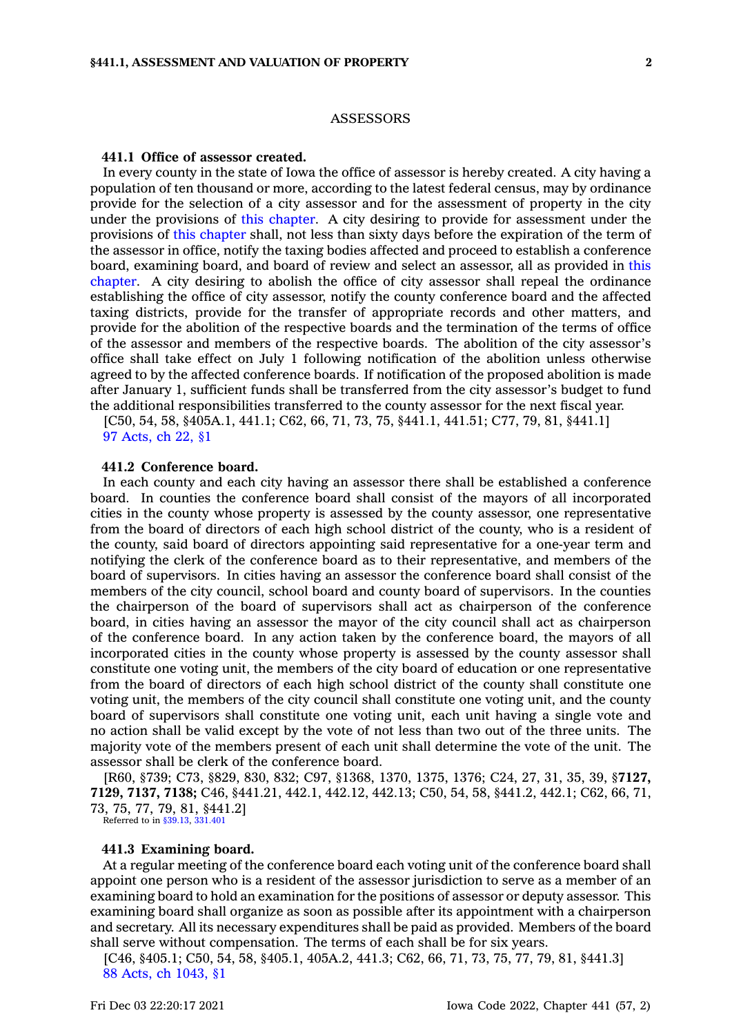### **ASSESSORS**

### **441.1 Office of assessor created.**

In every county in the state of Iowa the office of assessor is hereby created. A city having <sup>a</sup> population of ten thousand or more, according to the latest federal census, may by ordinance provide for the selection of <sup>a</sup> city assessor and for the assessment of property in the city under the provisions of this [chapter](https://www.legis.iowa.gov/docs/code//441.pdf). A city desiring to provide for assessment under the provisions of this [chapter](https://www.legis.iowa.gov/docs/code//441.pdf) shall, not less than sixty days before the expiration of the term of the assessor in office, notify the taxing bodies affected and proceed to establish <sup>a</sup> conference board, examining board, and board of review and select an assessor, all as provided in [this](https://www.legis.iowa.gov/docs/code//441.pdf) [chapter](https://www.legis.iowa.gov/docs/code//441.pdf). A city desiring to abolish the office of city assessor shall repeal the ordinance establishing the office of city assessor, notify the county conference board and the affected taxing districts, provide for the transfer of appropriate records and other matters, and provide for the abolition of the respective boards and the termination of the terms of office of the assessor and members of the respective boards. The abolition of the city assessor's office shall take effect on July 1 following notification of the abolition unless otherwise agreed to by the affected conference boards. If notification of the proposed abolition is made after January 1, sufficient funds shall be transferred from the city assessor's budget to fund the additional responsibilities transferred to the county assessor for the next fiscal year.

[C50, 54, 58, §405A.1, 441.1; C62, 66, 71, 73, 75, §441.1, 441.51; C77, 79, 81, §441.1] 97 [Acts,](https://www.legis.iowa.gov/docs/acts/1997/CH0022.pdf) ch 22, §1

### **441.2 Conference board.**

In each county and each city having an assessor there shall be established <sup>a</sup> conference board. In counties the conference board shall consist of the mayors of all incorporated cities in the county whose property is assessed by the county assessor, one representative from the board of directors of each high school district of the county, who is <sup>a</sup> resident of the county, said board of directors appointing said representative for <sup>a</sup> one-year term and notifying the clerk of the conference board as to their representative, and members of the board of supervisors. In cities having an assessor the conference board shall consist of the members of the city council, school board and county board of supervisors. In the counties the chairperson of the board of supervisors shall act as chairperson of the conference board, in cities having an assessor the mayor of the city council shall act as chairperson of the conference board. In any action taken by the conference board, the mayors of all incorporated cities in the county whose property is assessed by the county assessor shall constitute one voting unit, the members of the city board of education or one representative from the board of directors of each high school district of the county shall constitute one voting unit, the members of the city council shall constitute one voting unit, and the county board of supervisors shall constitute one voting unit, each unit having <sup>a</sup> single vote and no action shall be valid except by the vote of not less than two out of the three units. The majority vote of the members present of each unit shall determine the vote of the unit. The assessor shall be clerk of the conference board.

[R60, §739; C73, §829, 830, 832; C97, §1368, 1370, 1375, 1376; C24, 27, 31, 35, 39, §**7127, 7129, 7137, 7138;** C46, §441.21, 442.1, 442.12, 442.13; C50, 54, 58, §441.2, 442.1; C62, 66, 71, 73, 75, 77, 79, 81, §441.2]

Referred to in [§39.13](https://www.legis.iowa.gov/docs/code/39.13.pdf), [331.401](https://www.legis.iowa.gov/docs/code/331.401.pdf)

# **441.3 Examining board.**

At <sup>a</sup> regular meeting of the conference board each voting unit of the conference board shall appoint one person who is <sup>a</sup> resident of the assessor jurisdiction to serve as <sup>a</sup> member of an examining board to hold an examination for the positions of assessor or deputy assessor. This examining board shall organize as soon as possible after its appointment with <sup>a</sup> chairperson and secretary. All its necessary expenditures shall be paid as provided. Members of the board shall serve without compensation. The terms of each shall be for six years.

[C46, §405.1; C50, 54, 58, §405.1, 405A.2, 441.3; C62, 66, 71, 73, 75, 77, 79, 81, §441.3] 88 Acts, ch [1043,](https://www.legis.iowa.gov/docs/acts/1988/CH1043.pdf) §1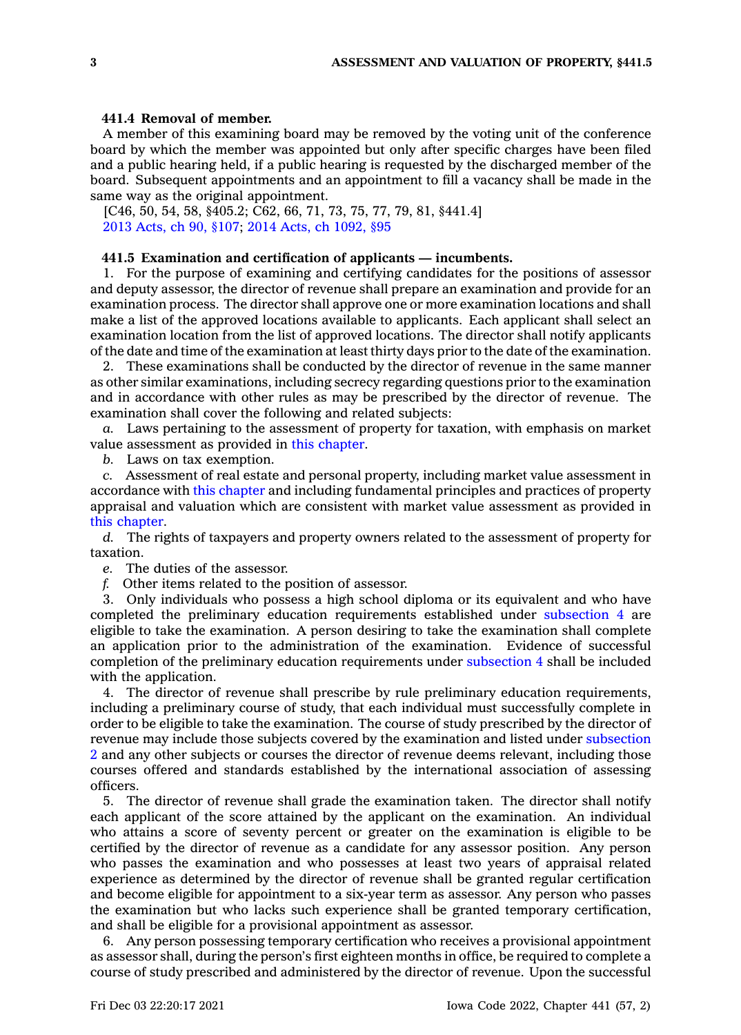### **441.4 Removal of member.**

A member of this examining board may be removed by the voting unit of the conference board by which the member was appointed but only after specific charges have been filed and <sup>a</sup> public hearing held, if <sup>a</sup> public hearing is requested by the discharged member of the board. Subsequent appointments and an appointment to fill <sup>a</sup> vacancy shall be made in the same way as the original appointment.

[C46, 50, 54, 58, §405.2; C62, 66, 71, 73, 75, 77, 79, 81, §441.4] 2013 [Acts,](https://www.legis.iowa.gov/docs/acts/2013/CH0090.pdf) ch 90, §107; 2014 Acts, ch [1092,](https://www.legis.iowa.gov/docs/acts/2014/CH1092.pdf) §95

### **441.5 Examination and certification of applicants — incumbents.**

1. For the purpose of examining and certifying candidates for the positions of assessor and deputy assessor, the director of revenue shall prepare an examination and provide for an examination process. The director shall approve one or more examination locations and shall make <sup>a</sup> list of the approved locations available to applicants. Each applicant shall select an examination location from the list of approved locations. The director shall notify applicants of the date and time of the examination at least thirty days prior to the date of the examination.

2. These examinations shall be conducted by the director of revenue in the same manner as other similar examinations, including secrecy regarding questions prior to the examination and in accordance with other rules as may be prescribed by the director of revenue. The examination shall cover the following and related subjects:

*a.* Laws pertaining to the assessment of property for taxation, with emphasis on market value assessment as provided in this [chapter](https://www.legis.iowa.gov/docs/code//441.pdf).

*b.* Laws on tax exemption.

*c.* Assessment of real estate and personal property, including market value assessment in accordance with this [chapter](https://www.legis.iowa.gov/docs/code//441.pdf) and including fundamental principles and practices of property appraisal and valuation which are consistent with market value assessment as provided in this [chapter](https://www.legis.iowa.gov/docs/code//441.pdf).

*d.* The rights of taxpayers and property owners related to the assessment of property for taxation.

*e.* The duties of the assessor.

*f.* Other items related to the position of assessor.

3. Only individuals who possess <sup>a</sup> high school diploma or its equivalent and who have completed the preliminary education requirements established under [subsection](https://www.legis.iowa.gov/docs/code/441.5.pdf) 4 are eligible to take the examination. A person desiring to take the examination shall complete an application prior to the administration of the examination. Evidence of successful completion of the preliminary education requirements under [subsection](https://www.legis.iowa.gov/docs/code/441.5.pdf) 4 shall be included with the application.

4. The director of revenue shall prescribe by rule preliminary education requirements, including <sup>a</sup> preliminary course of study, that each individual must successfully complete in order to be eligible to take the examination. The course of study prescribed by the director of revenue may include those subjects covered by the examination and listed under [subsection](https://www.legis.iowa.gov/docs/code/441.5.pdf) [2](https://www.legis.iowa.gov/docs/code/441.5.pdf) and any other subjects or courses the director of revenue deems relevant, including those courses offered and standards established by the international association of assessing officers.

5. The director of revenue shall grade the examination taken. The director shall notify each applicant of the score attained by the applicant on the examination. An individual who attains <sup>a</sup> score of seventy percent or greater on the examination is eligible to be certified by the director of revenue as <sup>a</sup> candidate for any assessor position. Any person who passes the examination and who possesses at least two years of appraisal related experience as determined by the director of revenue shall be granted regular certification and become eligible for appointment to <sup>a</sup> six-year term as assessor. Any person who passes the examination but who lacks such experience shall be granted temporary certification, and shall be eligible for <sup>a</sup> provisional appointment as assessor.

6. Any person possessing temporary certification who receives <sup>a</sup> provisional appointment as assessor shall, during the person's first eighteen months in office, be required to complete <sup>a</sup> course of study prescribed and administered by the director of revenue. Upon the successful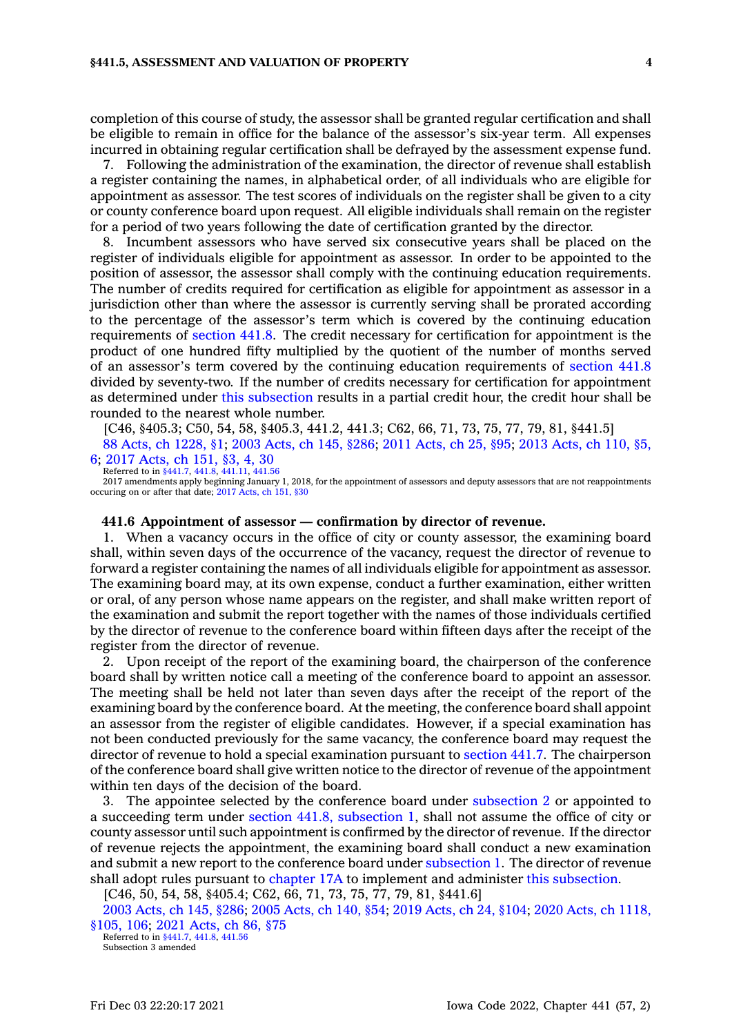completion of this course of study, the assessor shall be granted regular certification and shall be eligible to remain in office for the balance of the assessor's six-year term. All expenses incurred in obtaining regular certification shall be defrayed by the assessment expense fund.

7. Following the administration of the examination, the director of revenue shall establish <sup>a</sup> register containing the names, in alphabetical order, of all individuals who are eligible for appointment as assessor. The test scores of individuals on the register shall be given to <sup>a</sup> city or county conference board upon request. All eligible individuals shall remain on the register for <sup>a</sup> period of two years following the date of certification granted by the director.

8. Incumbent assessors who have served six consecutive years shall be placed on the register of individuals eligible for appointment as assessor. In order to be appointed to the position of assessor, the assessor shall comply with the continuing education requirements. The number of credits required for certification as eligible for appointment as assessor in <sup>a</sup> jurisdiction other than where the assessor is currently serving shall be prorated according to the percentage of the assessor's term which is covered by the continuing education requirements of [section](https://www.legis.iowa.gov/docs/code/441.8.pdf) 441.8. The credit necessary for certification for appointment is the product of one hundred fifty multiplied by the quotient of the number of months served of an assessor's term covered by the continuing education requirements of [section](https://www.legis.iowa.gov/docs/code/441.8.pdf) 441.8 divided by seventy-two. If the number of credits necessary for certification for appointment as determined under this [subsection](https://www.legis.iowa.gov/docs/code/441.5.pdf) results in <sup>a</sup> partial credit hour, the credit hour shall be rounded to the nearest whole number.

[C46, §405.3; C50, 54, 58, §405.3, 441.2, 441.3; C62, 66, 71, 73, 75, 77, 79, 81, §441.5]

88 Acts, ch [1228,](https://www.legis.iowa.gov/docs/acts/1988/CH1228.pdf) §1; 2003 [Acts,](https://www.legis.iowa.gov/docs/acts/2003/CH0145.pdf) ch 145, §286; 2011 [Acts,](https://www.legis.iowa.gov/docs/acts/2011/CH0025.pdf) ch 25, §95; 2013 [Acts,](https://www.legis.iowa.gov/docs/acts/2013/CH0110.pdf) ch 110, §5, [6](https://www.legis.iowa.gov/docs/acts/2013/CH0110.pdf); 2017 [Acts,](https://www.legis.iowa.gov/docs/acts/2017/CH0151.pdf) ch 151, §3, 4, 30

Referred to in [§441.7](https://www.legis.iowa.gov/docs/code/441.7.pdf), [441.8](https://www.legis.iowa.gov/docs/code/441.8.pdf), [441.11](https://www.legis.iowa.gov/docs/code/441.11.pdf), [441.56](https://www.legis.iowa.gov/docs/code/441.56.pdf) 2017 amendments apply beginning January 1, 2018, for the appointment of assessors and deputy assessors that are not reappointments occuring on or after that date; 2017 [Acts,](https://www.legis.iowa.gov/docs/acts/2017/CH0151.pdf) ch 151, §30

#### **441.6 Appointment of assessor — confirmation by director of revenue.**

1. When <sup>a</sup> vacancy occurs in the office of city or county assessor, the examining board shall, within seven days of the occurrence of the vacancy, request the director of revenue to forward <sup>a</sup> register containing the names of all individuals eligible for appointment as assessor. The examining board may, at its own expense, conduct <sup>a</sup> further examination, either written or oral, of any person whose name appears on the register, and shall make written report of the examination and submit the report together with the names of those individuals certified by the director of revenue to the conference board within fifteen days after the receipt of the register from the director of revenue.

2. Upon receipt of the report of the examining board, the chairperson of the conference board shall by written notice call <sup>a</sup> meeting of the conference board to appoint an assessor. The meeting shall be held not later than seven days after the receipt of the report of the examining board by the conference board. At the meeting, the conference board shall appoint an assessor from the register of eligible candidates. However, if <sup>a</sup> special examination has not been conducted previously for the same vacancy, the conference board may request the director of revenue to hold <sup>a</sup> special examination pursuant to [section](https://www.legis.iowa.gov/docs/code/441.7.pdf) 441.7. The chairperson of the conference board shall give written notice to the director of revenue of the appointment within ten days of the decision of the board.

3. The appointee selected by the conference board under [subsection](https://www.legis.iowa.gov/docs/code/441.6.pdf) 2 or appointed to <sup>a</sup> succeeding term under section 441.8, [subsection](https://www.legis.iowa.gov/docs/code/441.8.pdf) 1, shall not assume the office of city or county assessor until such appointment is confirmed by the director of revenue. If the director of revenue rejects the appointment, the examining board shall conduct <sup>a</sup> new examination and submit <sup>a</sup> new report to the conference board under [subsection](https://www.legis.iowa.gov/docs/code/441.6.pdf) 1. The director of revenue shall adopt rules pursuant to [chapter](https://www.legis.iowa.gov/docs/code//17A.pdf) 17A to implement and administer this [subsection](https://www.legis.iowa.gov/docs/code/441.6.pdf).

[C46, 50, 54, 58, §405.4; C62, 66, 71, 73, 75, 77, 79, 81, §441.6]

2003 [Acts,](https://www.legis.iowa.gov/docs/acts/2003/CH0145.pdf) ch 145, §286; 2005 [Acts,](https://www.legis.iowa.gov/docs/acts/2005/CH0140.pdf) ch 140, §54; 2019 [Acts,](https://www.legis.iowa.gov/docs/acts/2019/CH0024.pdf) ch 24, §104; 2020 Acts, ch [1118,](https://www.legis.iowa.gov/docs/acts/2020/CH1118.pdf) [§105,](https://www.legis.iowa.gov/docs/acts/2020/CH1118.pdf) 106; 2021 [Acts,](https://www.legis.iowa.gov/docs/acts/2021/CH0086.pdf) ch 86, §75

Referred to in [§441.7](https://www.legis.iowa.gov/docs/code/441.7.pdf), [441.8](https://www.legis.iowa.gov/docs/code/441.8.pdf), [441.56](https://www.legis.iowa.gov/docs/code/441.56.pdf) Subsection 3 amended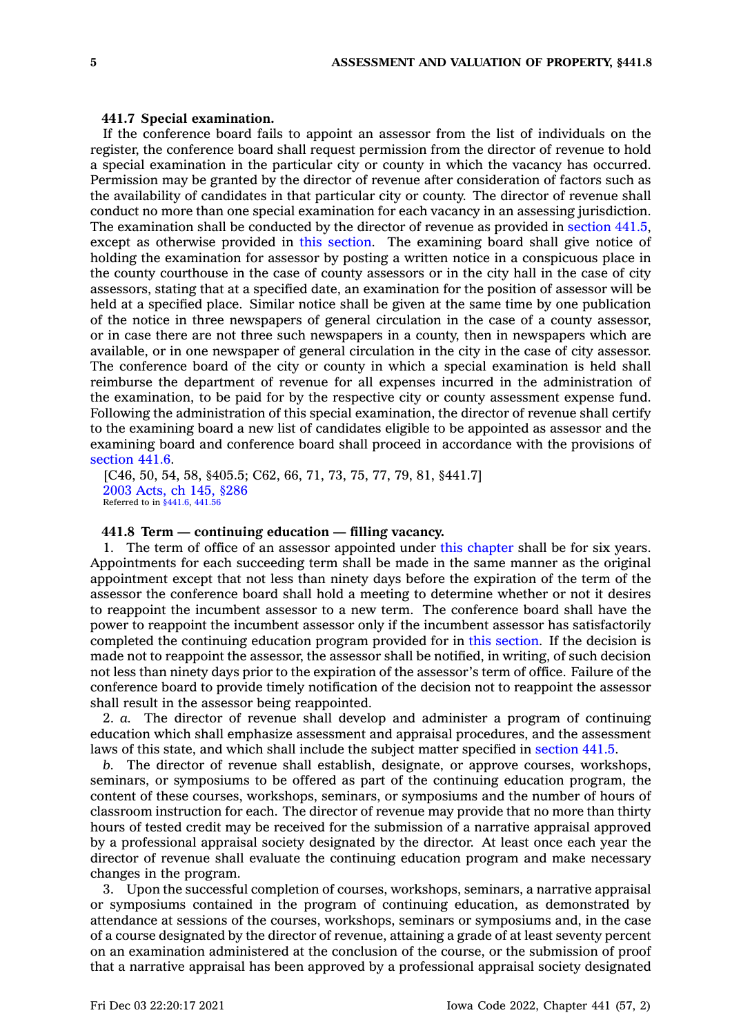#### **441.7 Special examination.**

If the conference board fails to appoint an assessor from the list of individuals on the register, the conference board shall request permission from the director of revenue to hold <sup>a</sup> special examination in the particular city or county in which the vacancy has occurred. Permission may be granted by the director of revenue after consideration of factors such as the availability of candidates in that particular city or county. The director of revenue shall conduct no more than one special examination for each vacancy in an assessing jurisdiction. The examination shall be conducted by the director of revenue as provided in [section](https://www.legis.iowa.gov/docs/code/441.5.pdf) 441.5, except as otherwise provided in this [section](https://www.legis.iowa.gov/docs/code/441.7.pdf). The examining board shall give notice of holding the examination for assessor by posting <sup>a</sup> written notice in <sup>a</sup> conspicuous place in the county courthouse in the case of county assessors or in the city hall in the case of city assessors, stating that at <sup>a</sup> specified date, an examination for the position of assessor will be held at <sup>a</sup> specified place. Similar notice shall be given at the same time by one publication of the notice in three newspapers of general circulation in the case of <sup>a</sup> county assessor, or in case there are not three such newspapers in <sup>a</sup> county, then in newspapers which are available, or in one newspaper of general circulation in the city in the case of city assessor. The conference board of the city or county in which <sup>a</sup> special examination is held shall reimburse the department of revenue for all expenses incurred in the administration of the examination, to be paid for by the respective city or county assessment expense fund. Following the administration of this special examination, the director of revenue shall certify to the examining board <sup>a</sup> new list of candidates eligible to be appointed as assessor and the examining board and conference board shall proceed in accordance with the provisions of [section](https://www.legis.iowa.gov/docs/code/441.6.pdf) 441.6.

[C46, 50, 54, 58, §405.5; C62, 66, 71, 73, 75, 77, 79, 81, §441.7] 2003 [Acts,](https://www.legis.iowa.gov/docs/acts/2003/CH0145.pdf) ch 145, §286 Referred to in [§441.6](https://www.legis.iowa.gov/docs/code/441.6.pdf), [441.56](https://www.legis.iowa.gov/docs/code/441.56.pdf)

### **441.8 Term — continuing education — filling vacancy.**

1. The term of office of an assessor appointed under this [chapter](https://www.legis.iowa.gov/docs/code//441.pdf) shall be for six years. Appointments for each succeeding term shall be made in the same manner as the original appointment except that not less than ninety days before the expiration of the term of the assessor the conference board shall hold <sup>a</sup> meeting to determine whether or not it desires to reappoint the incumbent assessor to <sup>a</sup> new term. The conference board shall have the power to reappoint the incumbent assessor only if the incumbent assessor has satisfactorily completed the continuing education program provided for in this [section](https://www.legis.iowa.gov/docs/code/441.8.pdf). If the decision is made not to reappoint the assessor, the assessor shall be notified, in writing, of such decision not less than ninety days prior to the expiration of the assessor's term of office. Failure of the conference board to provide timely notification of the decision not to reappoint the assessor shall result in the assessor being reappointed.

2. *a.* The director of revenue shall develop and administer <sup>a</sup> program of continuing education which shall emphasize assessment and appraisal procedures, and the assessment laws of this state, and which shall include the subject matter specified in [section](https://www.legis.iowa.gov/docs/code/441.5.pdf) 441.5.

*b.* The director of revenue shall establish, designate, or approve courses, workshops, seminars, or symposiums to be offered as part of the continuing education program, the content of these courses, workshops, seminars, or symposiums and the number of hours of classroom instruction for each. The director of revenue may provide that no more than thirty hours of tested credit may be received for the submission of <sup>a</sup> narrative appraisal approved by <sup>a</sup> professional appraisal society designated by the director. At least once each year the director of revenue shall evaluate the continuing education program and make necessary changes in the program.

3. Upon the successful completion of courses, workshops, seminars, <sup>a</sup> narrative appraisal or symposiums contained in the program of continuing education, as demonstrated by attendance at sessions of the courses, workshops, seminars or symposiums and, in the case of <sup>a</sup> course designated by the director of revenue, attaining <sup>a</sup> grade of at least seventy percent on an examination administered at the conclusion of the course, or the submission of proof that <sup>a</sup> narrative appraisal has been approved by <sup>a</sup> professional appraisal society designated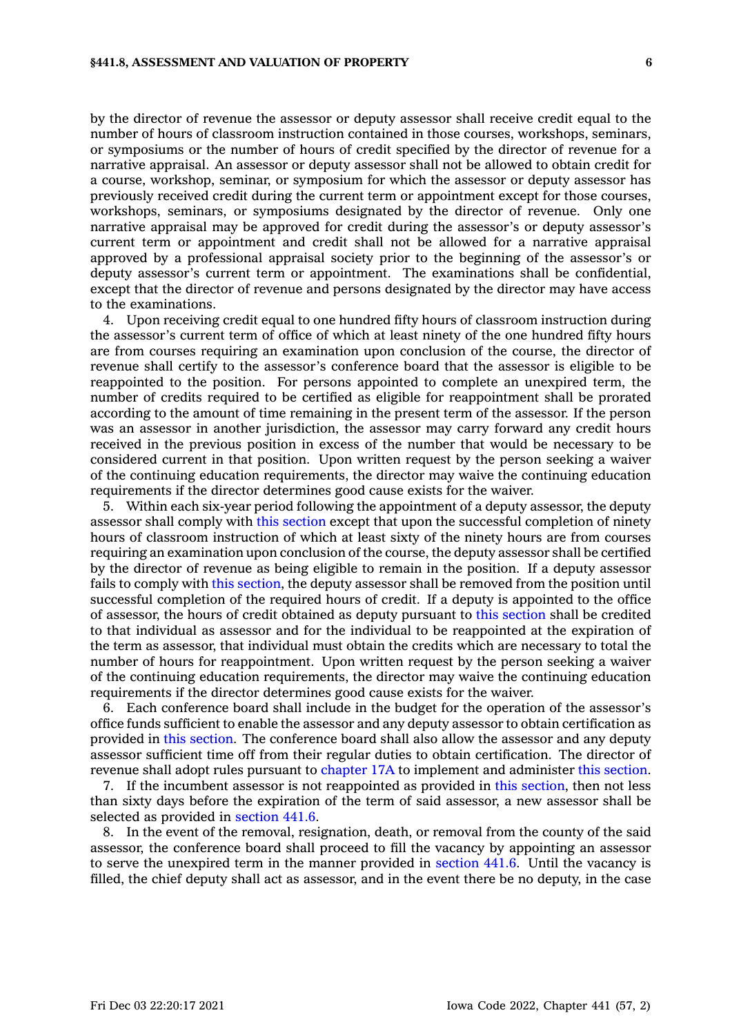by the director of revenue the assessor or deputy assessor shall receive credit equal to the number of hours of classroom instruction contained in those courses, workshops, seminars, or symposiums or the number of hours of credit specified by the director of revenue for <sup>a</sup> narrative appraisal. An assessor or deputy assessor shall not be allowed to obtain credit for <sup>a</sup> course, workshop, seminar, or symposium for which the assessor or deputy assessor has previously received credit during the current term or appointment except for those courses, workshops, seminars, or symposiums designated by the director of revenue. Only one narrative appraisal may be approved for credit during the assessor's or deputy assessor's current term or appointment and credit shall not be allowed for <sup>a</sup> narrative appraisal approved by <sup>a</sup> professional appraisal society prior to the beginning of the assessor's or deputy assessor's current term or appointment. The examinations shall be confidential, except that the director of revenue and persons designated by the director may have access to the examinations.

4. Upon receiving credit equal to one hundred fifty hours of classroom instruction during the assessor's current term of office of which at least ninety of the one hundred fifty hours are from courses requiring an examination upon conclusion of the course, the director of revenue shall certify to the assessor's conference board that the assessor is eligible to be reappointed to the position. For persons appointed to complete an unexpired term, the number of credits required to be certified as eligible for reappointment shall be prorated according to the amount of time remaining in the present term of the assessor. If the person was an assessor in another jurisdiction, the assessor may carry forward any credit hours received in the previous position in excess of the number that would be necessary to be considered current in that position. Upon written request by the person seeking <sup>a</sup> waiver of the continuing education requirements, the director may waive the continuing education requirements if the director determines good cause exists for the waiver.

5. Within each six-year period following the appointment of <sup>a</sup> deputy assessor, the deputy assessor shall comply with this [section](https://www.legis.iowa.gov/docs/code/441.8.pdf) except that upon the successful completion of ninety hours of classroom instruction of which at least sixty of the ninety hours are from courses requiring an examination upon conclusion of the course, the deputy assessor shall be certified by the director of revenue as being eligible to remain in the position. If <sup>a</sup> deputy assessor fails to comply with this [section](https://www.legis.iowa.gov/docs/code/441.8.pdf), the deputy assessor shall be removed from the position until successful completion of the required hours of credit. If <sup>a</sup> deputy is appointed to the office of assessor, the hours of credit obtained as deputy pursuant to this [section](https://www.legis.iowa.gov/docs/code/441.8.pdf) shall be credited to that individual as assessor and for the individual to be reappointed at the expiration of the term as assessor, that individual must obtain the credits which are necessary to total the number of hours for reappointment. Upon written request by the person seeking <sup>a</sup> waiver of the continuing education requirements, the director may waive the continuing education requirements if the director determines good cause exists for the waiver.

6. Each conference board shall include in the budget for the operation of the assessor's office funds sufficient to enable the assessor and any deputy assessor to obtain certification as provided in this [section](https://www.legis.iowa.gov/docs/code/441.8.pdf). The conference board shall also allow the assessor and any deputy assessor sufficient time off from their regular duties to obtain certification. The director of revenue shall adopt rules pursuant to [chapter](https://www.legis.iowa.gov/docs/code//17A.pdf) 17A to implement and administer this [section](https://www.legis.iowa.gov/docs/code/441.8.pdf).

7. If the incumbent assessor is not reappointed as provided in this [section](https://www.legis.iowa.gov/docs/code/441.8.pdf), then not less than sixty days before the expiration of the term of said assessor, <sup>a</sup> new assessor shall be selected as provided in [section](https://www.legis.iowa.gov/docs/code/441.6.pdf) 441.6.

8. In the event of the removal, resignation, death, or removal from the county of the said assessor, the conference board shall proceed to fill the vacancy by appointing an assessor to serve the unexpired term in the manner provided in [section](https://www.legis.iowa.gov/docs/code/441.6.pdf) 441.6. Until the vacancy is filled, the chief deputy shall act as assessor, and in the event there be no deputy, in the case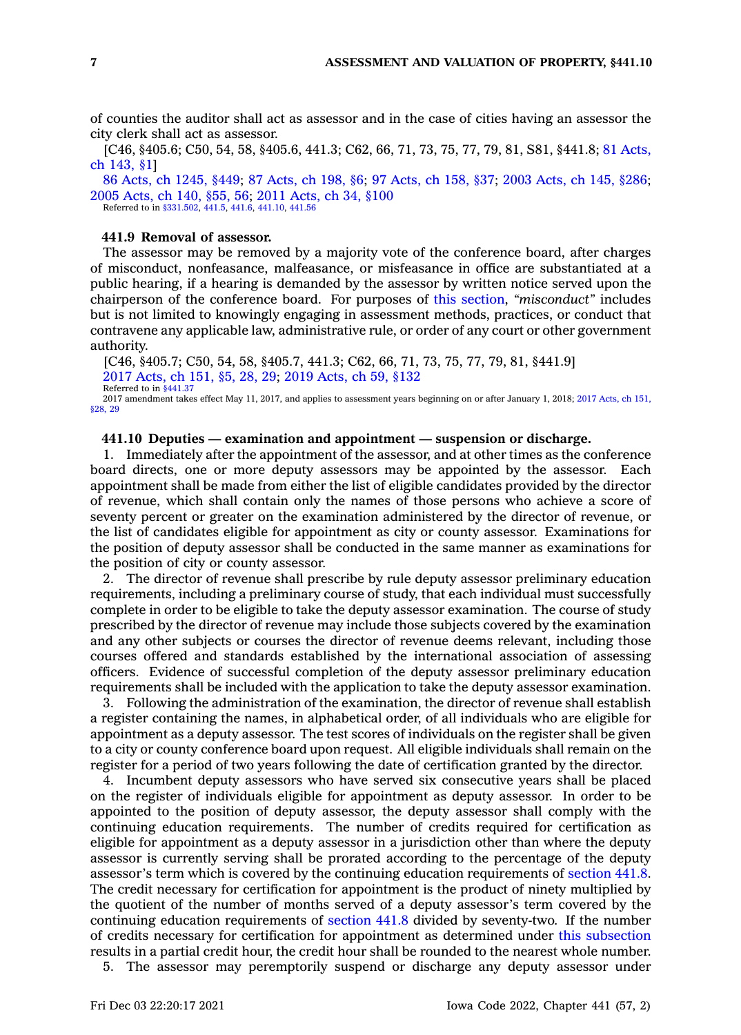of counties the auditor shall act as assessor and in the case of cities having an assessor the city clerk shall act as assessor.

[C46, §405.6; C50, 54, 58, §405.6, 441.3; C62, 66, 71, 73, 75, 77, 79, 81, S81, §441.8; 81 [Acts,](https://www.legis.iowa.gov/docs/acts/1981/CH0143.pdf) ch [143,](https://www.legis.iowa.gov/docs/acts/1981/CH0143.pdf) §1]

86 Acts, ch [1245,](https://www.legis.iowa.gov/docs/acts/1986/CH1245.pdf) §449; 87 [Acts,](https://www.legis.iowa.gov/docs/acts/87/CH0198.pdf) ch 198, §6; 97 [Acts,](https://www.legis.iowa.gov/docs/acts/97/CH0158.pdf) ch 158, §37; 2003 [Acts,](https://www.legis.iowa.gov/docs/acts/2003/CH0145.pdf) ch 145, §286; 2005 [Acts,](https://www.legis.iowa.gov/docs/acts/2005/CH0140.pdf) ch 140, §55, 56; 2011 [Acts,](https://www.legis.iowa.gov/docs/acts/2011/CH0034.pdf) ch 34, §100 Referred to in [§331.502](https://www.legis.iowa.gov/docs/code/331.502.pdf), [441.5](https://www.legis.iowa.gov/docs/code/441.5.pdf), [441.6](https://www.legis.iowa.gov/docs/code/441.6.pdf), [441.10](https://www.legis.iowa.gov/docs/code/441.10.pdf), [441.56](https://www.legis.iowa.gov/docs/code/441.56.pdf)

#### **441.9 Removal of assessor.**

The assessor may be removed by <sup>a</sup> majority vote of the conference board, after charges of misconduct, nonfeasance, malfeasance, or misfeasance in office are substantiated at <sup>a</sup> public hearing, if <sup>a</sup> hearing is demanded by the assessor by written notice served upon the chairperson of the conference board. For purposes of this [section](https://www.legis.iowa.gov/docs/code/441.9.pdf), *"misconduct"* includes but is not limited to knowingly engaging in assessment methods, practices, or conduct that contravene any applicable law, administrative rule, or order of any court or other government authority.

[C46, §405.7; C50, 54, 58, §405.7, 441.3; C62, 66, 71, 73, 75, 77, 79, 81, §441.9] 2017 [Acts,](https://www.legis.iowa.gov/docs/acts/2017/CH0151.pdf) ch 151, §5, 28, 29; 2019 [Acts,](https://www.legis.iowa.gov/docs/acts/2019/CH0059.pdf) ch 59, §132 Referred to in [§441.37](https://www.legis.iowa.gov/docs/code/441.37.pdf) 2017 amendment takes effect May 11, 2017, and applies to assessment years beginning on or after January 1, 2018; 2017 [Acts,](https://www.legis.iowa.gov/docs/acts/2017/CH0151.pdf) ch 151,

[§28,](https://www.legis.iowa.gov/docs/acts/2017/CH0151.pdf) 29

### **441.10 Deputies — examination and appointment —suspension or discharge.**

1. Immediately after the appointment of the assessor, and at other times as the conference board directs, one or more deputy assessors may be appointed by the assessor. Each appointment shall be made from either the list of eligible candidates provided by the director of revenue, which shall contain only the names of those persons who achieve <sup>a</sup> score of seventy percent or greater on the examination administered by the director of revenue, or the list of candidates eligible for appointment as city or county assessor. Examinations for the position of deputy assessor shall be conducted in the same manner as examinations for the position of city or county assessor.

2. The director of revenue shall prescribe by rule deputy assessor preliminary education requirements, including <sup>a</sup> preliminary course of study, that each individual must successfully complete in order to be eligible to take the deputy assessor examination. The course of study prescribed by the director of revenue may include those subjects covered by the examination and any other subjects or courses the director of revenue deems relevant, including those courses offered and standards established by the international association of assessing officers. Evidence of successful completion of the deputy assessor preliminary education requirements shall be included with the application to take the deputy assessor examination.

3. Following the administration of the examination, the director of revenue shall establish <sup>a</sup> register containing the names, in alphabetical order, of all individuals who are eligible for appointment as <sup>a</sup> deputy assessor. The test scores of individuals on the register shall be given to <sup>a</sup> city or county conference board upon request. All eligible individuals shall remain on the register for <sup>a</sup> period of two years following the date of certification granted by the director.

4. Incumbent deputy assessors who have served six consecutive years shall be placed on the register of individuals eligible for appointment as deputy assessor. In order to be appointed to the position of deputy assessor, the deputy assessor shall comply with the continuing education requirements. The number of credits required for certification as eligible for appointment as <sup>a</sup> deputy assessor in <sup>a</sup> jurisdiction other than where the deputy assessor is currently serving shall be prorated according to the percentage of the deputy assessor's term which is covered by the continuing education requirements of [section](https://www.legis.iowa.gov/docs/code/441.8.pdf) 441.8. The credit necessary for certification for appointment is the product of ninety multiplied by the quotient of the number of months served of <sup>a</sup> deputy assessor's term covered by the continuing education requirements of [section](https://www.legis.iowa.gov/docs/code/441.8.pdf) 441.8 divided by seventy-two. If the number of credits necessary for certification for appointment as determined under this [subsection](https://www.legis.iowa.gov/docs/code/441.10.pdf) results in <sup>a</sup> partial credit hour, the credit hour shall be rounded to the nearest whole number.

5. The assessor may peremptorily suspend or discharge any deputy assessor under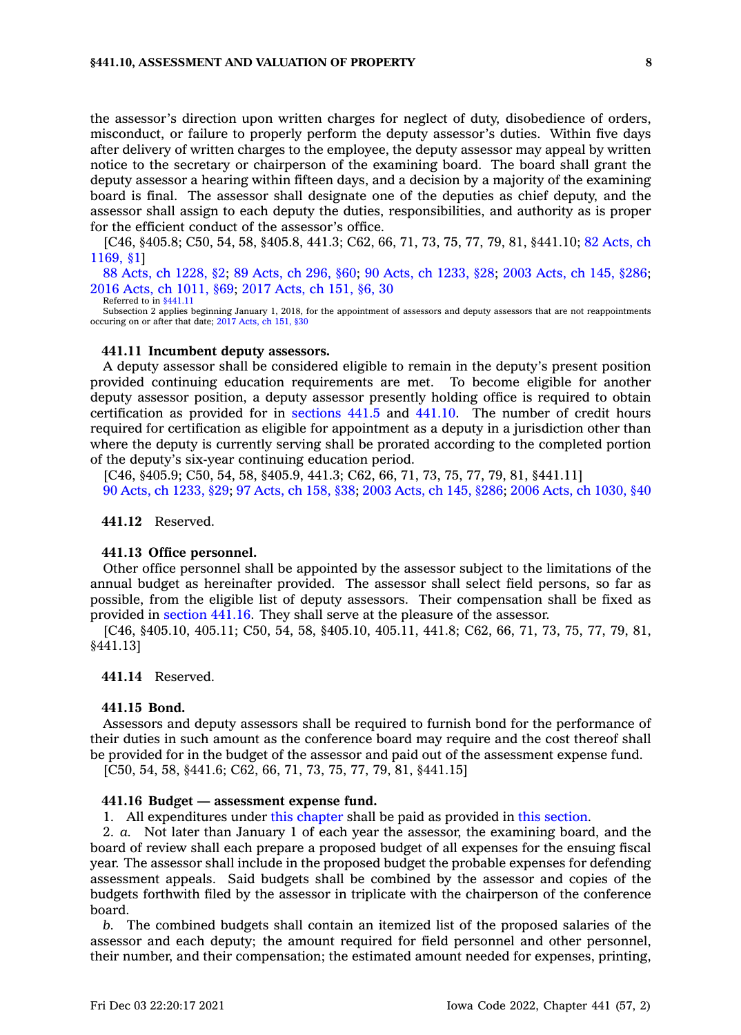#### **§441.10, ASSESSMENT AND VALUATION OF PROPERTY 8**

the assessor's direction upon written charges for neglect of duty, disobedience of orders, misconduct, or failure to properly perform the deputy assessor's duties. Within five days after delivery of written charges to the employee, the deputy assessor may appeal by written notice to the secretary or chairperson of the examining board. The board shall grant the deputy assessor <sup>a</sup> hearing within fifteen days, and <sup>a</sup> decision by <sup>a</sup> majority of the examining board is final. The assessor shall designate one of the deputies as chief deputy, and the assessor shall assign to each deputy the duties, responsibilities, and authority as is proper for the efficient conduct of the assessor's office.

[C46, §405.8; C50, 54, 58, §405.8, 441.3; C62, 66, 71, 73, 75, 77, 79, 81, §441.10; 82 [Acts,](https://www.legis.iowa.gov/docs/acts/1982/CH1169.pdf) ch [1169,](https://www.legis.iowa.gov/docs/acts/1982/CH1169.pdf) §1]

88 Acts, ch [1228,](https://www.legis.iowa.gov/docs/acts/1988/CH1228.pdf) §2; 89 [Acts,](https://www.legis.iowa.gov/docs/acts/89/CH0296.pdf) ch 296, §60; 90 Acts, ch [1233,](https://www.legis.iowa.gov/docs/acts/90/CH1233.pdf) §28; 2003 [Acts,](https://www.legis.iowa.gov/docs/acts/2003/CH0145.pdf) ch 145, §286; 2016 Acts, ch [1011,](https://www.legis.iowa.gov/docs/acts/2016/CH1011.pdf) §69; 2017 [Acts,](https://www.legis.iowa.gov/docs/acts/2017/CH0151.pdf) ch 151, §6, 30 Referred to in [§441.11](https://www.legis.iowa.gov/docs/code/441.11.pdf)

Subsection 2 applies beginning January 1, 2018, for the appointment of assessors and deputy assessors that are not reappointments occuring on or after that date; 2017 [Acts,](https://www.legis.iowa.gov/docs/acts/2017/CH0151.pdf) ch 151, §30

#### **441.11 Incumbent deputy assessors.**

A deputy assessor shall be considered eligible to remain in the deputy's present position provided continuing education requirements are met. To become eligible for another deputy assessor position, <sup>a</sup> deputy assessor presently holding office is required to obtain certification as provided for in [sections](https://www.legis.iowa.gov/docs/code/441.5.pdf) 441.5 and [441.10](https://www.legis.iowa.gov/docs/code/441.10.pdf). The number of credit hours required for certification as eligible for appointment as <sup>a</sup> deputy in <sup>a</sup> jurisdiction other than where the deputy is currently serving shall be prorated according to the completed portion of the deputy's six-year continuing education period.

[C46, §405.9; C50, 54, 58, §405.9, 441.3; C62, 66, 71, 73, 75, 77, 79, 81, §441.11] 90 Acts, ch [1233,](https://www.legis.iowa.gov/docs/acts/1990/CH1233.pdf) §29; 97 [Acts,](https://www.legis.iowa.gov/docs/acts/1997/CH0158.pdf) ch 158, §38; 2003 [Acts,](https://www.legis.iowa.gov/docs/acts/2003/CH0145.pdf) ch 145, §286; 2006 Acts, ch [1030,](https://www.legis.iowa.gov/docs/acts/2006/CH1030.pdf) §40

**441.12** Reserved.

### **441.13 Office personnel.**

Other office personnel shall be appointed by the assessor subject to the limitations of the annual budget as hereinafter provided. The assessor shall select field persons, so far as possible, from the eligible list of deputy assessors. Their compensation shall be fixed as provided in [section](https://www.legis.iowa.gov/docs/code/441.16.pdf) 441.16. They shall serve at the pleasure of the assessor.

[C46, §405.10, 405.11; C50, 54, 58, §405.10, 405.11, 441.8; C62, 66, 71, 73, 75, 77, 79, 81, §441.13]

### **441.14** Reserved.

### **441.15 Bond.**

Assessors and deputy assessors shall be required to furnish bond for the performance of their duties in such amount as the conference board may require and the cost thereof shall be provided for in the budget of the assessor and paid out of the assessment expense fund.

[C50, 54, 58, §441.6; C62, 66, 71, 73, 75, 77, 79, 81, §441.15]

#### **441.16 Budget — assessment expense fund.**

1. All expenditures under this [chapter](https://www.legis.iowa.gov/docs/code//441.pdf) shall be paid as provided in this [section](https://www.legis.iowa.gov/docs/code/441.16.pdf).

2. *a.* Not later than January 1 of each year the assessor, the examining board, and the board of review shall each prepare <sup>a</sup> proposed budget of all expenses for the ensuing fiscal year. The assessor shall include in the proposed budget the probable expenses for defending assessment appeals. Said budgets shall be combined by the assessor and copies of the budgets forthwith filed by the assessor in triplicate with the chairperson of the conference board.

*b.* The combined budgets shall contain an itemized list of the proposed salaries of the assessor and each deputy; the amount required for field personnel and other personnel, their number, and their compensation; the estimated amount needed for expenses, printing,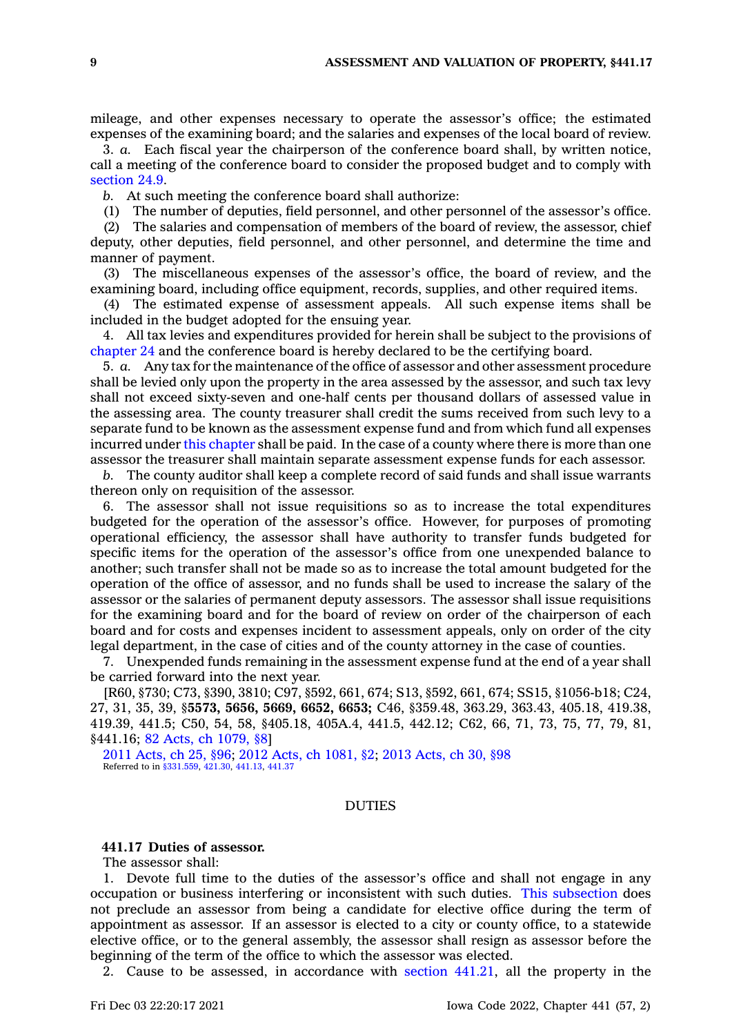mileage, and other expenses necessary to operate the assessor's office; the estimated expenses of the examining board; and the salaries and expenses of the local board of review.

3. *a.* Each fiscal year the chairperson of the conference board shall, by written notice, call <sup>a</sup> meeting of the conference board to consider the proposed budget and to comply with [section](https://www.legis.iowa.gov/docs/code/24.9.pdf) 24.9.

*b.* At such meeting the conference board shall authorize:

(1) The number of deputies, field personnel, and other personnel of the assessor's office.

(2) The salaries and compensation of members of the board of review, the assessor, chief deputy, other deputies, field personnel, and other personnel, and determine the time and manner of payment.

(3) The miscellaneous expenses of the assessor's office, the board of review, and the examining board, including office equipment, records, supplies, and other required items.

(4) The estimated expense of assessment appeals. All such expense items shall be included in the budget adopted for the ensuing year.

4. All tax levies and expenditures provided for herein shall be subject to the provisions of [chapter](https://www.legis.iowa.gov/docs/code//24.pdf) 24 and the conference board is hereby declared to be the certifying board.

5. *a.* Any tax for the maintenance of the office of assessor and other assessment procedure shall be levied only upon the property in the area assessed by the assessor, and such tax levy shall not exceed sixty-seven and one-half cents per thousand dollars of assessed value in the assessing area. The county treasurer shall credit the sums received from such levy to <sup>a</sup> separate fund to be known as the assessment expense fund and from which fund all expenses incurred under this [chapter](https://www.legis.iowa.gov/docs/code//441.pdf) shall be paid. In the case of <sup>a</sup> county where there is more than one assessor the treasurer shall maintain separate assessment expense funds for each assessor.

*b.* The county auditor shall keep <sup>a</sup> complete record of said funds and shall issue warrants thereon only on requisition of the assessor.

6. The assessor shall not issue requisitions so as to increase the total expenditures budgeted for the operation of the assessor's office. However, for purposes of promoting operational efficiency, the assessor shall have authority to transfer funds budgeted for specific items for the operation of the assessor's office from one unexpended balance to another; such transfer shall not be made so as to increase the total amount budgeted for the operation of the office of assessor, and no funds shall be used to increase the salary of the assessor or the salaries of permanent deputy assessors. The assessor shall issue requisitions for the examining board and for the board of review on order of the chairperson of each board and for costs and expenses incident to assessment appeals, only on order of the city legal department, in the case of cities and of the county attorney in the case of counties.

7. Unexpended funds remaining in the assessment expense fund at the end of <sup>a</sup> year shall be carried forward into the next year.

[R60, §730; C73, §390, 3810; C97, §592, 661, 674; S13, §592, 661, 674; SS15, §1056-b18; C24, 27, 31, 35, 39, §**5573, 5656, 5669, 6652, 6653;** C46, §359.48, 363.29, 363.43, 405.18, 419.38, 419.39, 441.5; C50, 54, 58, §405.18, 405A.4, 441.5, 442.12; C62, 66, 71, 73, 75, 77, 79, 81, §441.16; 82 Acts, ch [1079,](https://www.legis.iowa.gov/docs/acts/1982/CH1079.pdf) §8]

2011 [Acts,](https://www.legis.iowa.gov/docs/acts/2011/CH0025.pdf) ch 25, §96; 2012 Acts, ch [1081,](https://www.legis.iowa.gov/docs/acts/2012/CH1081.pdf) §2; 2013 [Acts,](https://www.legis.iowa.gov/docs/acts/2013/CH0030.pdf) ch 30, §98 Referred to in [§331.559](https://www.legis.iowa.gov/docs/code/331.559.pdf), [421.30](https://www.legis.iowa.gov/docs/code/421.30.pdf), [441.13](https://www.legis.iowa.gov/docs/code/441.13.pdf), [441.37](https://www.legis.iowa.gov/docs/code/441.37.pdf)

# DUTIES

### **441.17 Duties of assessor.**

The assessor shall:

1. Devote full time to the duties of the assessor's office and shall not engage in any occupation or business interfering or inconsistent with such duties. This [subsection](https://www.legis.iowa.gov/docs/code/441.17.pdf) does not preclude an assessor from being <sup>a</sup> candidate for elective office during the term of appointment as assessor. If an assessor is elected to <sup>a</sup> city or county office, to <sup>a</sup> statewide elective office, or to the general assembly, the assessor shall resign as assessor before the beginning of the term of the office to which the assessor was elected.

2. Cause to be assessed, in accordance with section [441.21](https://www.legis.iowa.gov/docs/code/441.21.pdf), all the property in the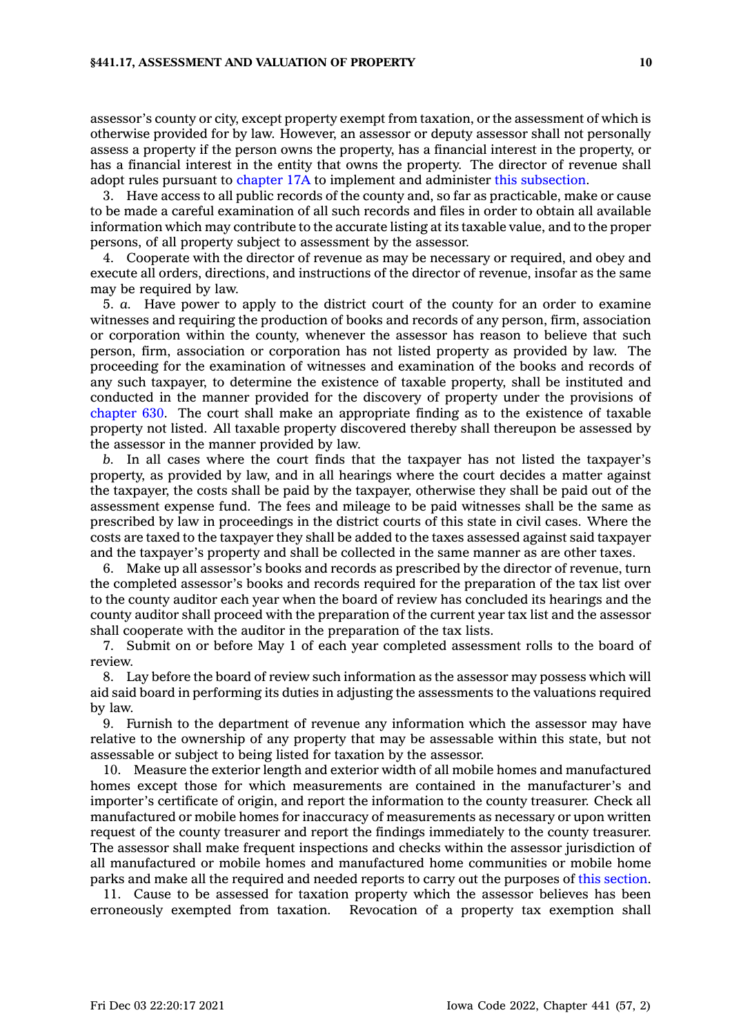#### **§441.17, ASSESSMENT AND VALUATION OF PROPERTY 10**

assessor's county or city, except property exempt from taxation, or the assessment of which is otherwise provided for by law. However, an assessor or deputy assessor shall not personally assess <sup>a</sup> property if the person owns the property, has <sup>a</sup> financial interest in the property, or has <sup>a</sup> financial interest in the entity that owns the property. The director of revenue shall adopt rules pursuant to [chapter](https://www.legis.iowa.gov/docs/code//17A.pdf) 17A to implement and administer this [subsection](https://www.legis.iowa.gov/docs/code/441.17.pdf).

3. Have access to all public records of the county and, so far as practicable, make or cause to be made <sup>a</sup> careful examination of all such records and files in order to obtain all available information which may contribute to the accurate listing at its taxable value, and to the proper persons, of all property subject to assessment by the assessor.

4. Cooperate with the director of revenue as may be necessary or required, and obey and execute all orders, directions, and instructions of the director of revenue, insofar as the same may be required by law.

5. *a.* Have power to apply to the district court of the county for an order to examine witnesses and requiring the production of books and records of any person, firm, association or corporation within the county, whenever the assessor has reason to believe that such person, firm, association or corporation has not listed property as provided by law. The proceeding for the examination of witnesses and examination of the books and records of any such taxpayer, to determine the existence of taxable property, shall be instituted and conducted in the manner provided for the discovery of property under the provisions of [chapter](https://www.legis.iowa.gov/docs/code//630.pdf) 630. The court shall make an appropriate finding as to the existence of taxable property not listed. All taxable property discovered thereby shall thereupon be assessed by the assessor in the manner provided by law.

*b.* In all cases where the court finds that the taxpayer has not listed the taxpayer's property, as provided by law, and in all hearings where the court decides <sup>a</sup> matter against the taxpayer, the costs shall be paid by the taxpayer, otherwise they shall be paid out of the assessment expense fund. The fees and mileage to be paid witnesses shall be the same as prescribed by law in proceedings in the district courts of this state in civil cases. Where the costs are taxed to the taxpayer they shall be added to the taxes assessed against said taxpayer and the taxpayer's property and shall be collected in the same manner as are other taxes.

6. Make up all assessor's books and records as prescribed by the director of revenue, turn the completed assessor's books and records required for the preparation of the tax list over to the county auditor each year when the board of review has concluded its hearings and the county auditor shall proceed with the preparation of the current year tax list and the assessor shall cooperate with the auditor in the preparation of the tax lists.

7. Submit on or before May 1 of each year completed assessment rolls to the board of review.

8. Lay before the board of review such information as the assessor may possess which will aid said board in performing its duties in adjusting the assessments to the valuations required by law.

9. Furnish to the department of revenue any information which the assessor may have relative to the ownership of any property that may be assessable within this state, but not assessable or subject to being listed for taxation by the assessor.

10. Measure the exterior length and exterior width of all mobile homes and manufactured homes except those for which measurements are contained in the manufacturer's and importer's certificate of origin, and report the information to the county treasurer. Check all manufactured or mobile homes for inaccuracy of measurements as necessary or upon written request of the county treasurer and report the findings immediately to the county treasurer. The assessor shall make frequent inspections and checks within the assessor jurisdiction of all manufactured or mobile homes and manufactured home communities or mobile home parks and make all the required and needed reports to carry out the purposes of this [section](https://www.legis.iowa.gov/docs/code/441.17.pdf).

11. Cause to be assessed for taxation property which the assessor believes has been erroneously exempted from taxation. Revocation of <sup>a</sup> property tax exemption shall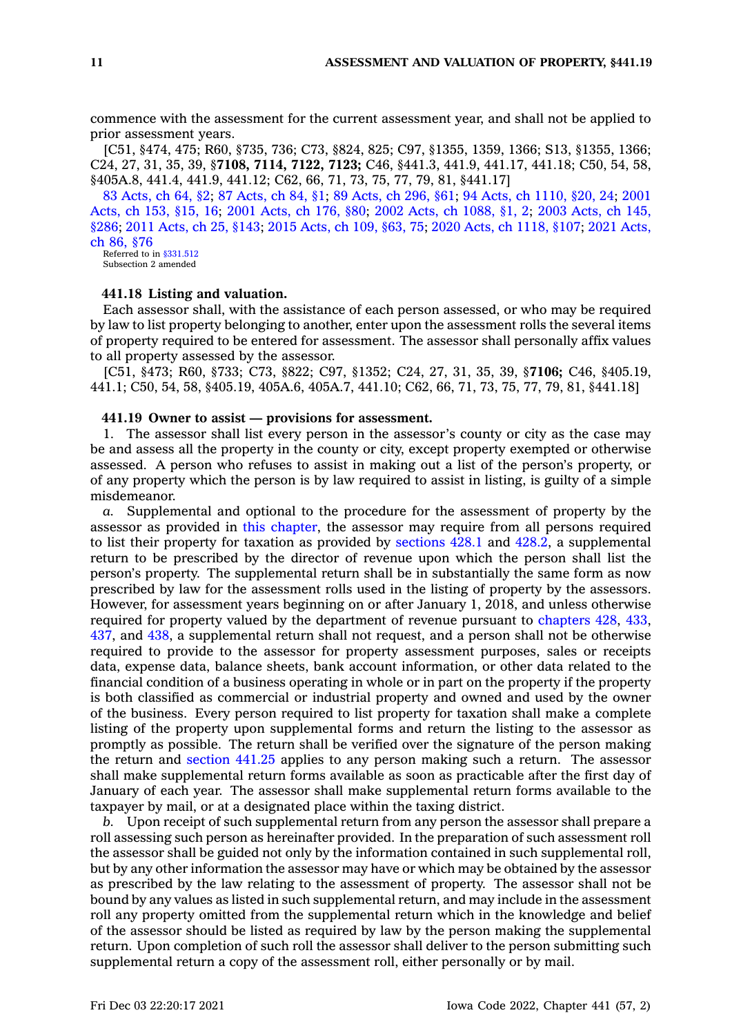commence with the assessment for the current assessment year, and shall not be applied to prior assessment years.

[C51, §474, 475; R60, §735, 736; C73, §824, 825; C97, §1355, 1359, 1366; S13, §1355, 1366; C24, 27, 31, 35, 39, §**7108, 7114, 7122, 7123;** C46, §441.3, 441.9, 441.17, 441.18; C50, 54, 58, §405A.8, 441.4, 441.9, 441.12; C62, 66, 71, 73, 75, 77, 79, 81, §441.17]

83 [Acts,](https://www.legis.iowa.gov/docs/acts/1983/CH0064.pdf) ch 64, §2; 87 [Acts,](https://www.legis.iowa.gov/docs/acts/87/CH0084.pdf) ch 84, §1; 89 [Acts,](https://www.legis.iowa.gov/docs/acts/89/CH0296.pdf) ch 296, §61; 94 Acts, ch [1110,](https://www.legis.iowa.gov/docs/acts/94/CH1110.pdf) §20, 24; [2001](https://www.legis.iowa.gov/docs/acts/2001/CH0153.pdf) [Acts,](https://www.legis.iowa.gov/docs/acts/2001/CH0153.pdf) ch 153, §15, 16; 2001 [Acts,](https://www.legis.iowa.gov/docs/acts/2001/CH0176.pdf) ch 176, §80; 2002 Acts, ch [1088,](https://www.legis.iowa.gov/docs/acts/2002/CH1088.pdf) §1, 2; 2003 [Acts,](https://www.legis.iowa.gov/docs/acts/2003/CH0145.pdf) ch 145, [§286](https://www.legis.iowa.gov/docs/acts/2003/CH0145.pdf); 2011 [Acts,](https://www.legis.iowa.gov/docs/acts/2011/CH0025.pdf) ch 25, §143; 2015 [Acts,](https://www.legis.iowa.gov/docs/acts/2015/CH0109.pdf) ch 109, §63, 75; 2020 Acts, ch [1118,](https://www.legis.iowa.gov/docs/acts/2020/CH1118.pdf) §107; 2021 [Acts,](https://www.legis.iowa.gov/docs/acts/2021/CH0086.pdf) ch 86, [§76](https://www.legis.iowa.gov/docs/acts/2021/CH0086.pdf) Referred to in [§331.512](https://www.legis.iowa.gov/docs/code/331.512.pdf)

Subsection 2 amended

# **441.18 Listing and valuation.**

Each assessor shall, with the assistance of each person assessed, or who may be required by law to list property belonging to another, enter upon the assessment rolls the several items of property required to be entered for assessment. The assessor shall personally affix values to all property assessed by the assessor.

[C51, §473; R60, §733; C73, §822; C97, §1352; C24, 27, 31, 35, 39, §**7106;** C46, §405.19, 441.1; C50, 54, 58, §405.19, 405A.6, 405A.7, 441.10; C62, 66, 71, 73, 75, 77, 79, 81, §441.18]

### **441.19 Owner to assist — provisions for assessment.**

1. The assessor shall list every person in the assessor's county or city as the case may be and assess all the property in the county or city, except property exempted or otherwise assessed. A person who refuses to assist in making out <sup>a</sup> list of the person's property, or of any property which the person is by law required to assist in listing, is guilty of <sup>a</sup> simple misdemeanor.

*a.* Supplemental and optional to the procedure for the assessment of property by the assessor as provided in this [chapter](https://www.legis.iowa.gov/docs/code//441.pdf), the assessor may require from all persons required to list their property for taxation as provided by [sections](https://www.legis.iowa.gov/docs/code/428.1.pdf) 428.1 and [428.2](https://www.legis.iowa.gov/docs/code/428.2.pdf), <sup>a</sup> supplemental return to be prescribed by the director of revenue upon which the person shall list the person's property. The supplemental return shall be in substantially the same form as now prescribed by law for the assessment rolls used in the listing of property by the assessors. However, for assessment years beginning on or after January 1, 2018, and unless otherwise required for property valued by the department of revenue pursuant to [chapters](https://www.legis.iowa.gov/docs/code//428.pdf) 428, [433](https://www.legis.iowa.gov/docs/code//433.pdf), [437](https://www.legis.iowa.gov/docs/code//437.pdf), and [438](https://www.legis.iowa.gov/docs/code//438.pdf), <sup>a</sup> supplemental return shall not request, and <sup>a</sup> person shall not be otherwise required to provide to the assessor for property assessment purposes, sales or receipts data, expense data, balance sheets, bank account information, or other data related to the financial condition of <sup>a</sup> business operating in whole or in part on the property if the property is both classified as commercial or industrial property and owned and used by the owner of the business. Every person required to list property for taxation shall make <sup>a</sup> complete listing of the property upon supplemental forms and return the listing to the assessor as promptly as possible. The return shall be verified over the signature of the person making the return and [section](https://www.legis.iowa.gov/docs/code/441.25.pdf) 441.25 applies to any person making such <sup>a</sup> return. The assessor shall make supplemental return forms available as soon as practicable after the first day of January of each year. The assessor shall make supplemental return forms available to the taxpayer by mail, or at <sup>a</sup> designated place within the taxing district.

*b.* Upon receipt of such supplemental return from any person the assessor shall prepare <sup>a</sup> roll assessing such person as hereinafter provided. In the preparation of such assessment roll the assessor shall be guided not only by the information contained in such supplemental roll, but by any other information the assessor may have or which may be obtained by the assessor as prescribed by the law relating to the assessment of property. The assessor shall not be bound by any values as listed in such supplemental return, and may include in the assessment roll any property omitted from the supplemental return which in the knowledge and belief of the assessor should be listed as required by law by the person making the supplemental return. Upon completion of such roll the assessor shall deliver to the person submitting such supplemental return <sup>a</sup> copy of the assessment roll, either personally or by mail.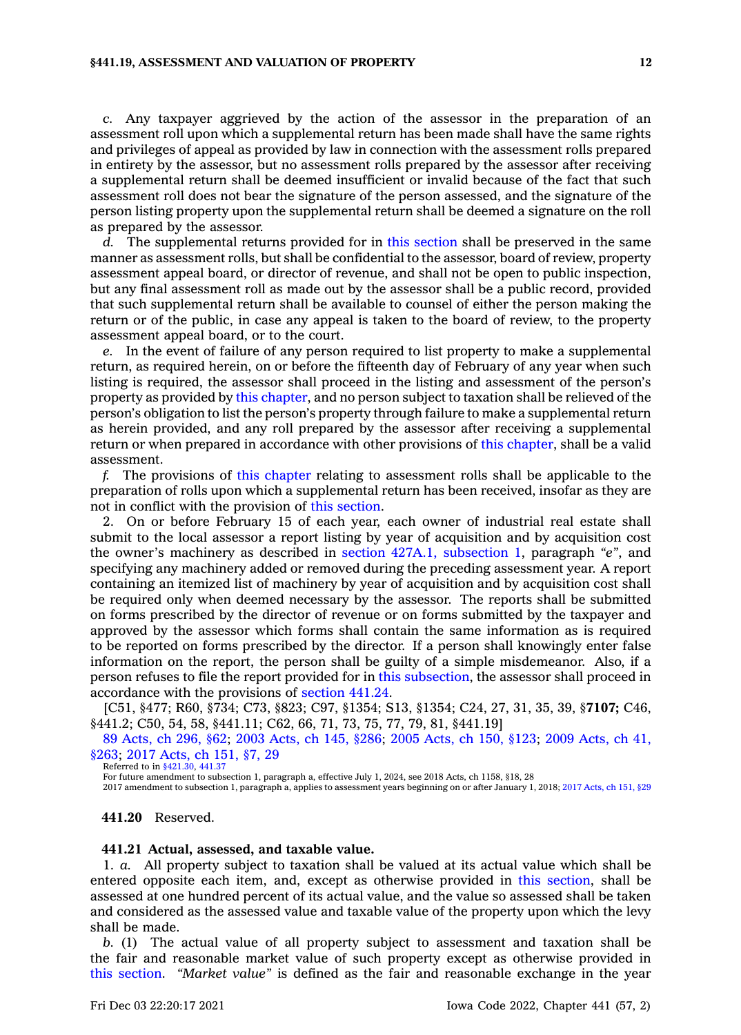#### **§441.19, ASSESSMENT AND VALUATION OF PROPERTY 12**

*c.* Any taxpayer aggrieved by the action of the assessor in the preparation of an assessment roll upon which <sup>a</sup> supplemental return has been made shall have the same rights and privileges of appeal as provided by law in connection with the assessment rolls prepared in entirety by the assessor, but no assessment rolls prepared by the assessor after receiving <sup>a</sup> supplemental return shall be deemed insufficient or invalid because of the fact that such assessment roll does not bear the signature of the person assessed, and the signature of the person listing property upon the supplemental return shall be deemed <sup>a</sup> signature on the roll as prepared by the assessor.

*d.* The supplemental returns provided for in this [section](https://www.legis.iowa.gov/docs/code/441.19.pdf) shall be preserved in the same manner as assessment rolls, but shall be confidential to the assessor, board of review, property assessment appeal board, or director of revenue, and shall not be open to public inspection, but any final assessment roll as made out by the assessor shall be <sup>a</sup> public record, provided that such supplemental return shall be available to counsel of either the person making the return or of the public, in case any appeal is taken to the board of review, to the property assessment appeal board, or to the court.

*e.* In the event of failure of any person required to list property to make <sup>a</sup> supplemental return, as required herein, on or before the fifteenth day of February of any year when such listing is required, the assessor shall proceed in the listing and assessment of the person's property as provided by this [chapter](https://www.legis.iowa.gov/docs/code//441.pdf), and no person subject to taxation shall be relieved of the person's obligation to list the person's property through failure to make <sup>a</sup> supplemental return as herein provided, and any roll prepared by the assessor after receiving <sup>a</sup> supplemental return or when prepared in accordance with other provisions of this [chapter](https://www.legis.iowa.gov/docs/code//441.pdf), shall be <sup>a</sup> valid assessment.

*f.* The provisions of this [chapter](https://www.legis.iowa.gov/docs/code//441.pdf) relating to assessment rolls shall be applicable to the preparation of rolls upon which <sup>a</sup> supplemental return has been received, insofar as they are not in conflict with the provision of this [section](https://www.legis.iowa.gov/docs/code/441.19.pdf).

2. On or before February 15 of each year, each owner of industrial real estate shall submit to the local assessor <sup>a</sup> report listing by year of acquisition and by acquisition cost the owner's machinery as described in section 427A.1, [subsection](https://www.legis.iowa.gov/docs/code/427A.1.pdf) 1, paragraph *"e"*, and specifying any machinery added or removed during the preceding assessment year. A report containing an itemized list of machinery by year of acquisition and by acquisition cost shall be required only when deemed necessary by the assessor. The reports shall be submitted on forms prescribed by the director of revenue or on forms submitted by the taxpayer and approved by the assessor which forms shall contain the same information as is required to be reported on forms prescribed by the director. If <sup>a</sup> person shall knowingly enter false information on the report, the person shall be guilty of <sup>a</sup> simple misdemeanor. Also, if <sup>a</sup> person refuses to file the report provided for in this [subsection](https://www.legis.iowa.gov/docs/code/441.19.pdf), the assessor shall proceed in accordance with the provisions of [section](https://www.legis.iowa.gov/docs/code/441.24.pdf) 441.24.

[C51, §477; R60, §734; C73, §823; C97, §1354; S13, §1354; C24, 27, 31, 35, 39, §**7107;** C46, §441.2; C50, 54, 58, §441.11; C62, 66, 71, 73, 75, 77, 79, 81, §441.19]

89 [Acts,](https://www.legis.iowa.gov/docs/acts/1989/CH0296.pdf) ch 296, §62; 2003 [Acts,](https://www.legis.iowa.gov/docs/acts/2003/CH0145.pdf) ch 145, §286; 2005 [Acts,](https://www.legis.iowa.gov/docs/acts/2005/CH0150.pdf) ch 150, §123; 2009 [Acts,](https://www.legis.iowa.gov/docs/acts/2009/CH0041.pdf) ch 41, [§263](https://www.legis.iowa.gov/docs/acts/2009/CH0041.pdf); 2017 [Acts,](https://www.legis.iowa.gov/docs/acts/2017/CH0151.pdf) ch 151, §7, 29

Referred to in [§421.30](https://www.legis.iowa.gov/docs/code/421.30.pdf), [441.37](https://www.legis.iowa.gov/docs/code/441.37.pdf)

For future amendment to subsection 1, paragraph a, effective July 1, 2024, see 2018 Acts, ch 1158, §18, 28

2017 amendment to subsection 1, paragraph a, applies to assessment years beginning on or after January 1, 2018; 2017 [Acts,](https://www.legis.iowa.gov/docs/acts/2017/CH0151.pdf) ch 151, §29

# **441.20** Reserved.

### **441.21 Actual, assessed, and taxable value.**

1. *a.* All property subject to taxation shall be valued at its actual value which shall be entered opposite each item, and, except as otherwise provided in this [section](https://www.legis.iowa.gov/docs/code/441.21.pdf), shall be assessed at one hundred percent of its actual value, and the value so assessed shall be taken and considered as the assessed value and taxable value of the property upon which the levy shall be made.

*b.* (1) The actual value of all property subject to assessment and taxation shall be the fair and reasonable market value of such property except as otherwise provided in this [section](https://www.legis.iowa.gov/docs/code/441.21.pdf). *"Market value"* is defined as the fair and reasonable exchange in the year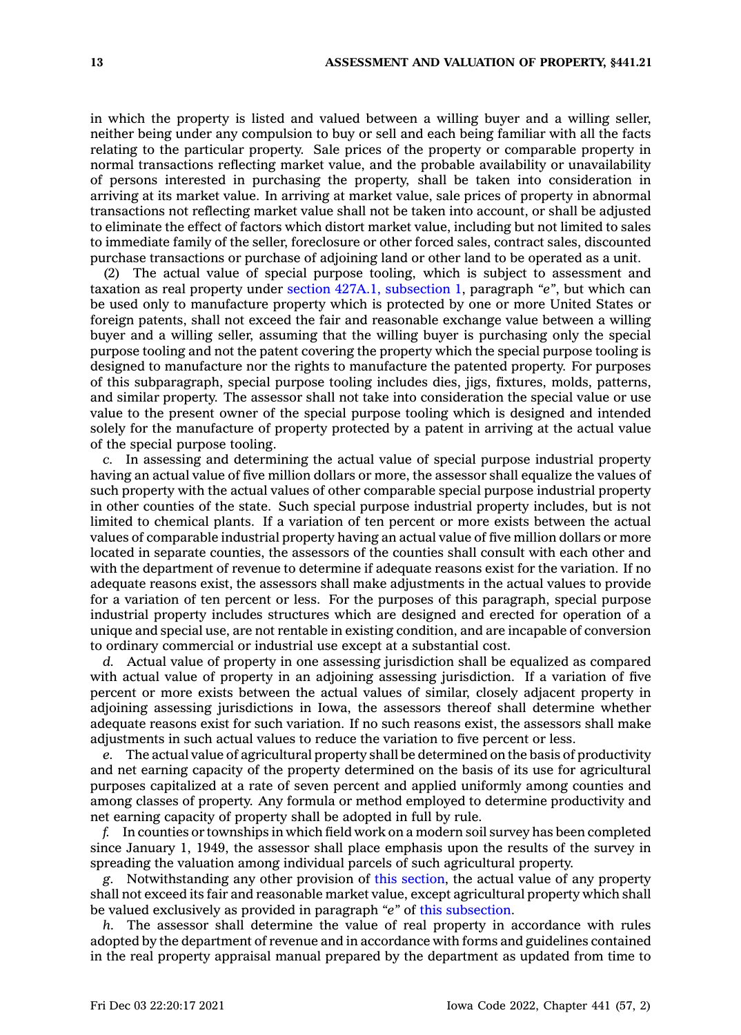in which the property is listed and valued between <sup>a</sup> willing buyer and <sup>a</sup> willing seller, neither being under any compulsion to buy or sell and each being familiar with all the facts relating to the particular property. Sale prices of the property or comparable property in normal transactions reflecting market value, and the probable availability or unavailability of persons interested in purchasing the property, shall be taken into consideration in arriving at its market value. In arriving at market value, sale prices of property in abnormal transactions not reflecting market value shall not be taken into account, or shall be adjusted to eliminate the effect of factors which distort market value, including but not limited to sales to immediate family of the seller, foreclosure or other forced sales, contract sales, discounted purchase transactions or purchase of adjoining land or other land to be operated as <sup>a</sup> unit.

(2) The actual value of special purpose tooling, which is subject to assessment and taxation as real property under section 427A.1, [subsection](https://www.legis.iowa.gov/docs/code/427A.1.pdf) 1, paragraph *"e"*, but which can be used only to manufacture property which is protected by one or more United States or foreign patents, shall not exceed the fair and reasonable exchange value between <sup>a</sup> willing buyer and <sup>a</sup> willing seller, assuming that the willing buyer is purchasing only the special purpose tooling and not the patent covering the property which the special purpose tooling is designed to manufacture nor the rights to manufacture the patented property. For purposes of this subparagraph, special purpose tooling includes dies, jigs, fixtures, molds, patterns, and similar property. The assessor shall not take into consideration the special value or use value to the present owner of the special purpose tooling which is designed and intended solely for the manufacture of property protected by <sup>a</sup> patent in arriving at the actual value of the special purpose tooling.

*c.* In assessing and determining the actual value of special purpose industrial property having an actual value of five million dollars or more, the assessor shall equalize the values of such property with the actual values of other comparable special purpose industrial property in other counties of the state. Such special purpose industrial property includes, but is not limited to chemical plants. If <sup>a</sup> variation of ten percent or more exists between the actual values of comparable industrial property having an actual value of five million dollars or more located in separate counties, the assessors of the counties shall consult with each other and with the department of revenue to determine if adequate reasons exist for the variation. If no adequate reasons exist, the assessors shall make adjustments in the actual values to provide for <sup>a</sup> variation of ten percent or less. For the purposes of this paragraph, special purpose industrial property includes structures which are designed and erected for operation of <sup>a</sup> unique and special use, are not rentable in existing condition, and are incapable of conversion to ordinary commercial or industrial use except at <sup>a</sup> substantial cost.

*d.* Actual value of property in one assessing jurisdiction shall be equalized as compared with actual value of property in an adjoining assessing jurisdiction. If <sup>a</sup> variation of five percent or more exists between the actual values of similar, closely adjacent property in adjoining assessing jurisdictions in Iowa, the assessors thereof shall determine whether adequate reasons exist for such variation. If no such reasons exist, the assessors shall make adjustments in such actual values to reduce the variation to five percent or less.

*e.* The actual value of agricultural property shall be determined on the basis of productivity and net earning capacity of the property determined on the basis of its use for agricultural purposes capitalized at <sup>a</sup> rate of seven percent and applied uniformly among counties and among classes of property. Any formula or method employed to determine productivity and net earning capacity of property shall be adopted in full by rule.

*f.* In counties or townships in which field work on <sup>a</sup> modern soil survey has been completed since January 1, 1949, the assessor shall place emphasis upon the results of the survey in spreading the valuation among individual parcels of such agricultural property.

*g.* Notwithstanding any other provision of this [section](https://www.legis.iowa.gov/docs/code/441.21.pdf), the actual value of any property shall not exceed its fair and reasonable market value, except agricultural property which shall be valued exclusively as provided in paragraph *"e"* of this [subsection](https://www.legis.iowa.gov/docs/code/441.21.pdf).

*h.* The assessor shall determine the value of real property in accordance with rules adopted by the department of revenue and in accordance with forms and guidelines contained in the real property appraisal manual prepared by the department as updated from time to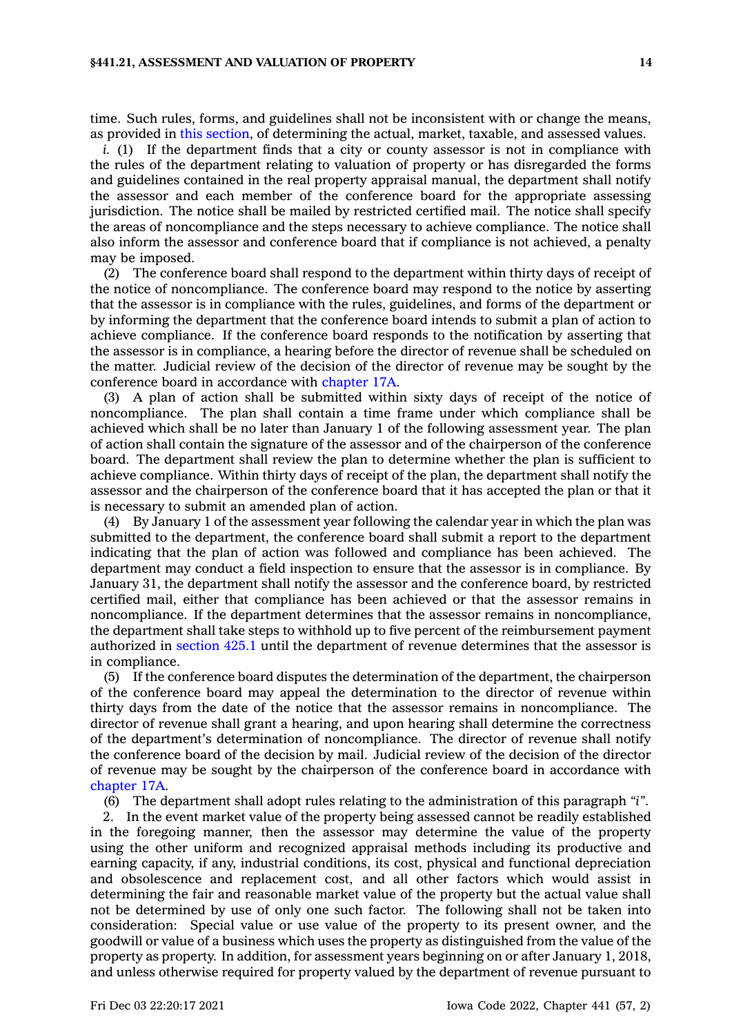time. Such rules, forms, and guidelines shall not be inconsistent with or change the means, as provided in this [section](https://www.legis.iowa.gov/docs/code/441.21.pdf), of determining the actual, market, taxable, and assessed values.

*i.* (1) If the department finds that a city or county assessor is not in compliance with the rules of the department relating to valuation of property or has disregarded the forms and guidelines contained in the real property appraisal manual, the department shall notify the assessor and each member of the conference board for the appropriate assessing jurisdiction. The notice shall be mailed by restricted certified mail. The notice shall specify the areas of noncompliance and the steps necessary to achieve compliance. The notice shall also inform the assessor and conference board that if compliance is not achieved, <sup>a</sup> penalty may be imposed.

(2) The conference board shall respond to the department within thirty days of receipt of the notice of noncompliance. The conference board may respond to the notice by asserting that the assessor is in compliance with the rules, guidelines, and forms of the department or by informing the department that the conference board intends to submit <sup>a</sup> plan of action to achieve compliance. If the conference board responds to the notification by asserting that the assessor is in compliance, <sup>a</sup> hearing before the director of revenue shall be scheduled on the matter. Judicial review of the decision of the director of revenue may be sought by the conference board in accordance with [chapter](https://www.legis.iowa.gov/docs/code//17A.pdf) 17A.

(3) A plan of action shall be submitted within sixty days of receipt of the notice of noncompliance. The plan shall contain <sup>a</sup> time frame under which compliance shall be achieved which shall be no later than January 1 of the following assessment year. The plan of action shall contain the signature of the assessor and of the chairperson of the conference board. The department shall review the plan to determine whether the plan is sufficient to achieve compliance. Within thirty days of receipt of the plan, the department shall notify the assessor and the chairperson of the conference board that it has accepted the plan or that it is necessary to submit an amended plan of action.

(4) By January 1 of the assessment year following the calendar year in which the plan was submitted to the department, the conference board shall submit <sup>a</sup> report to the department indicating that the plan of action was followed and compliance has been achieved. The department may conduct <sup>a</sup> field inspection to ensure that the assessor is in compliance. By January 31, the department shall notify the assessor and the conference board, by restricted certified mail, either that compliance has been achieved or that the assessor remains in noncompliance. If the department determines that the assessor remains in noncompliance, the department shall take steps to withhold up to five percent of the reimbursement payment authorized in [section](https://www.legis.iowa.gov/docs/code/425.1.pdf) 425.1 until the department of revenue determines that the assessor is in compliance.

(5) If the conference board disputes the determination of the department, the chairperson of the conference board may appeal the determination to the director of revenue within thirty days from the date of the notice that the assessor remains in noncompliance. The director of revenue shall grant <sup>a</sup> hearing, and upon hearing shall determine the correctness of the department's determination of noncompliance. The director of revenue shall notify the conference board of the decision by mail. Judicial review of the decision of the director of revenue may be sought by the chairperson of the conference board in accordance with [chapter](https://www.legis.iowa.gov/docs/code//17A.pdf) 17A.

(6) The department shall adopt rules relating to the administration of this paragraph *"i"*.

2. In the event market value of the property being assessed cannot be readily established in the foregoing manner, then the assessor may determine the value of the property using the other uniform and recognized appraisal methods including its productive and earning capacity, if any, industrial conditions, its cost, physical and functional depreciation and obsolescence and replacement cost, and all other factors which would assist in determining the fair and reasonable market value of the property but the actual value shall not be determined by use of only one such factor. The following shall not be taken into consideration: Special value or use value of the property to its present owner, and the goodwill or value of <sup>a</sup> business which uses the property as distinguished from the value of the property as property. In addition, for assessment years beginning on or after January 1, 2018, and unless otherwise required for property valued by the department of revenue pursuant to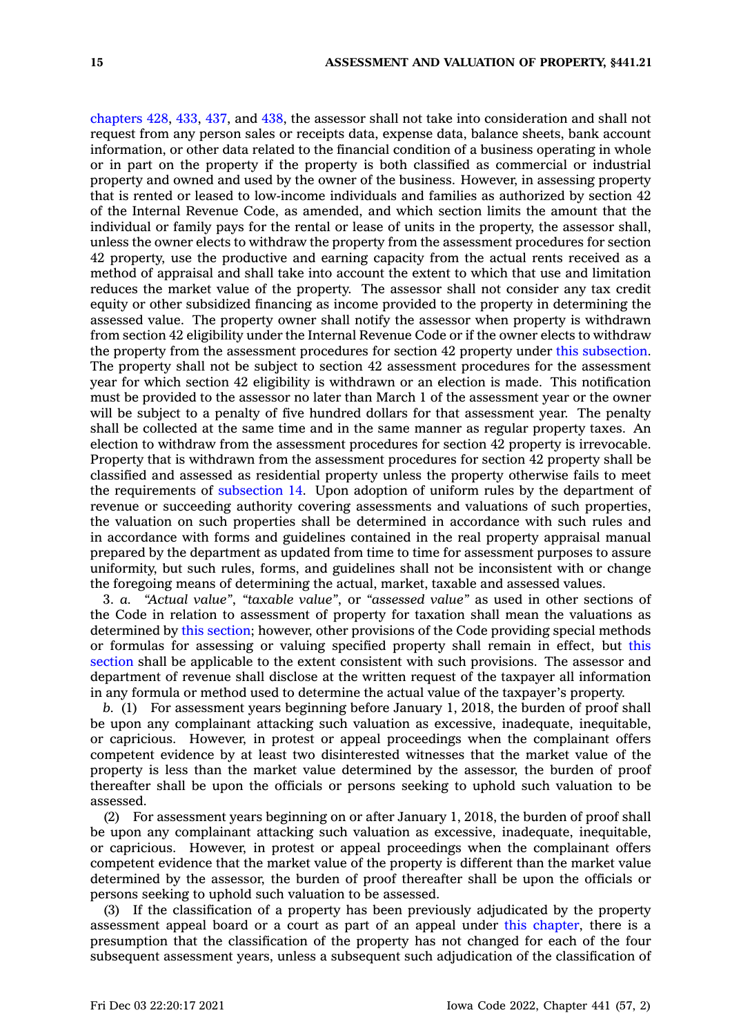[chapters](https://www.legis.iowa.gov/docs/code//428.pdf) 428, [433](https://www.legis.iowa.gov/docs/code//433.pdf), [437](https://www.legis.iowa.gov/docs/code//437.pdf), and [438](https://www.legis.iowa.gov/docs/code//438.pdf), the assessor shall not take into consideration and shall not request from any person sales or receipts data, expense data, balance sheets, bank account information, or other data related to the financial condition of <sup>a</sup> business operating in whole or in part on the property if the property is both classified as commercial or industrial property and owned and used by the owner of the business. However, in assessing property that is rented or leased to low-income individuals and families as authorized by section 42 of the Internal Revenue Code, as amended, and which section limits the amount that the individual or family pays for the rental or lease of units in the property, the assessor shall, unless the owner elects to withdraw the property from the assessment procedures for section 42 property, use the productive and earning capacity from the actual rents received as <sup>a</sup> method of appraisal and shall take into account the extent to which that use and limitation reduces the market value of the property. The assessor shall not consider any tax credit equity or other subsidized financing as income provided to the property in determining the assessed value. The property owner shall notify the assessor when property is withdrawn from section 42 eligibility under the Internal Revenue Code or if the owner elects to withdraw the property from the assessment procedures for section 42 property under this [subsection](https://www.legis.iowa.gov/docs/code/441.21.pdf). The property shall not be subject to section 42 assessment procedures for the assessment year for which section 42 eligibility is withdrawn or an election is made. This notification must be provided to the assessor no later than March 1 of the assessment year or the owner will be subject to <sup>a</sup> penalty of five hundred dollars for that assessment year. The penalty shall be collected at the same time and in the same manner as regular property taxes. An election to withdraw from the assessment procedures for section 42 property is irrevocable. Property that is withdrawn from the assessment procedures for section 42 property shall be classified and assessed as residential property unless the property otherwise fails to meet the requirements of [subsection](https://www.legis.iowa.gov/docs/code/441.21.pdf) 14. Upon adoption of uniform rules by the department of revenue or succeeding authority covering assessments and valuations of such properties, the valuation on such properties shall be determined in accordance with such rules and in accordance with forms and guidelines contained in the real property appraisal manual prepared by the department as updated from time to time for assessment purposes to assure uniformity, but such rules, forms, and guidelines shall not be inconsistent with or change the foregoing means of determining the actual, market, taxable and assessed values.

3. *a. "Actual value"*, *"taxable value"*, or *"assessed value"* as used in other sections of the Code in relation to assessment of property for taxation shall mean the valuations as determined by this [section](https://www.legis.iowa.gov/docs/code/441.21.pdf); however, other provisions of the Code providing special methods or formulas for assessing or valuing specified property shall remain in effect, but [this](https://www.legis.iowa.gov/docs/code/441.21.pdf) [section](https://www.legis.iowa.gov/docs/code/441.21.pdf) shall be applicable to the extent consistent with such provisions. The assessor and department of revenue shall disclose at the written request of the taxpayer all information in any formula or method used to determine the actual value of the taxpayer's property.

*b.* (1) For assessment years beginning before January 1, 2018, the burden of proof shall be upon any complainant attacking such valuation as excessive, inadequate, inequitable, or capricious. However, in protest or appeal proceedings when the complainant offers competent evidence by at least two disinterested witnesses that the market value of the property is less than the market value determined by the assessor, the burden of proof thereafter shall be upon the officials or persons seeking to uphold such valuation to be assessed.

(2) For assessment years beginning on or after January 1, 2018, the burden of proof shall be upon any complainant attacking such valuation as excessive, inadequate, inequitable, or capricious. However, in protest or appeal proceedings when the complainant offers competent evidence that the market value of the property is different than the market value determined by the assessor, the burden of proof thereafter shall be upon the officials or persons seeking to uphold such valuation to be assessed.

(3) If the classification of <sup>a</sup> property has been previously adjudicated by the property assessment appeal board or <sup>a</sup> court as part of an appeal under this [chapter](https://www.legis.iowa.gov/docs/code//441.pdf), there is <sup>a</sup> presumption that the classification of the property has not changed for each of the four subsequent assessment years, unless <sup>a</sup> subsequent such adjudication of the classification of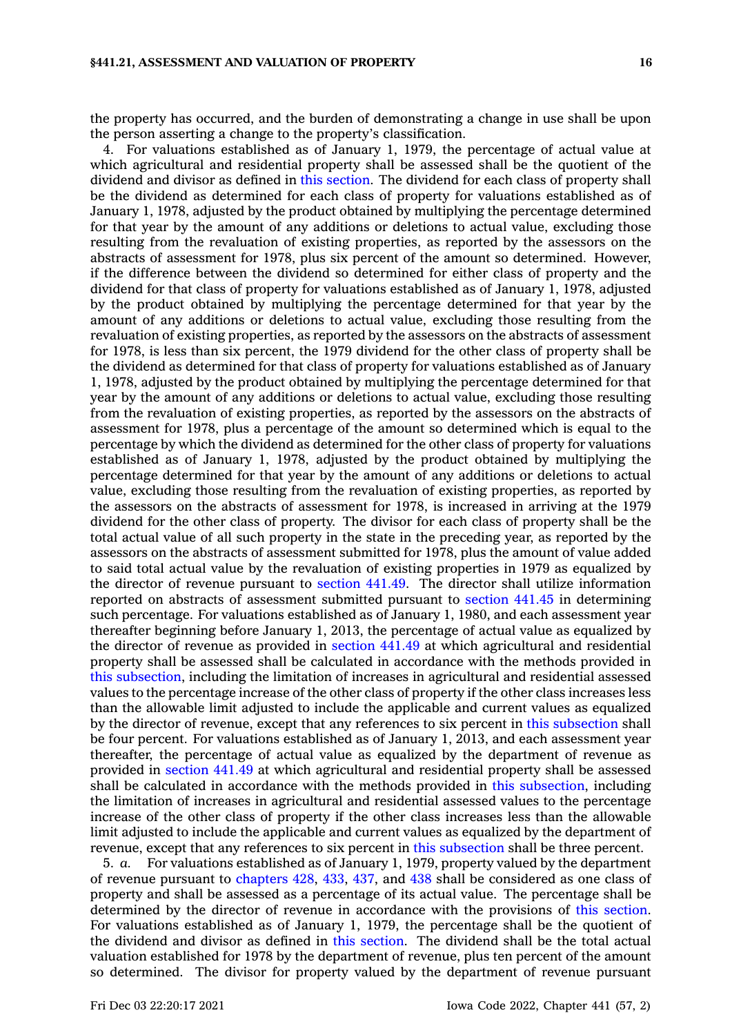the property has occurred, and the burden of demonstrating <sup>a</sup> change in use shall be upon the person asserting <sup>a</sup> change to the property's classification.

4. For valuations established as of January 1, 1979, the percentage of actual value at which agricultural and residential property shall be assessed shall be the quotient of the dividend and divisor as defined in this [section](https://www.legis.iowa.gov/docs/code/441.21.pdf). The dividend for each class of property shall be the dividend as determined for each class of property for valuations established as of January 1, 1978, adjusted by the product obtained by multiplying the percentage determined for that year by the amount of any additions or deletions to actual value, excluding those resulting from the revaluation of existing properties, as reported by the assessors on the abstracts of assessment for 1978, plus six percent of the amount so determined. However, if the difference between the dividend so determined for either class of property and the dividend for that class of property for valuations established as of January 1, 1978, adjusted by the product obtained by multiplying the percentage determined for that year by the amount of any additions or deletions to actual value, excluding those resulting from the revaluation of existing properties, as reported by the assessors on the abstracts of assessment for 1978, is less than six percent, the 1979 dividend for the other class of property shall be the dividend as determined for that class of property for valuations established as of January 1, 1978, adjusted by the product obtained by multiplying the percentage determined for that year by the amount of any additions or deletions to actual value, excluding those resulting from the revaluation of existing properties, as reported by the assessors on the abstracts of assessment for 1978, plus <sup>a</sup> percentage of the amount so determined which is equal to the percentage by which the dividend as determined for the other class of property for valuations established as of January 1, 1978, adjusted by the product obtained by multiplying the percentage determined for that year by the amount of any additions or deletions to actual value, excluding those resulting from the revaluation of existing properties, as reported by the assessors on the abstracts of assessment for 1978, is increased in arriving at the 1979 dividend for the other class of property. The divisor for each class of property shall be the total actual value of all such property in the state in the preceding year, as reported by the assessors on the abstracts of assessment submitted for 1978, plus the amount of value added to said total actual value by the revaluation of existing properties in 1979 as equalized by the director of revenue pursuant to [section](https://www.legis.iowa.gov/docs/code/441.49.pdf) 441.49. The director shall utilize information reported on abstracts of assessment submitted pursuant to [section](https://www.legis.iowa.gov/docs/code/441.45.pdf) 441.45 in determining such percentage. For valuations established as of January 1, 1980, and each assessment year thereafter beginning before January 1, 2013, the percentage of actual value as equalized by the director of revenue as provided in [section](https://www.legis.iowa.gov/docs/code/441.49.pdf) 441.49 at which agricultural and residential property shall be assessed shall be calculated in accordance with the methods provided in this [subsection](https://www.legis.iowa.gov/docs/code/441.21.pdf), including the limitation of increases in agricultural and residential assessed values to the percentage increase of the other class of property if the other class increases less than the allowable limit adjusted to include the applicable and current values as equalized by the director of revenue, except that any references to six percent in this [subsection](https://www.legis.iowa.gov/docs/code/441.21.pdf) shall be four percent. For valuations established as of January 1, 2013, and each assessment year thereafter, the percentage of actual value as equalized by the department of revenue as provided in [section](https://www.legis.iowa.gov/docs/code/441.49.pdf) 441.49 at which agricultural and residential property shall be assessed shall be calculated in accordance with the methods provided in this [subsection](https://www.legis.iowa.gov/docs/code/441.21.pdf), including the limitation of increases in agricultural and residential assessed values to the percentage increase of the other class of property if the other class increases less than the allowable limit adjusted to include the applicable and current values as equalized by the department of revenue, except that any references to six percent in this [subsection](https://www.legis.iowa.gov/docs/code/441.21.pdf) shall be three percent.

5. *a.* For valuations established as of January 1, 1979, property valued by the department of revenue pursuant to [chapters](https://www.legis.iowa.gov/docs/code//428.pdf) 428, [433](https://www.legis.iowa.gov/docs/code//433.pdf), [437](https://www.legis.iowa.gov/docs/code//437.pdf), and [438](https://www.legis.iowa.gov/docs/code//438.pdf) shall be considered as one class of property and shall be assessed as <sup>a</sup> percentage of its actual value. The percentage shall be determined by the director of revenue in accordance with the provisions of this [section](https://www.legis.iowa.gov/docs/code/441.21.pdf). For valuations established as of January 1, 1979, the percentage shall be the quotient of the dividend and divisor as defined in this [section](https://www.legis.iowa.gov/docs/code/441.21.pdf). The dividend shall be the total actual valuation established for 1978 by the department of revenue, plus ten percent of the amount so determined. The divisor for property valued by the department of revenue pursuant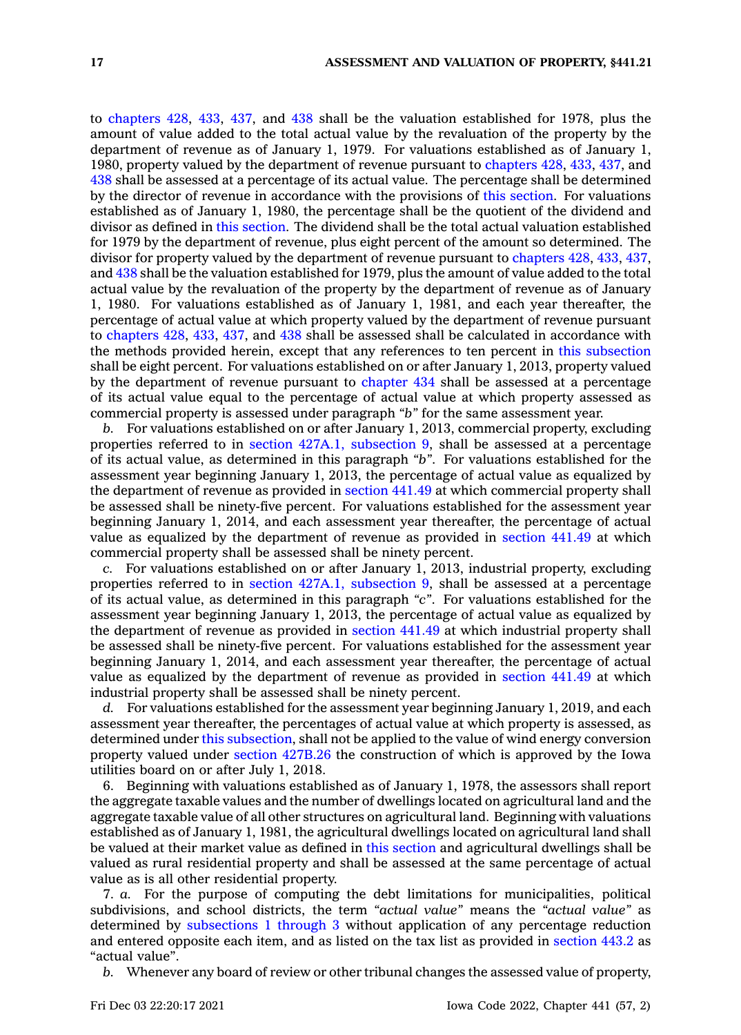to [chapters](https://www.legis.iowa.gov/docs/code//428.pdf) 428, [433](https://www.legis.iowa.gov/docs/code//433.pdf), [437](https://www.legis.iowa.gov/docs/code//437.pdf), and [438](https://www.legis.iowa.gov/docs/code//438.pdf) shall be the valuation established for 1978, plus the amount of value added to the total actual value by the revaluation of the property by the department of revenue as of January 1, 1979. For valuations established as of January 1, 1980, property valued by the department of revenue pursuant to [chapters](https://www.legis.iowa.gov/docs/code//428.pdf) 428, [433](https://www.legis.iowa.gov/docs/code//433.pdf), [437](https://www.legis.iowa.gov/docs/code//437.pdf), and [438](https://www.legis.iowa.gov/docs/code//438.pdf) shall be assessed at <sup>a</sup> percentage of its actual value. The percentage shall be determined by the director of revenue in accordance with the provisions of this [section](https://www.legis.iowa.gov/docs/code/441.21.pdf). For valuations established as of January 1, 1980, the percentage shall be the quotient of the dividend and divisor as defined in this [section](https://www.legis.iowa.gov/docs/code/441.21.pdf). The dividend shall be the total actual valuation established for 1979 by the department of revenue, plus eight percent of the amount so determined. The divisor for property valued by the department of revenue pursuant to [chapters](https://www.legis.iowa.gov/docs/code//428.pdf) 428, [433](https://www.legis.iowa.gov/docs/code//433.pdf), [437](https://www.legis.iowa.gov/docs/code//437.pdf), and [438](https://www.legis.iowa.gov/docs/code//438.pdf) shall be the valuation established for 1979, plus the amount of value added to the total actual value by the revaluation of the property by the department of revenue as of January 1, 1980. For valuations established as of January 1, 1981, and each year thereafter, the percentage of actual value at which property valued by the department of revenue pursuant to [chapters](https://www.legis.iowa.gov/docs/code//428.pdf) 428, [433](https://www.legis.iowa.gov/docs/code//433.pdf), [437](https://www.legis.iowa.gov/docs/code//437.pdf), and [438](https://www.legis.iowa.gov/docs/code//438.pdf) shall be assessed shall be calculated in accordance with the methods provided herein, except that any references to ten percent in this [subsection](https://www.legis.iowa.gov/docs/code/441.21.pdf) shall be eight percent. For valuations established on or after January 1, 2013, property valued by the department of revenue pursuant to [chapter](https://www.legis.iowa.gov/docs/code//434.pdf) 434 shall be assessed at <sup>a</sup> percentage of its actual value equal to the percentage of actual value at which property assessed as commercial property is assessed under paragraph *"b"* for the same assessment year.

*b.* For valuations established on or after January 1, 2013, commercial property, excluding properties referred to in section 427A.1, [subsection](https://www.legis.iowa.gov/docs/code/427A.1.pdf) 9, shall be assessed at <sup>a</sup> percentage of its actual value, as determined in this paragraph *"b"*. For valuations established for the assessment year beginning January 1, 2013, the percentage of actual value as equalized by the department of revenue as provided in [section](https://www.legis.iowa.gov/docs/code/441.49.pdf) 441.49 at which commercial property shall be assessed shall be ninety-five percent. For valuations established for the assessment year beginning January 1, 2014, and each assessment year thereafter, the percentage of actual value as equalized by the department of revenue as provided in [section](https://www.legis.iowa.gov/docs/code/441.49.pdf) 441.49 at which commercial property shall be assessed shall be ninety percent.

*c.* For valuations established on or after January 1, 2013, industrial property, excluding properties referred to in section 427A.1, [subsection](https://www.legis.iowa.gov/docs/code/427A.1.pdf) 9, shall be assessed at <sup>a</sup> percentage of its actual value, as determined in this paragraph *"c"*. For valuations established for the assessment year beginning January 1, 2013, the percentage of actual value as equalized by the department of revenue as provided in [section](https://www.legis.iowa.gov/docs/code/441.49.pdf) 441.49 at which industrial property shall be assessed shall be ninety-five percent. For valuations established for the assessment year beginning January 1, 2014, and each assessment year thereafter, the percentage of actual value as equalized by the department of revenue as provided in [section](https://www.legis.iowa.gov/docs/code/441.49.pdf) 441.49 at which industrial property shall be assessed shall be ninety percent.

*d.* For valuations established for the assessment year beginning January 1, 2019, and each assessment year thereafter, the percentages of actual value at which property is assessed, as determined under this [subsection](https://www.legis.iowa.gov/docs/code/441.21.pdf), shall not be applied to the value of wind energy conversion property valued under section [427B.26](https://www.legis.iowa.gov/docs/code/427B.26.pdf) the construction of which is approved by the Iowa utilities board on or after July 1, 2018.

6. Beginning with valuations established as of January 1, 1978, the assessors shall report the aggregate taxable values and the number of dwellings located on agricultural land and the aggregate taxable value of all other structures on agricultural land. Beginning with valuations established as of January 1, 1981, the agricultural dwellings located on agricultural land shall be valued at their market value as defined in this [section](https://www.legis.iowa.gov/docs/code/441.21.pdf) and agricultural dwellings shall be valued as rural residential property and shall be assessed at the same percentage of actual value as is all other residential property.

7. *a.* For the purpose of computing the debt limitations for municipalities, political subdivisions, and school districts, the term *"actual value"* means the *"actual value"* as determined by [subsections](https://www.legis.iowa.gov/docs/code/441.21.pdf) 1 through 3 without application of any percentage reduction and entered opposite each item, and as listed on the tax list as provided in [section](https://www.legis.iowa.gov/docs/code/443.2.pdf) 443.2 as "actual value".

*b.* Whenever any board of review or other tribunal changes the assessed value of property,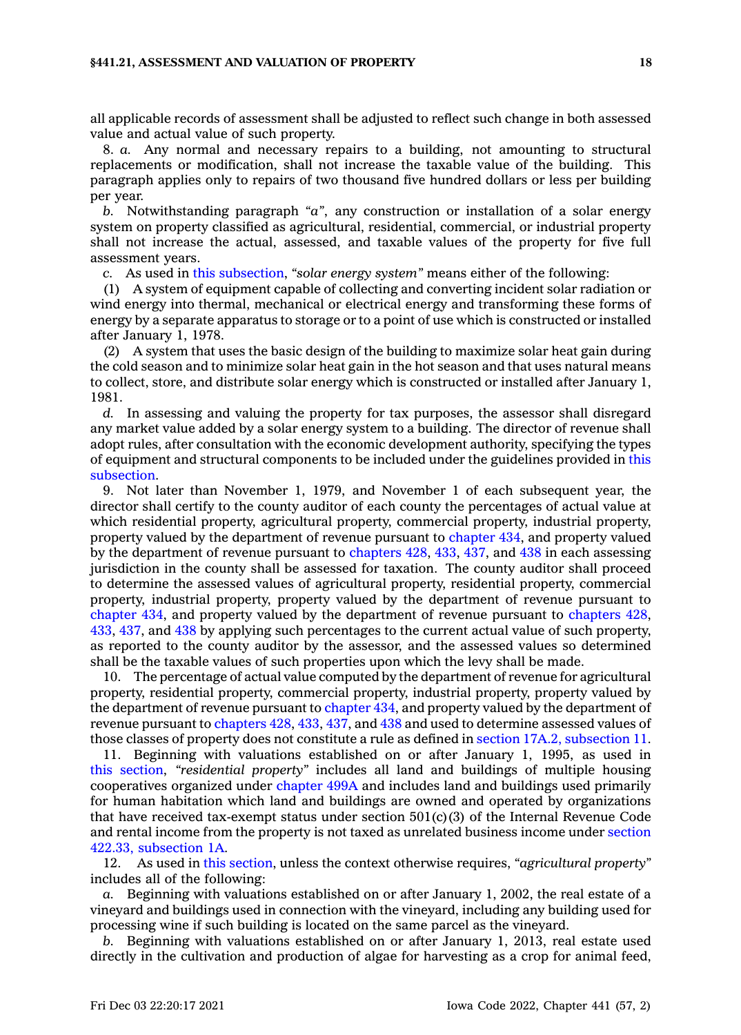#### **§441.21, ASSESSMENT AND VALUATION OF PROPERTY 18**

all applicable records of assessment shall be adjusted to reflect such change in both assessed value and actual value of such property.

8. *a.* Any normal and necessary repairs to <sup>a</sup> building, not amounting to structural replacements or modification, shall not increase the taxable value of the building. This paragraph applies only to repairs of two thousand five hundred dollars or less per building per year.

*b.* Notwithstanding paragraph *"a"*, any construction or installation of <sup>a</sup> solar energy system on property classified as agricultural, residential, commercial, or industrial property shall not increase the actual, assessed, and taxable values of the property for five full assessment years.

*c.* As used in this [subsection](https://www.legis.iowa.gov/docs/code/441.21.pdf), *"solar energy system"* means either of the following:

(1) A system of equipment capable of collecting and converting incident solar radiation or wind energy into thermal, mechanical or electrical energy and transforming these forms of energy by <sup>a</sup> separate apparatus to storage or to <sup>a</sup> point of use which is constructed or installed after January 1, 1978.

(2) A system that uses the basic design of the building to maximize solar heat gain during the cold season and to minimize solar heat gain in the hot season and that uses natural means to collect, store, and distribute solar energy which is constructed or installed after January 1, 1981.

*d.* In assessing and valuing the property for tax purposes, the assessor shall disregard any market value added by <sup>a</sup> solar energy system to <sup>a</sup> building. The director of revenue shall adopt rules, after consultation with the economic development authority, specifying the types of equipment and structural components to be included under the guidelines provided in [this](https://www.legis.iowa.gov/docs/code/441.21.pdf) [subsection](https://www.legis.iowa.gov/docs/code/441.21.pdf).

9. Not later than November 1, 1979, and November 1 of each subsequent year, the director shall certify to the county auditor of each county the percentages of actual value at which residential property, agricultural property, commercial property, industrial property, property valued by the department of revenue pursuant to [chapter](https://www.legis.iowa.gov/docs/code//434.pdf) 434, and property valued by the department of revenue pursuant to [chapters](https://www.legis.iowa.gov/docs/code//428.pdf) 428, [433](https://www.legis.iowa.gov/docs/code//433.pdf), [437](https://www.legis.iowa.gov/docs/code//437.pdf), and [438](https://www.legis.iowa.gov/docs/code//438.pdf) in each assessing jurisdiction in the county shall be assessed for taxation. The county auditor shall proceed to determine the assessed values of agricultural property, residential property, commercial property, industrial property, property valued by the department of revenue pursuant to [chapter](https://www.legis.iowa.gov/docs/code//434.pdf) 434, and property valued by the department of revenue pursuant to [chapters](https://www.legis.iowa.gov/docs/code//428.pdf) 428, [433](https://www.legis.iowa.gov/docs/code//433.pdf), [437](https://www.legis.iowa.gov/docs/code//437.pdf), and [438](https://www.legis.iowa.gov/docs/code//438.pdf) by applying such percentages to the current actual value of such property, as reported to the county auditor by the assessor, and the assessed values so determined shall be the taxable values of such properties upon which the levy shall be made.

10. The percentage of actual value computed by the department of revenue for agricultural property, residential property, commercial property, industrial property, property valued by the department of revenue pursuant to [chapter](https://www.legis.iowa.gov/docs/code//434.pdf) 434, and property valued by the department of revenue pursuant to [chapters](https://www.legis.iowa.gov/docs/code//428.pdf) 428, [433](https://www.legis.iowa.gov/docs/code//433.pdf), [437](https://www.legis.iowa.gov/docs/code//437.pdf), and [438](https://www.legis.iowa.gov/docs/code//438.pdf) and used to determine assessed values of those classes of property does not constitute <sup>a</sup> rule as defined in section 17A.2, [subsection](https://www.legis.iowa.gov/docs/code/17A.2.pdf) 11.

11. Beginning with valuations established on or after January 1, 1995, as used in this [section](https://www.legis.iowa.gov/docs/code/441.21.pdf), *"residential property"* includes all land and buildings of multiple housing cooperatives organized under [chapter](https://www.legis.iowa.gov/docs/code//499A.pdf) 499A and includes land and buildings used primarily for human habitation which land and buildings are owned and operated by organizations that have received tax-exempt status under section  $501(c)(3)$  of the Internal Revenue Code and rental income from the property is not taxed as unrelated business income under [section](https://www.legis.iowa.gov/docs/code/422.33.pdf) 422.33, [subsection](https://www.legis.iowa.gov/docs/code/422.33.pdf) 1A.

12. As used in this [section](https://www.legis.iowa.gov/docs/code/441.21.pdf), unless the context otherwise requires, *"agricultural property"* includes all of the following:

*a.* Beginning with valuations established on or after January 1, 2002, the real estate of <sup>a</sup> vineyard and buildings used in connection with the vineyard, including any building used for processing wine if such building is located on the same parcel as the vineyard.

*b.* Beginning with valuations established on or after January 1, 2013, real estate used directly in the cultivation and production of algae for harvesting as <sup>a</sup> crop for animal feed,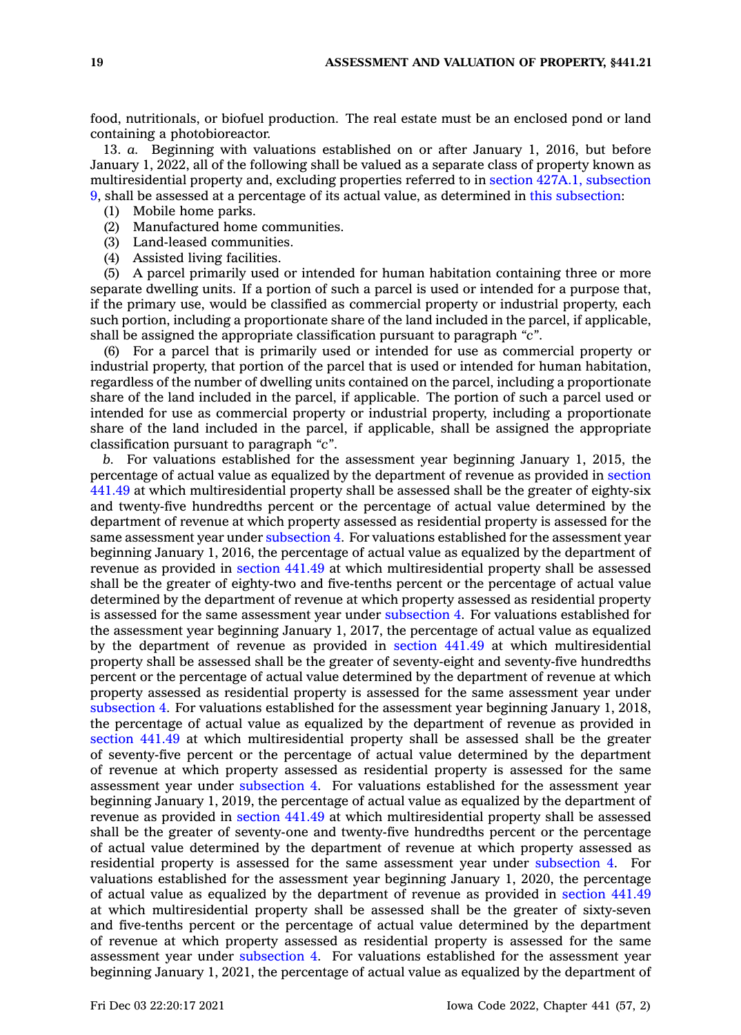food, nutritionals, or biofuel production. The real estate must be an enclosed pond or land containing <sup>a</sup> photobioreactor.

13. *a.* Beginning with valuations established on or after January 1, 2016, but before January 1, 2022, all of the following shall be valued as <sup>a</sup> separate class of property known as multiresidential property and, excluding properties referred to in section 427A.1, [subsection](https://www.legis.iowa.gov/docs/code/427A.1.pdf) [9](https://www.legis.iowa.gov/docs/code/427A.1.pdf), shall be assessed at <sup>a</sup> percentage of its actual value, as determined in this [subsection](https://www.legis.iowa.gov/docs/code/441.21.pdf):

- (1) Mobile home parks.
- (2) Manufactured home communities.
- (3) Land-leased communities.
- (4) Assisted living facilities.

(5) A parcel primarily used or intended for human habitation containing three or more separate dwelling units. If <sup>a</sup> portion of such <sup>a</sup> parcel is used or intended for <sup>a</sup> purpose that, if the primary use, would be classified as commercial property or industrial property, each such portion, including <sup>a</sup> proportionate share of the land included in the parcel, if applicable, shall be assigned the appropriate classification pursuant to paragraph *"c"*.

(6) For <sup>a</sup> parcel that is primarily used or intended for use as commercial property or industrial property, that portion of the parcel that is used or intended for human habitation, regardless of the number of dwelling units contained on the parcel, including <sup>a</sup> proportionate share of the land included in the parcel, if applicable. The portion of such <sup>a</sup> parcel used or intended for use as commercial property or industrial property, including <sup>a</sup> proportionate share of the land included in the parcel, if applicable, shall be assigned the appropriate classification pursuant to paragraph *"c"*.

*b.* For valuations established for the assessment year beginning January 1, 2015, the percentage of actual value as equalized by the department of revenue as provided in [section](https://www.legis.iowa.gov/docs/code/441.49.pdf) [441.49](https://www.legis.iowa.gov/docs/code/441.49.pdf) at which multiresidential property shall be assessed shall be the greater of eighty-six and twenty-five hundredths percent or the percentage of actual value determined by the department of revenue at which property assessed as residential property is assessed for the same assessment year under [subsection](https://www.legis.iowa.gov/docs/code/441.21.pdf) 4. For valuations established for the assessment year beginning January 1, 2016, the percentage of actual value as equalized by the department of revenue as provided in [section](https://www.legis.iowa.gov/docs/code/441.49.pdf) 441.49 at which multiresidential property shall be assessed shall be the greater of eighty-two and five-tenths percent or the percentage of actual value determined by the department of revenue at which property assessed as residential property is assessed for the same assessment year under [subsection](https://www.legis.iowa.gov/docs/code/441.21.pdf) 4. For valuations established for the assessment year beginning January 1, 2017, the percentage of actual value as equalized by the department of revenue as provided in [section](https://www.legis.iowa.gov/docs/code/441.49.pdf) 441.49 at which multiresidential property shall be assessed shall be the greater of seventy-eight and seventy-five hundredths percent or the percentage of actual value determined by the department of revenue at which property assessed as residential property is assessed for the same assessment year under [subsection](https://www.legis.iowa.gov/docs/code/441.21.pdf) 4. For valuations established for the assessment year beginning January 1, 2018, the percentage of actual value as equalized by the department of revenue as provided in [section](https://www.legis.iowa.gov/docs/code/441.49.pdf) 441.49 at which multiresidential property shall be assessed shall be the greater of seventy-five percent or the percentage of actual value determined by the department of revenue at which property assessed as residential property is assessed for the same assessment year under [subsection](https://www.legis.iowa.gov/docs/code/441.21.pdf) 4. For valuations established for the assessment year beginning January 1, 2019, the percentage of actual value as equalized by the department of revenue as provided in [section](https://www.legis.iowa.gov/docs/code/441.49.pdf) 441.49 at which multiresidential property shall be assessed shall be the greater of seventy-one and twenty-five hundredths percent or the percentage of actual value determined by the department of revenue at which property assessed as residential property is assessed for the same assessment year under [subsection](https://www.legis.iowa.gov/docs/code/441.21.pdf) 4. For valuations established for the assessment year beginning January 1, 2020, the percentage of actual value as equalized by the department of revenue as provided in [section](https://www.legis.iowa.gov/docs/code/441.49.pdf) 441.49 at which multiresidential property shall be assessed shall be the greater of sixty-seven and five-tenths percent or the percentage of actual value determined by the department of revenue at which property assessed as residential property is assessed for the same assessment year under [subsection](https://www.legis.iowa.gov/docs/code/441.21.pdf) 4. For valuations established for the assessment year beginning January 1, 2021, the percentage of actual value as equalized by the department of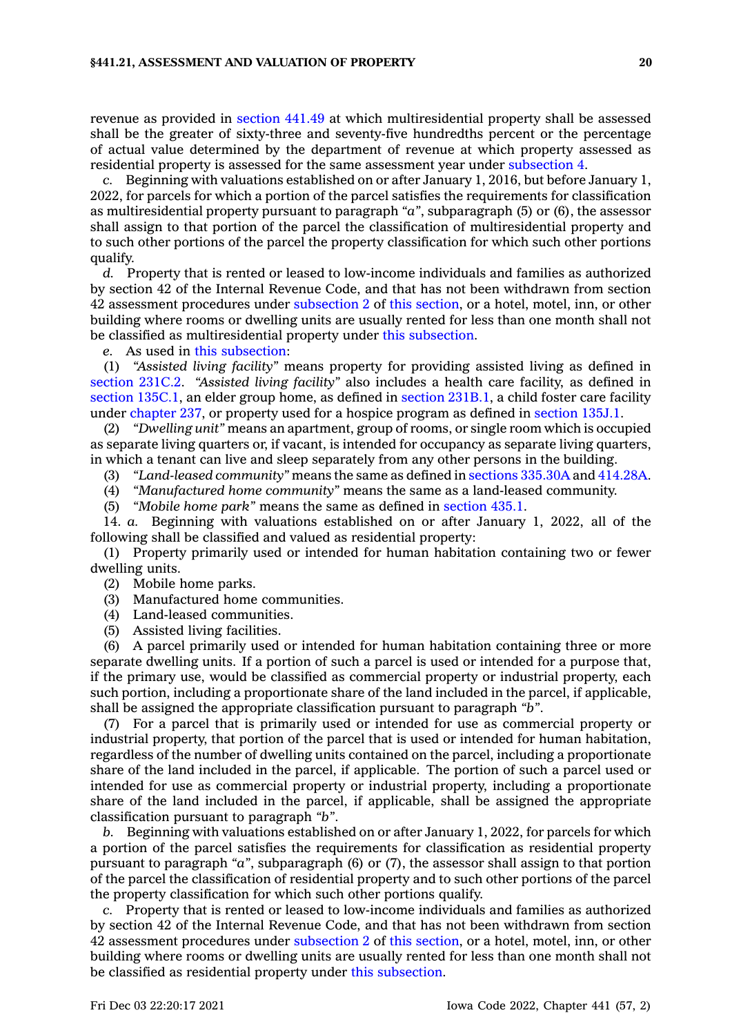revenue as provided in [section](https://www.legis.iowa.gov/docs/code/441.49.pdf) 441.49 at which multiresidential property shall be assessed shall be the greater of sixty-three and seventy-five hundredths percent or the percentage of actual value determined by the department of revenue at which property assessed as residential property is assessed for the same assessment year under [subsection](https://www.legis.iowa.gov/docs/code/441.21.pdf) 4.

*c.* Beginning with valuations established on or after January 1, 2016, but before January 1, 2022, for parcels for which <sup>a</sup> portion of the parcel satisfies the requirements for classification as multiresidential property pursuant to paragraph *"a"*, subparagraph (5) or (6), the assessor shall assign to that portion of the parcel the classification of multiresidential property and to such other portions of the parcel the property classification for which such other portions qualify.

*d.* Property that is rented or leased to low-income individuals and families as authorized by section 42 of the Internal Revenue Code, and that has not been withdrawn from section 42 assessment procedures under [subsection](https://www.legis.iowa.gov/docs/code/441.21.pdf) 2 of this [section](https://www.legis.iowa.gov/docs/code/441.21.pdf), or <sup>a</sup> hotel, motel, inn, or other building where rooms or dwelling units are usually rented for less than one month shall not be classified as multiresidential property under this [subsection](https://www.legis.iowa.gov/docs/code/441.21.pdf).

*e.* As used in this [subsection](https://www.legis.iowa.gov/docs/code/441.21.pdf):

(1) *"Assisted living facility"* means property for providing assisted living as defined in [section](https://www.legis.iowa.gov/docs/code/231C.2.pdf) 231C.2. *"Assisted living facility"* also includes <sup>a</sup> health care facility, as defined in section [135C.1](https://www.legis.iowa.gov/docs/code/135C.1.pdf), an elder group home, as defined in section [231B.1](https://www.legis.iowa.gov/docs/code/231B.1.pdf), <sup>a</sup> child foster care facility under [chapter](https://www.legis.iowa.gov/docs/code//237.pdf) 237, or property used for a hospice program as defined in [section](https://www.legis.iowa.gov/docs/code/135J.1.pdf) 135J.1.

(2) *"Dwelling unit"* means an apartment, group of rooms, or single room which is occupied as separate living quarters or, if vacant, is intended for occupancy as separate living quarters, in which <sup>a</sup> tenant can live and sleep separately from any other persons in the building.

(3) *"Land-leased community"* means the same as defined in sections [335.30A](https://www.legis.iowa.gov/docs/code/335.30A.pdf) and [414.28A](https://www.legis.iowa.gov/docs/code/414.28A.pdf).

(4) *"Manufactured home community"* means the same as <sup>a</sup> land-leased community.

(5) *"Mobile home park"* means the same as defined in [section](https://www.legis.iowa.gov/docs/code/435.1.pdf) 435.1.

14. *a.* Beginning with valuations established on or after January 1, 2022, all of the following shall be classified and valued as residential property:

(1) Property primarily used or intended for human habitation containing two or fewer dwelling units.

(2) Mobile home parks.

(3) Manufactured home communities.

(4) Land-leased communities.

(5) Assisted living facilities.

(6) A parcel primarily used or intended for human habitation containing three or more separate dwelling units. If <sup>a</sup> portion of such <sup>a</sup> parcel is used or intended for <sup>a</sup> purpose that, if the primary use, would be classified as commercial property or industrial property, each such portion, including <sup>a</sup> proportionate share of the land included in the parcel, if applicable, shall be assigned the appropriate classification pursuant to paragraph *"b"*.

(7) For <sup>a</sup> parcel that is primarily used or intended for use as commercial property or industrial property, that portion of the parcel that is used or intended for human habitation, regardless of the number of dwelling units contained on the parcel, including <sup>a</sup> proportionate share of the land included in the parcel, if applicable. The portion of such <sup>a</sup> parcel used or intended for use as commercial property or industrial property, including <sup>a</sup> proportionate share of the land included in the parcel, if applicable, shall be assigned the appropriate classification pursuant to paragraph *"b"*.

*b.* Beginning with valuations established on or after January 1, 2022, for parcels for which <sup>a</sup> portion of the parcel satisfies the requirements for classification as residential property pursuant to paragraph *"a"*, subparagraph (6) or (7), the assessor shall assign to that portion of the parcel the classification of residential property and to such other portions of the parcel the property classification for which such other portions qualify.

*c.* Property that is rented or leased to low-income individuals and families as authorized by section 42 of the Internal Revenue Code, and that has not been withdrawn from section 42 assessment procedures under [subsection](https://www.legis.iowa.gov/docs/code/441.21.pdf) 2 of this [section](https://www.legis.iowa.gov/docs/code/441.21.pdf), or <sup>a</sup> hotel, motel, inn, or other building where rooms or dwelling units are usually rented for less than one month shall not be classified as residential property under this [subsection](https://www.legis.iowa.gov/docs/code/441.21.pdf).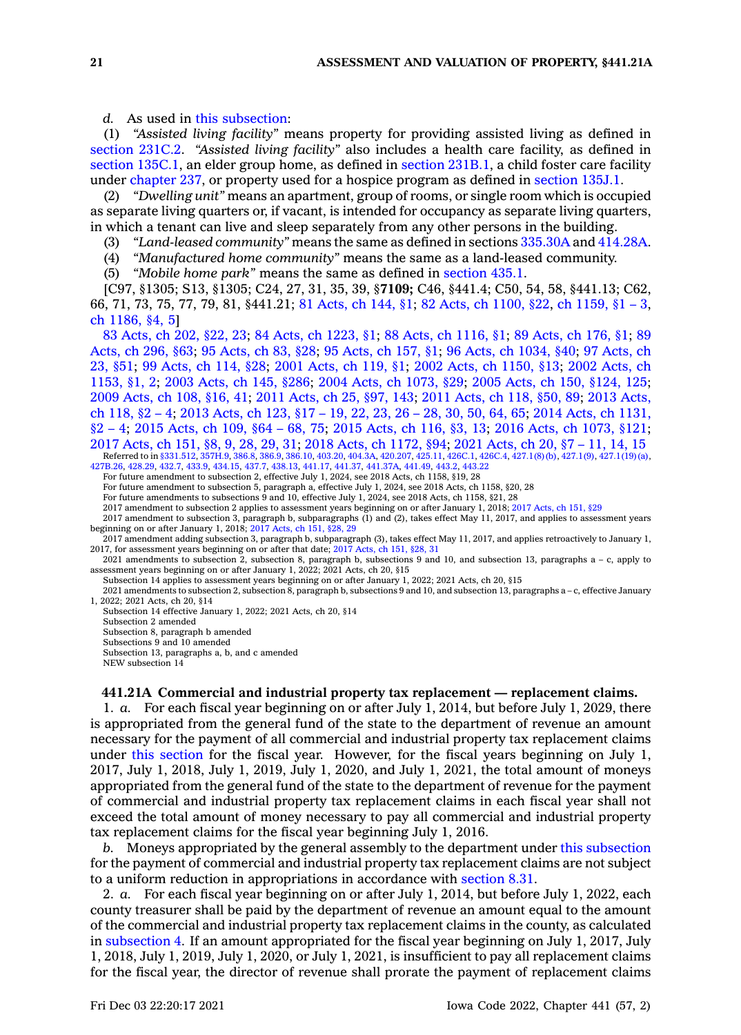*d.* As used in this [subsection](https://www.legis.iowa.gov/docs/code/441.21.pdf):

(1) *"Assisted living facility"* means property for providing assisted living as defined in [section](https://www.legis.iowa.gov/docs/code/231C.2.pdf) 231C.2. *"Assisted living facility"* also includes <sup>a</sup> health care facility, as defined in section [135C.1](https://www.legis.iowa.gov/docs/code/135C.1.pdf), an elder group home, as defined in section [231B.1](https://www.legis.iowa.gov/docs/code/231B.1.pdf), <sup>a</sup> child foster care facility under [chapter](https://www.legis.iowa.gov/docs/code//237.pdf) 237, or property used for <sup>a</sup> hospice program as defined in [section](https://www.legis.iowa.gov/docs/code/135J.1.pdf) 135J.1.

(2) *"Dwelling unit"* means an apartment, group of rooms, or single room which is occupied as separate living quarters or, if vacant, is intended for occupancy as separate living quarters, in which <sup>a</sup> tenant can live and sleep separately from any other persons in the building.

(3) *"Land-leased community"* means the same as defined in sections [335.30A](https://www.legis.iowa.gov/docs/code/335.30A.pdf) and [414.28A](https://www.legis.iowa.gov/docs/code/414.28A.pdf).

(4) *"Manufactured home community"* means the same as <sup>a</sup> land-leased community.

(5) *"Mobile home park"* means the same as defined in [section](https://www.legis.iowa.gov/docs/code/435.1.pdf) 435.1.

[C97, §1305; S13, §1305; C24, 27, 31, 35, 39, §**7109;** C46, §441.4; C50, 54, 58, §441.13; C62, 66, 71, 73, 75, 77, 79, 81, §441.21; 81 [Acts,](https://www.legis.iowa.gov/docs/acts/1981/CH0144.pdf) ch 144, §1; 82 Acts, ch [1100,](https://www.legis.iowa.gov/docs/acts/1982/CH1100.pdf) §22, ch [1159,](https://www.legis.iowa.gov/docs/acts/1982/CH1159.pdf) §1 – 3, ch [1186,](https://www.legis.iowa.gov/docs/acts/1982/CH1186.pdf) §4, 5]

83 [Acts,](https://www.legis.iowa.gov/docs/acts/1983/CH0202.pdf) ch 202, §22, 23; 84 Acts, ch [1223,](https://www.legis.iowa.gov/docs/acts/84/CH1223.pdf) §1; 88 Acts, ch [1116,](https://www.legis.iowa.gov/docs/acts/88/CH1116.pdf) §1; 89 [Acts,](https://www.legis.iowa.gov/docs/acts/89/CH0176.pdf) ch 176, §1; [89](https://www.legis.iowa.gov/docs/acts/89/CH0296.pdf) [Acts,](https://www.legis.iowa.gov/docs/acts/89/CH0296.pdf) ch 296, §63; 95 [Acts,](https://www.legis.iowa.gov/docs/acts/95/CH0083.pdf) ch 83, §28; 95 [Acts,](https://www.legis.iowa.gov/docs/acts/95/CH0157.pdf) ch 157, §1; 96 Acts, ch [1034,](https://www.legis.iowa.gov/docs/acts/96/CH1034.pdf) §40; 97 [Acts,](https://www.legis.iowa.gov/docs/acts/97/CH0023.pdf) ch 23, [§51](https://www.legis.iowa.gov/docs/acts/97/CH0023.pdf); 99 [Acts,](https://www.legis.iowa.gov/docs/acts/99/CH0114.pdf) ch 114, §28; 2001 [Acts,](https://www.legis.iowa.gov/docs/acts/2001/CH0119.pdf) ch 119, §1; 2002 Acts, ch [1150,](https://www.legis.iowa.gov/docs/acts/2002/CH1150.pdf) §13; 2002 [Acts,](https://www.legis.iowa.gov/docs/acts/2002/CH1153.pdf) ch [1153,](https://www.legis.iowa.gov/docs/acts/2002/CH1153.pdf) §1, 2; 2003 [Acts,](https://www.legis.iowa.gov/docs/acts/2003/CH0145.pdf) ch 145, §286; 2004 Acts, ch [1073,](https://www.legis.iowa.gov/docs/acts/2004/CH1073.pdf) §29; 2005 Acts, ch 150, [§124,](https://www.legis.iowa.gov/docs/acts/2005/CH0150.pdf) 125; 2009 [Acts,](https://www.legis.iowa.gov/docs/acts/2009/CH0108.pdf) ch 108, §16, 41; 2011 [Acts,](https://www.legis.iowa.gov/docs/acts/2011/CH0025.pdf) ch 25, §97, 143; 2011 [Acts,](https://www.legis.iowa.gov/docs/acts/2011/CH0118.pdf) ch 118, §50, 89; 2013 [Acts,](https://www.legis.iowa.gov/docs/acts/2013/CH0118.pdf) ch [118,](https://www.legis.iowa.gov/docs/acts/2013/CH0118.pdf) §2 – 4; 2013 [Acts,](https://www.legis.iowa.gov/docs/acts/2013/CH0123.pdf) ch 123, §17 – 19, 22, 23, 26 – 28, 30, 50, 64, 65; 2014 Acts, ch [1131,](https://www.legis.iowa.gov/docs/acts/2014/CH1131.pdf) [§2](https://www.legis.iowa.gov/docs/acts/2014/CH1131.pdf) – 4; 2015 [Acts,](https://www.legis.iowa.gov/docs/acts/2015/CH0109.pdf) ch 109, §64 – 68, 75; 2015 [Acts,](https://www.legis.iowa.gov/docs/acts/2015/CH0116.pdf) ch 116, §3, 13; 2016 Acts, ch [1073,](https://www.legis.iowa.gov/docs/acts/2016/CH1073.pdf) §121; 2017 [Acts,](https://www.legis.iowa.gov/docs/acts/2017/CH0151.pdf) ch 151, §8, 9, 28, 29, 31; 2018 Acts, ch [1172,](https://www.legis.iowa.gov/docs/acts/2018/CH1172.pdf) §94; 2021 [Acts,](https://www.legis.iowa.gov/docs/acts/2021/CH0020.pdf) ch 20, §7 – 11, 14, 15 Referred to in [§331.512](https://www.legis.iowa.gov/docs/code/331.512.pdf), [357H.9](https://www.legis.iowa.gov/docs/code/357H.9.pdf), [386.8](https://www.legis.iowa.gov/docs/code/386.8.pdf), [386.9](https://www.legis.iowa.gov/docs/code/386.9.pdf), [386.10](https://www.legis.iowa.gov/docs/code/386.10.pdf), [403.20](https://www.legis.iowa.gov/docs/code/403.20.pdf), [404.3A](https://www.legis.iowa.gov/docs/code/404.3A.pdf), [420.207](https://www.legis.iowa.gov/docs/code/420.207.pdf), [425.11](https://www.legis.iowa.gov/docs/code/425.11.pdf), [426C.1](https://www.legis.iowa.gov/docs/code/426C.1.pdf), [426C.4,](https://www.legis.iowa.gov/docs/code/426C.4.pdf) [427.1\(8\)\(b\),](https://www.legis.iowa.gov/docs/code/427.1.pdf) [427.1\(9\)](https://www.legis.iowa.gov/docs/code/427.1.pdf), [427.1\(19\)\(a\)](https://www.legis.iowa.gov/docs/code/427.1.pdf)<br>[427B.26,](https://www.legis.iowa.gov/docs/code/427B.26.pdf) [428.29](https://www.legis.iowa.gov/docs/code/428.29.pdf), [432.7](https://www.legis.iowa.gov/docs/code/432.7.pdf), [433.9,](https://www.legis.iowa.gov/docs/code/433.9.pdf) [434.15](https://www.legis.iowa.gov/docs/code/434.15.pdf), [437.7](https://www.legis.iowa.gov/docs/code/437.7.pdf), [438.13](https://www.legis.iowa.gov/docs/code/438.13.pdf), [441.17](https://www.legis.iowa.gov/docs/code/441.17.pdf), [441.37,](https://www.legis.iowa.gov/docs/code/441.37.pdf) [441.37A](https://www.legis.iowa.gov/docs/code/441.37A.pdf), 441

For future amendment to subsection 2, effective July 1, 2024, see 2018 Acts, ch 1158, §19, 28

For future amendment to subsection 5, paragraph a, effective July 1, 2024, see 2018 Acts, ch 1158, §20, 28 For future amendments to subsections 9 and 10, effective July 1, 2024, see 2018 Acts, ch 1158, §21, 28

2017 amendment to subsection 2 applies to assessment years beginning on or after January 1, 2018; 2017 [Acts,](https://www.legis.iowa.gov/docs/acts/2017/CH0151.pdf) ch 151, §29

2017 amendment to subsection 3, paragraph b, subparagraphs (1) and (2), takes effect May 11, 2017, and applies to assessment years beginning on or after January 1, 2018; 2017 [Acts,](https://www.legis.iowa.gov/docs/acts/2017/CH0151.pdf) ch 151, §28, 29

2017 amendment adding subsection 3, paragraph b, subparagraph (3), takes effect May 11, 2017, and applies retroactively to January 1, 2017, for assessment years beginning on or after that date; 2017 [Acts,](https://www.legis.iowa.gov/docs/acts/2017/CH0151.pdf) ch 151, §28, 31

2021 amendments to subsection 2, subsection 8, paragraph b, subsections 9 and 10, and subsection 13, paragraphs <sup>a</sup> – c, apply to assessment years beginning on or after January 1, 2022; 2021 Acts, ch 20, §15

Subsection 14 applies to assessment years beginning on or after January 1, 2022; 2021 Acts, ch 20, §15

2021 amendments to subsection 2, subsection 8, paragraph b, subsections 9 and 10, and subsection 13, paragraphs <sup>a</sup> – c, effective January 1, 2022; 2021 Acts, ch 20, §14

Subsection 14 effective January 1, 2022; 2021 Acts, ch 20, §14 Subsection 2 amended Subsection 8, paragraph b amended Subsections 9 and 10 amended Subsection 13, paragraphs a, b, and <sup>c</sup> amended NEW subsection 14

#### **441.21A Commercial and industrial property tax replacement — replacement claims.**

1. *a.* For each fiscal year beginning on or after July 1, 2014, but before July 1, 2029, there is appropriated from the general fund of the state to the department of revenue an amount necessary for the payment of all commercial and industrial property tax replacement claims under this [section](https://www.legis.iowa.gov/docs/code/441.21A.pdf) for the fiscal year. However, for the fiscal years beginning on July 1, 2017, July 1, 2018, July 1, 2019, July 1, 2020, and July 1, 2021, the total amount of moneys appropriated from the general fund of the state to the department of revenue for the payment of commercial and industrial property tax replacement claims in each fiscal year shall not exceed the total amount of money necessary to pay all commercial and industrial property tax replacement claims for the fiscal year beginning July 1, 2016.

*b.* Moneys appropriated by the general assembly to the department under this [subsection](https://www.legis.iowa.gov/docs/code/441.21A.pdf) for the payment of commercial and industrial property tax replacement claims are not subject to <sup>a</sup> uniform reduction in appropriations in accordance with [section](https://www.legis.iowa.gov/docs/code/8.31.pdf) 8.31.

2. *a.* For each fiscal year beginning on or after July 1, 2014, but before July 1, 2022, each county treasurer shall be paid by the department of revenue an amount equal to the amount of the commercial and industrial property tax replacement claims in the county, as calculated in [subsection](https://www.legis.iowa.gov/docs/code/441.21A.pdf) 4. If an amount appropriated for the fiscal year beginning on July 1, 2017, July 1, 2018, July 1, 2019, July 1, 2020, or July 1, 2021, is insufficient to pay all replacement claims for the fiscal year, the director of revenue shall prorate the payment of replacement claims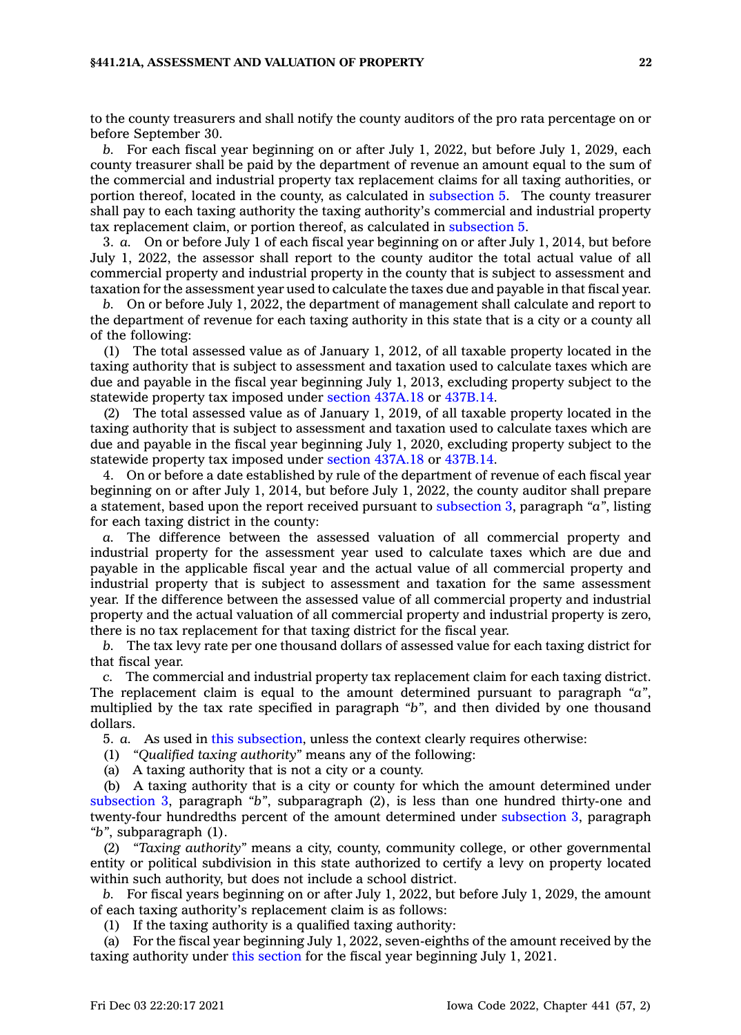#### **§441.21A, ASSESSMENT AND VALUATION OF PROPERTY 22**

to the county treasurers and shall notify the county auditors of the pro rata percentage on or before September 30.

*b.* For each fiscal year beginning on or after July 1, 2022, but before July 1, 2029, each county treasurer shall be paid by the department of revenue an amount equal to the sum of the commercial and industrial property tax replacement claims for all taxing authorities, or portion thereof, located in the county, as calculated in [subsection](https://www.legis.iowa.gov/docs/code/441.21A.pdf) 5. The county treasurer shall pay to each taxing authority the taxing authority's commercial and industrial property tax replacement claim, or portion thereof, as calculated in [subsection](https://www.legis.iowa.gov/docs/code/441.21A.pdf) 5.

3. *a.* On or before July 1 of each fiscal year beginning on or after July 1, 2014, but before July 1, 2022, the assessor shall report to the county auditor the total actual value of all commercial property and industrial property in the county that is subject to assessment and taxation for the assessment year used to calculate the taxes due and payable in that fiscal year.

*b.* On or before July 1, 2022, the department of management shall calculate and report to the department of revenue for each taxing authority in this state that is <sup>a</sup> city or <sup>a</sup> county all of the following:

(1) The total assessed value as of January 1, 2012, of all taxable property located in the taxing authority that is subject to assessment and taxation used to calculate taxes which are due and payable in the fiscal year beginning July 1, 2013, excluding property subject to the statewide property tax imposed under section [437A.18](https://www.legis.iowa.gov/docs/code/437A.18.pdf) or [437B.14](https://www.legis.iowa.gov/docs/code/437B.14.pdf).

(2) The total assessed value as of January 1, 2019, of all taxable property located in the taxing authority that is subject to assessment and taxation used to calculate taxes which are due and payable in the fiscal year beginning July 1, 2020, excluding property subject to the statewide property tax imposed under section [437A.18](https://www.legis.iowa.gov/docs/code/437A.18.pdf) or [437B.14](https://www.legis.iowa.gov/docs/code/437B.14.pdf).

4. On or before <sup>a</sup> date established by rule of the department of revenue of each fiscal year beginning on or after July 1, 2014, but before July 1, 2022, the county auditor shall prepare <sup>a</sup> statement, based upon the report received pursuant to [subsection](https://www.legis.iowa.gov/docs/code/441.21A.pdf) 3, paragraph *"a"*, listing for each taxing district in the county:

*a.* The difference between the assessed valuation of all commercial property and industrial property for the assessment year used to calculate taxes which are due and payable in the applicable fiscal year and the actual value of all commercial property and industrial property that is subject to assessment and taxation for the same assessment year. If the difference between the assessed value of all commercial property and industrial property and the actual valuation of all commercial property and industrial property is zero, there is no tax replacement for that taxing district for the fiscal year.

*b.* The tax levy rate per one thousand dollars of assessed value for each taxing district for that fiscal year.

*c.* The commercial and industrial property tax replacement claim for each taxing district. The replacement claim is equal to the amount determined pursuant to paragraph *"a"*, multiplied by the tax rate specified in paragraph *"b"*, and then divided by one thousand dollars.

5. *a.* As used in this [subsection](https://www.legis.iowa.gov/docs/code/441.21A.pdf), unless the context clearly requires otherwise:

(1) *"Qualified taxing authority"* means any of the following:

(a) A taxing authority that is not <sup>a</sup> city or <sup>a</sup> county.

(b) A taxing authority that is <sup>a</sup> city or county for which the amount determined under [subsection](https://www.legis.iowa.gov/docs/code/441.21A.pdf) 3, paragraph *"b"*, subparagraph (2), is less than one hundred thirty-one and twenty-four hundredths percent of the amount determined under [subsection](https://www.legis.iowa.gov/docs/code/441.21A.pdf) 3, paragraph *"b"*, subparagraph (1).

(2) *"Taxing authority"* means <sup>a</sup> city, county, community college, or other governmental entity or political subdivision in this state authorized to certify <sup>a</sup> levy on property located within such authority, but does not include <sup>a</sup> school district.

*b.* For fiscal years beginning on or after July 1, 2022, but before July 1, 2029, the amount of each taxing authority's replacement claim is as follows:

(1) If the taxing authority is <sup>a</sup> qualified taxing authority:

(a) For the fiscal year beginning July 1, 2022, seven-eighths of the amount received by the taxing authority under this [section](https://www.legis.iowa.gov/docs/code/441.21A.pdf) for the fiscal year beginning July 1, 2021.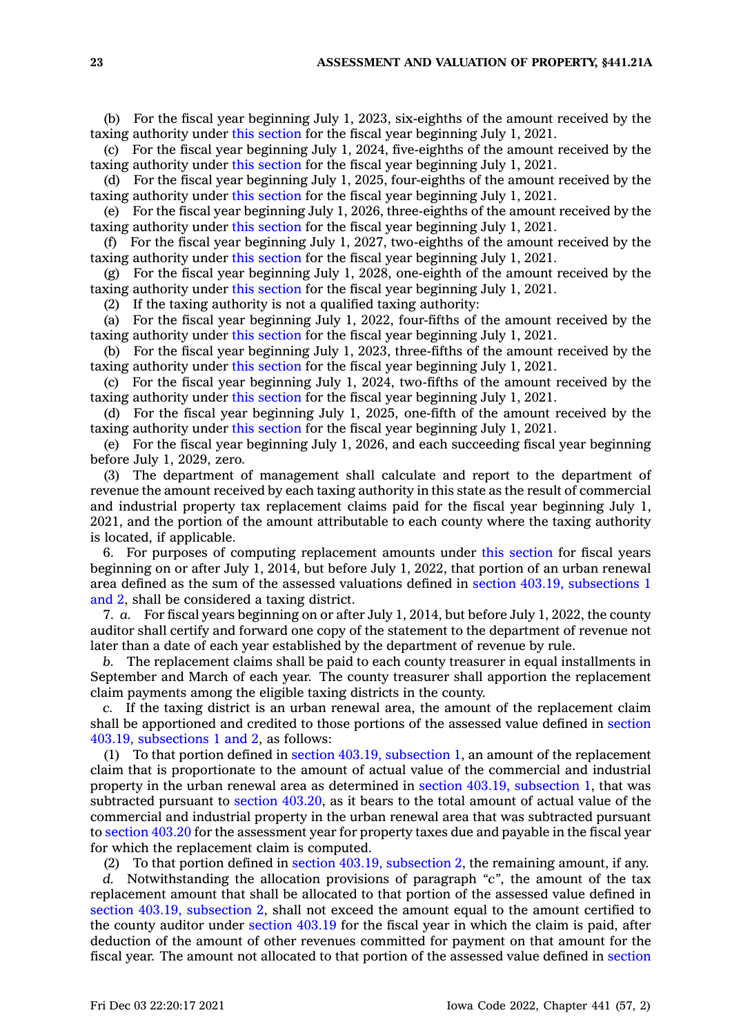(b) For the fiscal year beginning July 1, 2023, six-eighths of the amount received by the taxing authority under this [section](https://www.legis.iowa.gov/docs/code/441.21A.pdf) for the fiscal year beginning July 1, 2021.

(c) For the fiscal year beginning July 1, 2024, five-eighths of the amount received by the taxing authority under this [section](https://www.legis.iowa.gov/docs/code/441.21A.pdf) for the fiscal year beginning July 1, 2021.

(d) For the fiscal year beginning July 1, 2025, four-eighths of the amount received by the taxing authority under this [section](https://www.legis.iowa.gov/docs/code/441.21A.pdf) for the fiscal year beginning July 1, 2021.

(e) For the fiscal year beginning July 1, 2026, three-eighths of the amount received by the taxing authority under this [section](https://www.legis.iowa.gov/docs/code/441.21A.pdf) for the fiscal year beginning July 1, 2021.

(f) For the fiscal year beginning July 1, 2027, two-eighths of the amount received by the taxing authority under this [section](https://www.legis.iowa.gov/docs/code/441.21A.pdf) for the fiscal year beginning July 1, 2021.

(g) For the fiscal year beginning July 1, 2028, one-eighth of the amount received by the taxing authority under this [section](https://www.legis.iowa.gov/docs/code/441.21A.pdf) for the fiscal year beginning July 1, 2021.

(2) If the taxing authority is not <sup>a</sup> qualified taxing authority:

(a) For the fiscal year beginning July 1, 2022, four-fifths of the amount received by the taxing authority under this [section](https://www.legis.iowa.gov/docs/code/441.21A.pdf) for the fiscal year beginning July 1, 2021.

(b) For the fiscal year beginning July 1, 2023, three-fifths of the amount received by the taxing authority under this [section](https://www.legis.iowa.gov/docs/code/441.21A.pdf) for the fiscal year beginning July 1, 2021.

(c) For the fiscal year beginning July 1, 2024, two-fifths of the amount received by the taxing authority under this [section](https://www.legis.iowa.gov/docs/code/441.21A.pdf) for the fiscal year beginning July 1, 2021.

(d) For the fiscal year beginning July 1, 2025, one-fifth of the amount received by the taxing authority under this [section](https://www.legis.iowa.gov/docs/code/441.21A.pdf) for the fiscal year beginning July 1, 2021.

(e) For the fiscal year beginning July 1, 2026, and each succeeding fiscal year beginning before July 1, 2029, zero.

(3) The department of management shall calculate and report to the department of revenue the amount received by each taxing authority in this state as the result of commercial and industrial property tax replacement claims paid for the fiscal year beginning July 1, 2021, and the portion of the amount attributable to each county where the taxing authority is located, if applicable.

6. For purposes of computing replacement amounts under this [section](https://www.legis.iowa.gov/docs/code/441.21A.pdf) for fiscal years beginning on or after July 1, 2014, but before July 1, 2022, that portion of an urban renewal area defined as the sum of the assessed valuations defined in section 403.19, [subsections](https://www.legis.iowa.gov/docs/code/403.19.pdf) 1 [and](https://www.legis.iowa.gov/docs/code/403.19.pdf) 2, shall be considered <sup>a</sup> taxing district.

7. *a.* For fiscal years beginning on or after July 1, 2014, but before July 1, 2022, the county auditor shall certify and forward one copy of the statement to the department of revenue not later than <sup>a</sup> date of each year established by the department of revenue by rule.

*b.* The replacement claims shall be paid to each county treasurer in equal installments in September and March of each year. The county treasurer shall apportion the replacement claim payments among the eligible taxing districts in the county.

*c.* If the taxing district is an urban renewal area, the amount of the replacement claim shall be apportioned and credited to those portions of the assessed value defined in [section](https://www.legis.iowa.gov/docs/code/403.19.pdf) 403.19, [subsections](https://www.legis.iowa.gov/docs/code/403.19.pdf) 1 and 2, as follows:

(1) To that portion defined in section 403.19, [subsection](https://www.legis.iowa.gov/docs/code/403.19.pdf) 1, an amount of the replacement claim that is proportionate to the amount of actual value of the commercial and industrial property in the urban renewal area as determined in section 403.19, [subsection](https://www.legis.iowa.gov/docs/code/403.19.pdf) 1, that was subtracted pursuant to section [403.20](https://www.legis.iowa.gov/docs/code/403.20.pdf), as it bears to the total amount of actual value of the commercial and industrial property in the urban renewal area that was subtracted pursuant to [section](https://www.legis.iowa.gov/docs/code/403.20.pdf) 403.20 for the assessment year for property taxes due and payable in the fiscal year for which the replacement claim is computed.

(2) To that portion defined in section 403.19, [subsection](https://www.legis.iowa.gov/docs/code/403.19.pdf) 2, the remaining amount, if any.

*d.* Notwithstanding the allocation provisions of paragraph *"c"*, the amount of the tax replacement amount that shall be allocated to that portion of the assessed value defined in section 403.19, [subsection](https://www.legis.iowa.gov/docs/code/403.19.pdf) 2, shall not exceed the amount equal to the amount certified to the county auditor under [section](https://www.legis.iowa.gov/docs/code/403.19.pdf) 403.19 for the fiscal year in which the claim is paid, after deduction of the amount of other revenues committed for payment on that amount for the fiscal year. The amount not allocated to that portion of the assessed value defined in [section](https://www.legis.iowa.gov/docs/code/403.19.pdf)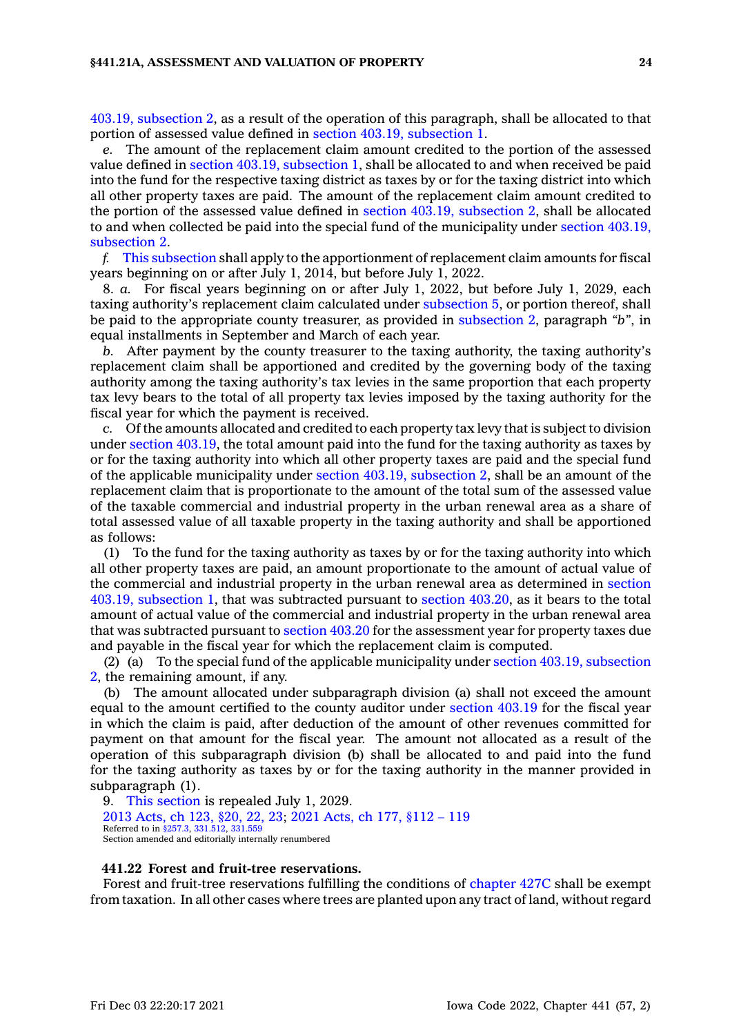#### **§441.21A, ASSESSMENT AND VALUATION OF PROPERTY 24**

403.19, [subsection](https://www.legis.iowa.gov/docs/code/403.19.pdf) 2, as <sup>a</sup> result of the operation of this paragraph, shall be allocated to that portion of assessed value defined in section 403.19, [subsection](https://www.legis.iowa.gov/docs/code/403.19.pdf) 1.

*e.* The amount of the replacement claim amount credited to the portion of the assessed value defined in section 403.19, [subsection](https://www.legis.iowa.gov/docs/code/403.19.pdf) 1, shall be allocated to and when received be paid into the fund for the respective taxing district as taxes by or for the taxing district into which all other property taxes are paid. The amount of the replacement claim amount credited to the portion of the assessed value defined in section 403.19, [subsection](https://www.legis.iowa.gov/docs/code/403.19.pdf) 2, shall be allocated to and when collected be paid into the special fund of the municipality under section [403.19,](https://www.legis.iowa.gov/docs/code/403.19.pdf) [subsection](https://www.legis.iowa.gov/docs/code/403.19.pdf) 2.

*f.* This [subsection](https://www.legis.iowa.gov/docs/code/441.21A.pdf) shall apply to the apportionment of replacement claim amounts for fiscal years beginning on or after July 1, 2014, but before July 1, 2022.

8. *a.* For fiscal years beginning on or after July 1, 2022, but before July 1, 2029, each taxing authority's replacement claim calculated under [subsection](https://www.legis.iowa.gov/docs/code/441.21A.pdf) 5, or portion thereof, shall be paid to the appropriate county treasurer, as provided in [subsection](https://www.legis.iowa.gov/docs/code/441.21A.pdf) 2, paragraph *"b"*, in equal installments in September and March of each year.

*b.* After payment by the county treasurer to the taxing authority, the taxing authority's replacement claim shall be apportioned and credited by the governing body of the taxing authority among the taxing authority's tax levies in the same proportion that each property tax levy bears to the total of all property tax levies imposed by the taxing authority for the fiscal year for which the payment is received.

*c.* Of the amounts allocated and credited to each property tax levy that is subject to division under section [403.19](https://www.legis.iowa.gov/docs/code/403.19.pdf), the total amount paid into the fund for the taxing authority as taxes by or for the taxing authority into which all other property taxes are paid and the special fund of the applicable municipality under section 403.19, [subsection](https://www.legis.iowa.gov/docs/code/403.19.pdf) 2, shall be an amount of the replacement claim that is proportionate to the amount of the total sum of the assessed value of the taxable commercial and industrial property in the urban renewal area as <sup>a</sup> share of total assessed value of all taxable property in the taxing authority and shall be apportioned as follows:

(1) To the fund for the taxing authority as taxes by or for the taxing authority into which all other property taxes are paid, an amount proportionate to the amount of actual value of the commercial and industrial property in the urban renewal area as determined in [section](https://www.legis.iowa.gov/docs/code/403.19.pdf) 403.19, [subsection](https://www.legis.iowa.gov/docs/code/403.19.pdf) 1, that was subtracted pursuant to section [403.20](https://www.legis.iowa.gov/docs/code/403.20.pdf), as it bears to the total amount of actual value of the commercial and industrial property in the urban renewal area that was subtracted pursuant to [section](https://www.legis.iowa.gov/docs/code/403.20.pdf) 403.20 for the assessment year for property taxes due and payable in the fiscal year for which the replacement claim is computed.

(2) (a) To the special fund of the applicable municipality under section 403.19, [subsection](https://www.legis.iowa.gov/docs/code/403.19.pdf) [2](https://www.legis.iowa.gov/docs/code/403.19.pdf), the remaining amount, if any.

(b) The amount allocated under subparagraph division (a) shall not exceed the amount equal to the amount certified to the county auditor under [section](https://www.legis.iowa.gov/docs/code/403.19.pdf) 403.19 for the fiscal year in which the claim is paid, after deduction of the amount of other revenues committed for payment on that amount for the fiscal year. The amount not allocated as <sup>a</sup> result of the operation of this subparagraph division (b) shall be allocated to and paid into the fund for the taxing authority as taxes by or for the taxing authority in the manner provided in subparagraph (1).

9. This [section](https://www.legis.iowa.gov/docs/code/441.21A.pdf) is repealed July 1, 2029. 2013 [Acts,](https://www.legis.iowa.gov/docs/acts/2013/CH0123.pdf) ch 123, §20, 22, 23; 2021 [Acts,](https://www.legis.iowa.gov/docs/acts/2021/CH0177.pdf) ch 177, §112 – 119 Referred to in [§257.3](https://www.legis.iowa.gov/docs/code/257.3.pdf), [331.512](https://www.legis.iowa.gov/docs/code/331.512.pdf), [331.559](https://www.legis.iowa.gov/docs/code/331.559.pdf) Section amended and editorially internally renumbered

#### **441.22 Forest and fruit-tree reservations.**

Forest and fruit-tree reservations fulfilling the conditions of [chapter](https://www.legis.iowa.gov/docs/code//427C.pdf) 427C shall be exempt from taxation. In all other cases where trees are planted upon any tract of land, without regard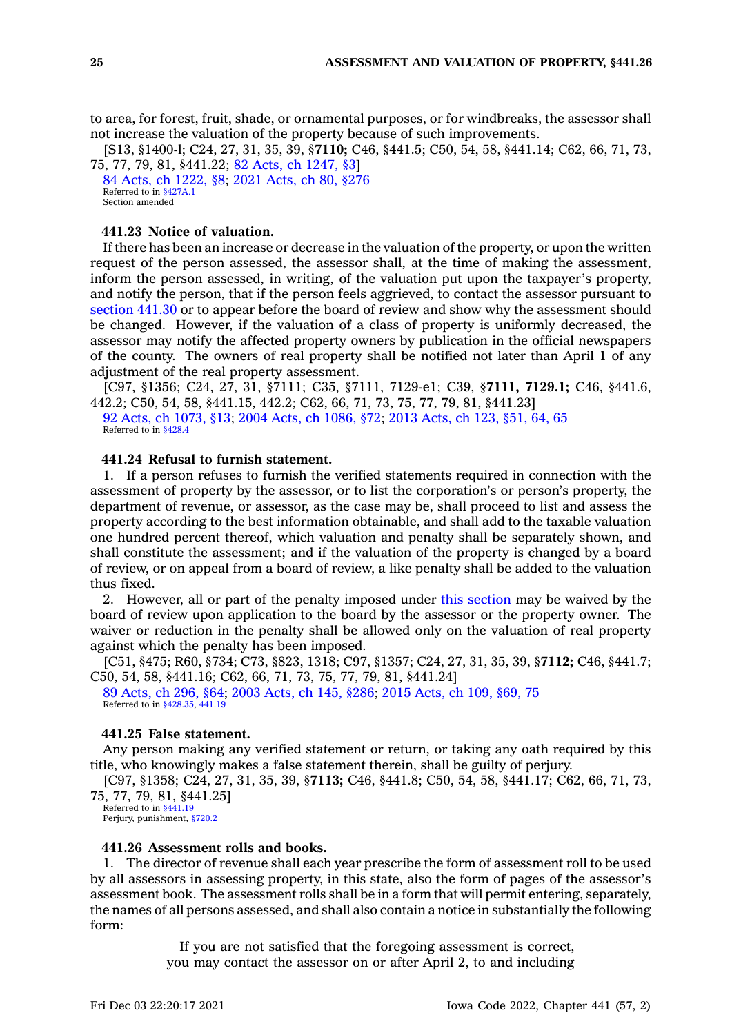to area, for forest, fruit, shade, or ornamental purposes, or for windbreaks, the assessor shall not increase the valuation of the property because of such improvements.

[S13, §1400-l; C24, 27, 31, 35, 39, §**7110;** C46, §441.5; C50, 54, 58, §441.14; C62, 66, 71, 73, 75, 77, 79, 81, §441.22; 82 Acts, ch [1247,](https://www.legis.iowa.gov/docs/acts/1982/CH1247.pdf) §3]

84 Acts, ch [1222,](https://www.legis.iowa.gov/docs/acts/1984/CH1222.pdf) §8; 2021 [Acts,](https://www.legis.iowa.gov/docs/acts/2021/CH0080.pdf) ch 80, §276 Referred to in [§427A.1](https://www.legis.iowa.gov/docs/code/427A.1.pdf) Section amended

### **441.23 Notice of valuation.**

If there has been an increase or decrease in the valuation of the property, or upon the written request of the person assessed, the assessor shall, at the time of making the assessment, inform the person assessed, in writing, of the valuation put upon the taxpayer's property, and notify the person, that if the person feels aggrieved, to contact the assessor pursuant to [section](https://www.legis.iowa.gov/docs/code/441.30.pdf) 441.30 or to appear before the board of review and show why the assessment should be changed. However, if the valuation of <sup>a</sup> class of property is uniformly decreased, the assessor may notify the affected property owners by publication in the official newspapers of the county. The owners of real property shall be notified not later than April 1 of any adjustment of the real property assessment.

[C97, §1356; C24, 27, 31, §7111; C35, §7111, 7129-e1; C39, §**7111, 7129.1;** C46, §441.6, 442.2; C50, 54, 58, §441.15, 442.2; C62, 66, 71, 73, 75, 77, 79, 81, §441.23]

92 Acts, ch [1073,](https://www.legis.iowa.gov/docs/acts/1992/CH1073.pdf) §13; 2004 Acts, ch [1086,](https://www.legis.iowa.gov/docs/acts/2004/CH1086.pdf) §72; 2013 [Acts,](https://www.legis.iowa.gov/docs/acts/2013/CH0123.pdf) ch 123, §51, 64, 65 Referred to in [§428.4](https://www.legis.iowa.gov/docs/code/428.4.pdf)

# **441.24 Refusal to furnish statement.**

1. If <sup>a</sup> person refuses to furnish the verified statements required in connection with the assessment of property by the assessor, or to list the corporation's or person's property, the department of revenue, or assessor, as the case may be, shall proceed to list and assess the property according to the best information obtainable, and shall add to the taxable valuation one hundred percent thereof, which valuation and penalty shall be separately shown, and shall constitute the assessment; and if the valuation of the property is changed by <sup>a</sup> board of review, or on appeal from <sup>a</sup> board of review, <sup>a</sup> like penalty shall be added to the valuation thus fixed.

2. However, all or part of the penalty imposed under this [section](https://www.legis.iowa.gov/docs/code/441.24.pdf) may be waived by the board of review upon application to the board by the assessor or the property owner. The waiver or reduction in the penalty shall be allowed only on the valuation of real property against which the penalty has been imposed.

[C51, §475; R60, §734; C73, §823, 1318; C97, §1357; C24, 27, 31, 35, 39, §**7112;** C46, §441.7; C50, 54, 58, §441.16; C62, 66, 71, 73, 75, 77, 79, 81, §441.24]

89 [Acts,](https://www.legis.iowa.gov/docs/acts/1989/CH0296.pdf) ch 296, §64; 2003 [Acts,](https://www.legis.iowa.gov/docs/acts/2003/CH0145.pdf) ch 145, §286; 2015 [Acts,](https://www.legis.iowa.gov/docs/acts/2015/CH0109.pdf) ch 109, §69, 75 Referred to in \$428.35, [441.19](https://www.legis.iowa.gov/docs/code/441.19.pdf)

### **441.25 False statement.**

Any person making any verified statement or return, or taking any oath required by this title, who knowingly makes <sup>a</sup> false statement therein, shall be guilty of perjury.

[C97, §1358; C24, 27, 31, 35, 39, §**7113;** C46, §441.8; C50, 54, 58, §441.17; C62, 66, 71, 73, 75, 77, 79, 81, §441.25]

Referred to in [§441.19](https://www.legis.iowa.gov/docs/code/441.19.pdf) Perjury, punishment, [§720.2](https://www.legis.iowa.gov/docs/code/720.2.pdf)

### **441.26 Assessment rolls and books.**

1. The director of revenue shall each year prescribe the form of assessment roll to be used by all assessors in assessing property, in this state, also the form of pages of the assessor's assessment book. The assessment rolls shall be in <sup>a</sup> form that will permit entering, separately, the names of all persons assessed, and shall also contain <sup>a</sup> notice in substantially the following form:

> If you are not satisfied that the foregoing assessment is correct, you may contact the assessor on or after April 2, to and including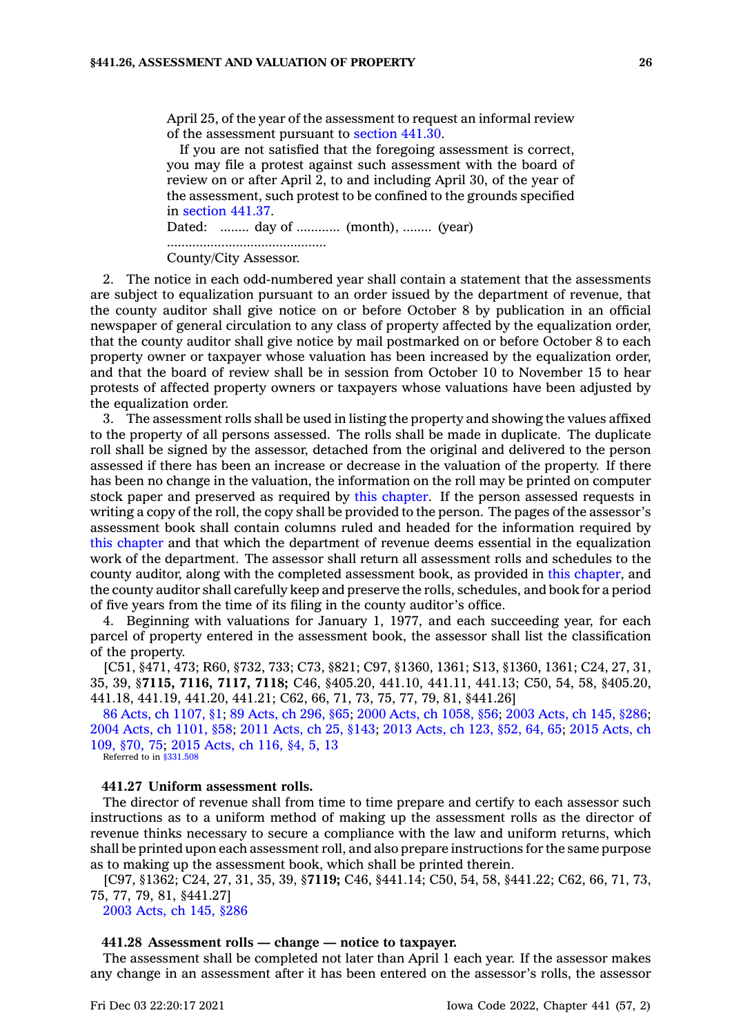April 25, of the year of the assessment to request an informal review of the assessment pursuant to [section](https://www.legis.iowa.gov/docs/code/441.30.pdf) 441.30.

If you are not satisfied that the foregoing assessment is correct, you may file <sup>a</sup> protest against such assessment with the board of review on or after April 2, to and including April 30, of the year of the assessment, such protest to be confined to the grounds specified in [section](https://www.legis.iowa.gov/docs/code/441.37.pdf) 441.37.

Dated: ........ day of ............ (month), ........ (year) ............................................

County/City Assessor.

2. The notice in each odd-numbered year shall contain <sup>a</sup> statement that the assessments are subject to equalization pursuant to an order issued by the department of revenue, that the county auditor shall give notice on or before October 8 by publication in an official newspaper of general circulation to any class of property affected by the equalization order, that the county auditor shall give notice by mail postmarked on or before October 8 to each property owner or taxpayer whose valuation has been increased by the equalization order, and that the board of review shall be in session from October 10 to November 15 to hear protests of affected property owners or taxpayers whose valuations have been adjusted by the equalization order.

3. The assessment rolls shall be used in listing the property and showing the values affixed to the property of all persons assessed. The rolls shall be made in duplicate. The duplicate roll shall be signed by the assessor, detached from the original and delivered to the person assessed if there has been an increase or decrease in the valuation of the property. If there has been no change in the valuation, the information on the roll may be printed on computer stock paper and preserved as required by this [chapter](https://www.legis.iowa.gov/docs/code//441.pdf). If the person assessed requests in writing <sup>a</sup> copy of the roll, the copy shall be provided to the person. The pages of the assessor's assessment book shall contain columns ruled and headed for the information required by this [chapter](https://www.legis.iowa.gov/docs/code//441.pdf) and that which the department of revenue deems essential in the equalization work of the department. The assessor shall return all assessment rolls and schedules to the county auditor, along with the completed assessment book, as provided in this [chapter](https://www.legis.iowa.gov/docs/code//441.pdf), and the county auditor shall carefully keep and preserve the rolls, schedules, and book for <sup>a</sup> period of five years from the time of its filing in the county auditor's office.

4. Beginning with valuations for January 1, 1977, and each succeeding year, for each parcel of property entered in the assessment book, the assessor shall list the classification of the property.

[C51, §471, 473; R60, §732, 733; C73, §821; C97, §1360, 1361; S13, §1360, 1361; C24, 27, 31, 35, 39, §**7115, 7116, 7117, 7118;** C46, §405.20, 441.10, 441.11, 441.13; C50, 54, 58, §405.20, 441.18, 441.19, 441.20, 441.21; C62, 66, 71, 73, 75, 77, 79, 81, §441.26]

86 Acts, ch [1107,](https://www.legis.iowa.gov/docs/acts/1986/CH1107.pdf) §1; 89 [Acts,](https://www.legis.iowa.gov/docs/acts/89/CH0296.pdf) ch 296, §65; 2000 Acts, ch [1058,](https://www.legis.iowa.gov/docs/acts/2000/CH1058.pdf) §56; 2003 [Acts,](https://www.legis.iowa.gov/docs/acts/2003/CH0145.pdf) ch 145, §286; 2004 Acts, ch [1101,](https://www.legis.iowa.gov/docs/acts/2004/CH1101.pdf) §58; 2011 [Acts,](https://www.legis.iowa.gov/docs/acts/2011/CH0025.pdf) ch 25, §143; 2013 [Acts,](https://www.legis.iowa.gov/docs/acts/2013/CH0123.pdf) ch 123, §52, 64, 65; 2015 [Acts,](https://www.legis.iowa.gov/docs/acts/2015/CH0109.pdf) ch 109, [§70,](https://www.legis.iowa.gov/docs/acts/2015/CH0109.pdf) 75; 2015 [Acts,](https://www.legis.iowa.gov/docs/acts/2015/CH0116.pdf) ch 116, §4, 5, 13 Referred to in [§331.508](https://www.legis.iowa.gov/docs/code/331.508.pdf)

### **441.27 Uniform assessment rolls.**

The director of revenue shall from time to time prepare and certify to each assessor such instructions as to <sup>a</sup> uniform method of making up the assessment rolls as the director of revenue thinks necessary to secure <sup>a</sup> compliance with the law and uniform returns, which shall be printed upon each assessment roll, and also prepare instructions for the same purpose as to making up the assessment book, which shall be printed therein.

[C97, §1362; C24, 27, 31, 35, 39, §**7119;** C46, §441.14; C50, 54, 58, §441.22; C62, 66, 71, 73, 75, 77, 79, 81, §441.27]

2003 [Acts,](https://www.legis.iowa.gov/docs/acts/2003/CH0145.pdf) ch 145, §286

# **441.28 Assessment rolls — change — notice to taxpayer.**

The assessment shall be completed not later than April 1 each year. If the assessor makes any change in an assessment after it has been entered on the assessor's rolls, the assessor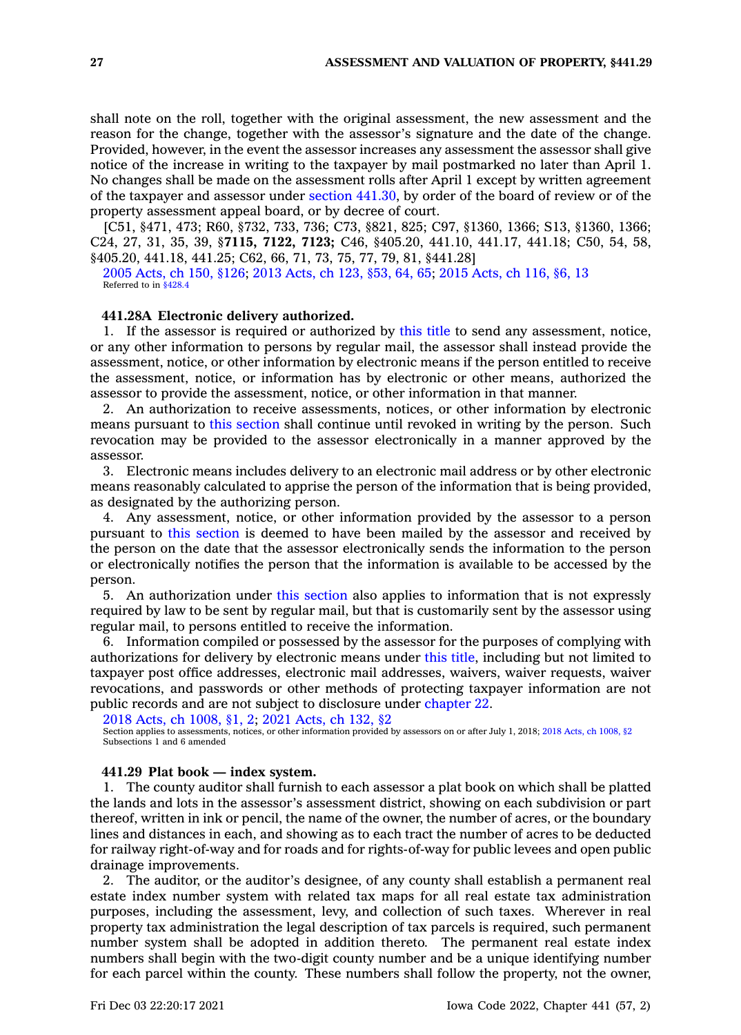shall note on the roll, together with the original assessment, the new assessment and the reason for the change, together with the assessor's signature and the date of the change. Provided, however, in the event the assessor increases any assessment the assessor shall give notice of the increase in writing to the taxpayer by mail postmarked no later than April 1. No changes shall be made on the assessment rolls after April 1 except by written agreement of the taxpayer and assessor under section [441.30](https://www.legis.iowa.gov/docs/code/441.30.pdf), by order of the board of review or of the property assessment appeal board, or by decree of court.

[C51, §471, 473; R60, §732, 733, 736; C73, §821, 825; C97, §1360, 1366; S13, §1360, 1366; C24, 27, 31, 35, 39, §**7115, 7122, 7123;** C46, §405.20, 441.10, 441.17, 441.18; C50, 54, 58, §405.20, 441.18, 441.25; C62, 66, 71, 73, 75, 77, 79, 81, §441.28]

2005 [Acts,](https://www.legis.iowa.gov/docs/acts/2005/CH0150.pdf) ch 150, §126; 2013 [Acts,](https://www.legis.iowa.gov/docs/acts/2013/CH0123.pdf) ch 123, §53, 64, 65; 2015 [Acts,](https://www.legis.iowa.gov/docs/acts/2015/CH0116.pdf) ch 116, §6, 13 Referred to in [§428.4](https://www.legis.iowa.gov/docs/code/428.4.pdf)

### **441.28A Electronic delivery authorized.**

1. If the assessor is required or authorized by this title to send any assessment, notice, or any other information to persons by regular mail, the assessor shall instead provide the assessment, notice, or other information by electronic means if the person entitled to receive the assessment, notice, or information has by electronic or other means, authorized the assessor to provide the assessment, notice, or other information in that manner.

2. An authorization to receive assessments, notices, or other information by electronic means pursuant to this [section](https://www.legis.iowa.gov/docs/code/441.28A.pdf) shall continue until revoked in writing by the person. Such revocation may be provided to the assessor electronically in <sup>a</sup> manner approved by the assessor.

3. Electronic means includes delivery to an electronic mail address or by other electronic means reasonably calculated to apprise the person of the information that is being provided, as designated by the authorizing person.

4. Any assessment, notice, or other information provided by the assessor to <sup>a</sup> person pursuant to this [section](https://www.legis.iowa.gov/docs/code/441.28A.pdf) is deemed to have been mailed by the assessor and received by the person on the date that the assessor electronically sends the information to the person or electronically notifies the person that the information is available to be accessed by the person.

5. An authorization under this [section](https://www.legis.iowa.gov/docs/code/441.28A.pdf) also applies to information that is not expressly required by law to be sent by regular mail, but that is customarily sent by the assessor using regular mail, to persons entitled to receive the information.

6. Information compiled or possessed by the assessor for the purposes of complying with authorizations for delivery by electronic means under this title, including but not limited to taxpayer post office addresses, electronic mail addresses, waivers, waiver requests, waiver revocations, and passwords or other methods of protecting taxpayer information are not public records and are not subject to disclosure under [chapter](https://www.legis.iowa.gov/docs/code//22.pdf) 22.

2018 Acts, ch [1008,](https://www.legis.iowa.gov/docs/acts/2018/CH1008.pdf) §1, 2; 2021 [Acts,](https://www.legis.iowa.gov/docs/acts/2021/CH0132.pdf) ch 132, §2

Section applies to assessments, notices, or other information provided by assessors on or after July 1, 2018; 2018 Acts, ch [1008,](https://www.legis.iowa.gov/docs/acts/2018/CH1008.pdf) §2 Subsections 1 and 6 amended

#### **441.29 Plat book — index system.**

1. The county auditor shall furnish to each assessor <sup>a</sup> plat book on which shall be platted the lands and lots in the assessor's assessment district, showing on each subdivision or part thereof, written in ink or pencil, the name of the owner, the number of acres, or the boundary lines and distances in each, and showing as to each tract the number of acres to be deducted for railway right-of-way and for roads and for rights-of-way for public levees and open public drainage improvements.

2. The auditor, or the auditor's designee, of any county shall establish <sup>a</sup> permanent real estate index number system with related tax maps for all real estate tax administration purposes, including the assessment, levy, and collection of such taxes. Wherever in real property tax administration the legal description of tax parcels is required, such permanent number system shall be adopted in addition thereto. The permanent real estate index numbers shall begin with the two-digit county number and be <sup>a</sup> unique identifying number for each parcel within the county. These numbers shall follow the property, not the owner,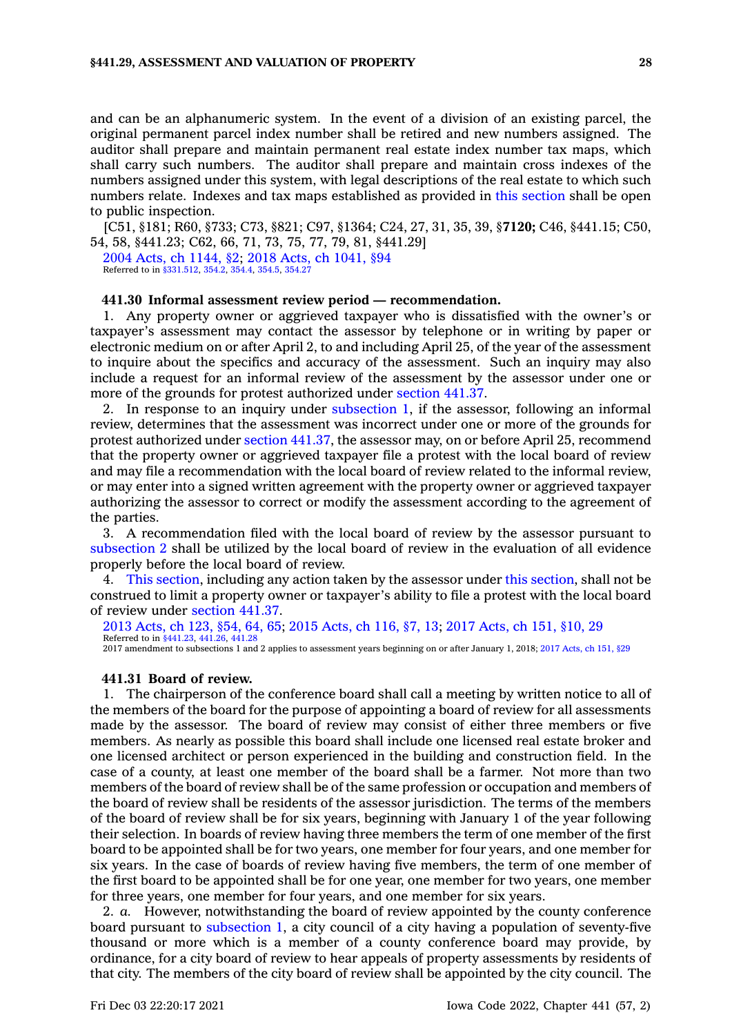and can be an alphanumeric system. In the event of <sup>a</sup> division of an existing parcel, the original permanent parcel index number shall be retired and new numbers assigned. The auditor shall prepare and maintain permanent real estate index number tax maps, which shall carry such numbers. The auditor shall prepare and maintain cross indexes of the numbers assigned under this system, with legal descriptions of the real estate to which such numbers relate. Indexes and tax maps established as provided in this [section](https://www.legis.iowa.gov/docs/code/441.29.pdf) shall be open to public inspection.

[C51, §181; R60, §733; C73, §821; C97, §1364; C24, 27, 31, 35, 39, §**7120;** C46, §441.15; C50, 54, 58, §441.23; C62, 66, 71, 73, 75, 77, 79, 81, §441.29]

2004 Acts, ch [1144,](https://www.legis.iowa.gov/docs/acts/2004/CH1144.pdf) §2; 2018 Acts, ch [1041,](https://www.legis.iowa.gov/docs/acts/2018/CH1041.pdf) §94 Referred to in [§331.512](https://www.legis.iowa.gov/docs/code/331.512.pdf), [354.2](https://www.legis.iowa.gov/docs/code/354.2.pdf), [354.4](https://www.legis.iowa.gov/docs/code/354.4.pdf), [354.5](https://www.legis.iowa.gov/docs/code/354.5.pdf), [354.27](https://www.legis.iowa.gov/docs/code/354.27.pdf)

### **441.30 Informal assessment review period — recommendation.**

1. Any property owner or aggrieved taxpayer who is dissatisfied with the owner's or taxpayer's assessment may contact the assessor by telephone or in writing by paper or electronic medium on or after April 2, to and including April 25, of the year of the assessment to inquire about the specifics and accuracy of the assessment. Such an inquiry may also include <sup>a</sup> request for an informal review of the assessment by the assessor under one or more of the grounds for protest authorized under [section](https://www.legis.iowa.gov/docs/code/441.37.pdf) 441.37.

2. In response to an inquiry under [subsection](https://www.legis.iowa.gov/docs/code/441.30.pdf) 1, if the assessor, following an informal review, determines that the assessment was incorrect under one or more of the grounds for protest authorized under section [441.37](https://www.legis.iowa.gov/docs/code/441.37.pdf), the assessor may, on or before April 25, recommend that the property owner or aggrieved taxpayer file <sup>a</sup> protest with the local board of review and may file <sup>a</sup> recommendation with the local board of review related to the informal review, or may enter into <sup>a</sup> signed written agreement with the property owner or aggrieved taxpayer authorizing the assessor to correct or modify the assessment according to the agreement of the parties.

3. A recommendation filed with the local board of review by the assessor pursuant to [subsection](https://www.legis.iowa.gov/docs/code/441.30.pdf) 2 shall be utilized by the local board of review in the evaluation of all evidence properly before the local board of review.

4. This [section](https://www.legis.iowa.gov/docs/code/441.30.pdf), including any action taken by the assessor under this [section](https://www.legis.iowa.gov/docs/code/441.30.pdf), shall not be construed to limit <sup>a</sup> property owner or taxpayer's ability to file <sup>a</sup> protest with the local board of review under [section](https://www.legis.iowa.gov/docs/code/441.37.pdf) 441.37.

2013 [Acts,](https://www.legis.iowa.gov/docs/acts/2013/CH0123.pdf) ch 123, §54, 64, 65; 2015 [Acts,](https://www.legis.iowa.gov/docs/acts/2015/CH0116.pdf) ch 116, §7, 13; 2017 [Acts,](https://www.legis.iowa.gov/docs/acts/2017/CH0151.pdf) ch 151, §10, 29 Referred to in [§441.23,](https://www.legis.iowa.gov/docs/code/441.23.pdf) [441.26](https://www.legis.iowa.gov/docs/code/441.26.pdf), [441.28](https://www.legis.iowa.gov/docs/code/441.28.pdf) 2017 amendment to subsections 1 and 2 applies to assessment years beginning on or after January 1, 2018; 2017 [Acts,](https://www.legis.iowa.gov/docs/acts/2017/CH0151.pdf) ch 151, §29

#### **441.31 Board of review.**

1. The chairperson of the conference board shall call <sup>a</sup> meeting by written notice to all of the members of the board for the purpose of appointing <sup>a</sup> board of review for all assessments made by the assessor. The board of review may consist of either three members or five members. As nearly as possible this board shall include one licensed real estate broker and one licensed architect or person experienced in the building and construction field. In the case of <sup>a</sup> county, at least one member of the board shall be <sup>a</sup> farmer. Not more than two members of the board of review shall be of the same profession or occupation and members of the board of review shall be residents of the assessor jurisdiction. The terms of the members of the board of review shall be for six years, beginning with January 1 of the year following their selection. In boards of review having three members the term of one member of the first board to be appointed shall be for two years, one member for four years, and one member for six years. In the case of boards of review having five members, the term of one member of the first board to be appointed shall be for one year, one member for two years, one member for three years, one member for four years, and one member for six years.

2. *a.* However, notwithstanding the board of review appointed by the county conference board pursuant to [subsection](https://www.legis.iowa.gov/docs/code/441.31.pdf) 1, <sup>a</sup> city council of <sup>a</sup> city having <sup>a</sup> population of seventy-five thousand or more which is <sup>a</sup> member of <sup>a</sup> county conference board may provide, by ordinance, for <sup>a</sup> city board of review to hear appeals of property assessments by residents of that city. The members of the city board of review shall be appointed by the city council. The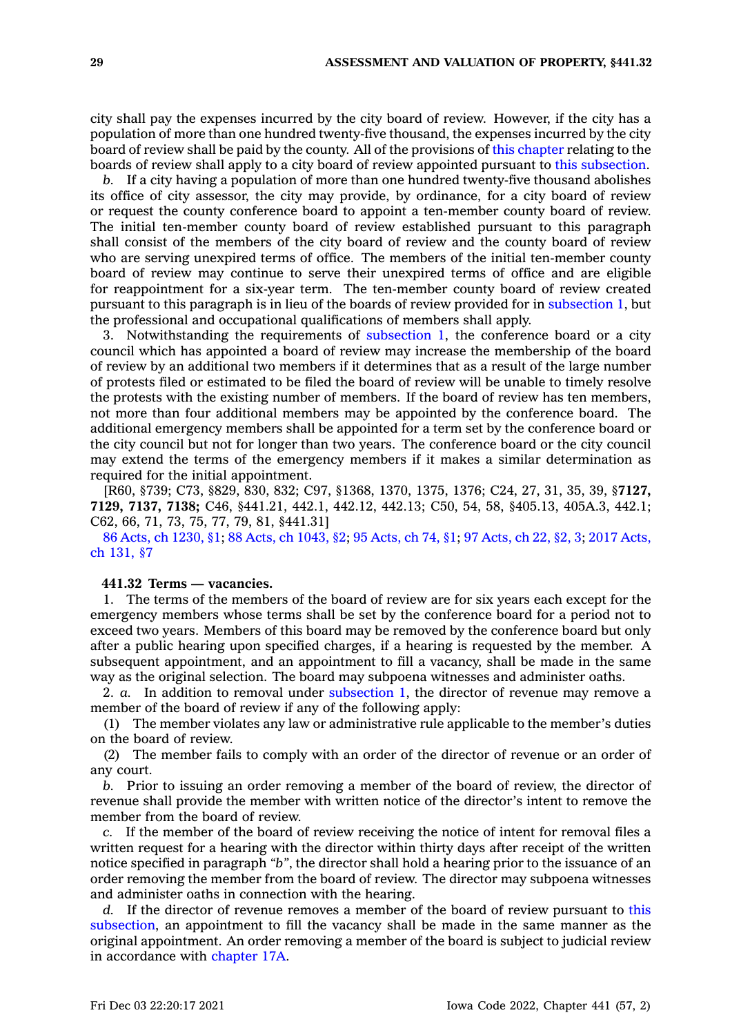city shall pay the expenses incurred by the city board of review. However, if the city has <sup>a</sup> population of more than one hundred twenty-five thousand, the expenses incurred by the city board of review shall be paid by the county. All of the provisions of this [chapter](https://www.legis.iowa.gov/docs/code//441.pdf) relating to the boards of review shall apply to <sup>a</sup> city board of review appointed pursuant to this [subsection](https://www.legis.iowa.gov/docs/code/441.31.pdf).

*b.* If <sup>a</sup> city having <sup>a</sup> population of more than one hundred twenty-five thousand abolishes its office of city assessor, the city may provide, by ordinance, for <sup>a</sup> city board of review or request the county conference board to appoint <sup>a</sup> ten-member county board of review. The initial ten-member county board of review established pursuant to this paragraph shall consist of the members of the city board of review and the county board of review who are serving unexpired terms of office. The members of the initial ten-member county board of review may continue to serve their unexpired terms of office and are eligible for reappointment for <sup>a</sup> six-year term. The ten-member county board of review created pursuant to this paragraph is in lieu of the boards of review provided for in [subsection](https://www.legis.iowa.gov/docs/code/441.31.pdf) 1, but the professional and occupational qualifications of members shall apply.

3. Notwithstanding the requirements of [subsection](https://www.legis.iowa.gov/docs/code/441.31.pdf) 1, the conference board or <sup>a</sup> city council which has appointed <sup>a</sup> board of review may increase the membership of the board of review by an additional two members if it determines that as <sup>a</sup> result of the large number of protests filed or estimated to be filed the board of review will be unable to timely resolve the protests with the existing number of members. If the board of review has ten members, not more than four additional members may be appointed by the conference board. The additional emergency members shall be appointed for <sup>a</sup> term set by the conference board or the city council but not for longer than two years. The conference board or the city council may extend the terms of the emergency members if it makes <sup>a</sup> similar determination as required for the initial appointment.

[R60, §739; C73, §829, 830, 832; C97, §1368, 1370, 1375, 1376; C24, 27, 31, 35, 39, §**7127, 7129, 7137, 7138;** C46, §441.21, 442.1, 442.12, 442.13; C50, 54, 58, §405.13, 405A.3, 442.1; C62, 66, 71, 73, 75, 77, 79, 81, §441.31]

86 Acts, ch [1230,](https://www.legis.iowa.gov/docs/acts/1986/CH1230.pdf) §1; 88 Acts, ch [1043,](https://www.legis.iowa.gov/docs/acts/88/CH1043.pdf) §2; 95 [Acts,](https://www.legis.iowa.gov/docs/acts/95/CH0074.pdf) ch 74, §1; 97 [Acts,](https://www.legis.iowa.gov/docs/acts/97/CH0022.pdf) ch 22, §2, 3; 2017 [Acts,](https://www.legis.iowa.gov/docs/acts/2017/CH0131.pdf) ch [131,](https://www.legis.iowa.gov/docs/acts/2017/CH0131.pdf) §7

### **441.32 Terms — vacancies.**

1. The terms of the members of the board of review are for six years each except for the emergency members whose terms shall be set by the conference board for <sup>a</sup> period not to exceed two years. Members of this board may be removed by the conference board but only after <sup>a</sup> public hearing upon specified charges, if <sup>a</sup> hearing is requested by the member. A subsequent appointment, and an appointment to fill <sup>a</sup> vacancy, shall be made in the same way as the original selection. The board may subpoena witnesses and administer oaths.

2. *a.* In addition to removal under [subsection](https://www.legis.iowa.gov/docs/code/441.32.pdf) 1, the director of revenue may remove <sup>a</sup> member of the board of review if any of the following apply:

(1) The member violates any law or administrative rule applicable to the member's duties on the board of review.

(2) The member fails to comply with an order of the director of revenue or an order of any court.

*b.* Prior to issuing an order removing <sup>a</sup> member of the board of review, the director of revenue shall provide the member with written notice of the director's intent to remove the member from the board of review.

*c.* If the member of the board of review receiving the notice of intent for removal files <sup>a</sup> written request for <sup>a</sup> hearing with the director within thirty days after receipt of the written notice specified in paragraph *"b"*, the director shall hold <sup>a</sup> hearing prior to the issuance of an order removing the member from the board of review. The director may subpoena witnesses and administer oaths in connection with the hearing.

*d.* If the director of revenue removes <sup>a</sup> member of the board of review pursuant to [this](https://www.legis.iowa.gov/docs/code/441.32.pdf) [subsection](https://www.legis.iowa.gov/docs/code/441.32.pdf), an appointment to fill the vacancy shall be made in the same manner as the original appointment. An order removing <sup>a</sup> member of the board is subject to judicial review in accordance with [chapter](https://www.legis.iowa.gov/docs/code//17A.pdf) 17A.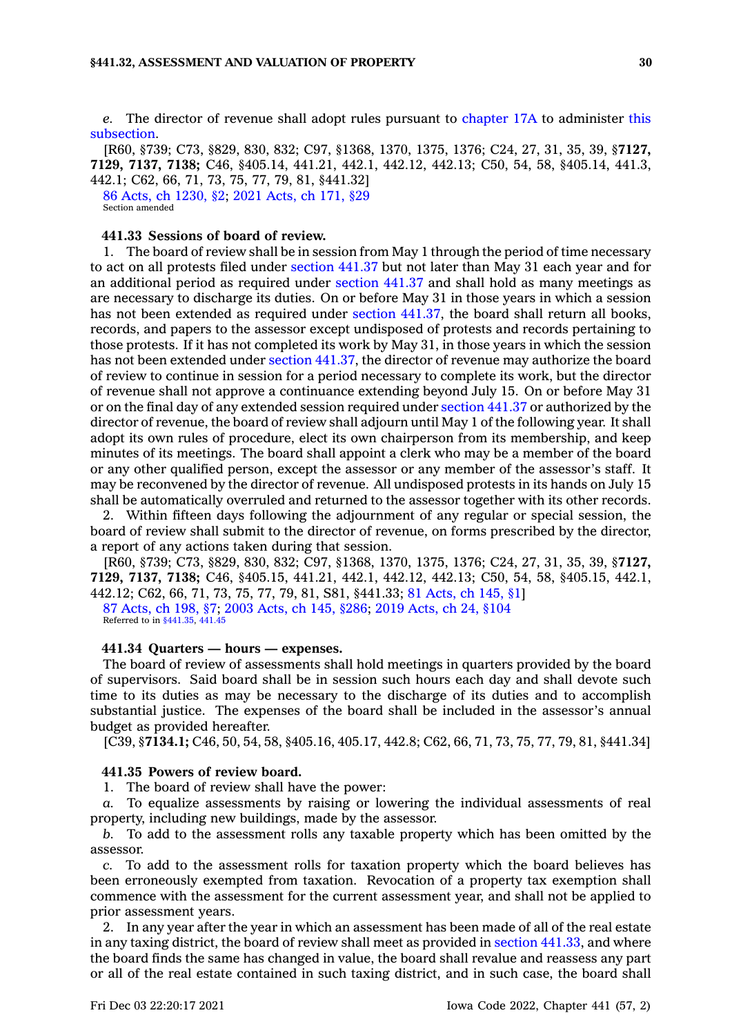*e.* The director of revenue shall adopt rules pursuant to [chapter](https://www.legis.iowa.gov/docs/code//17A.pdf) 17A to administer [this](https://www.legis.iowa.gov/docs/code/441.32.pdf) [subsection](https://www.legis.iowa.gov/docs/code/441.32.pdf).

[R60, §739; C73, §829, 830, 832; C97, §1368, 1370, 1375, 1376; C24, 27, 31, 35, 39, §**7127, 7129, 7137, 7138;** C46, §405.14, 441.21, 442.1, 442.12, 442.13; C50, 54, 58, §405.14, 441.3, 442.1; C62, 66, 71, 73, 75, 77, 79, 81, §441.32]

86 Acts, ch [1230,](https://www.legis.iowa.gov/docs/acts/1986/CH1230.pdf) §2; 2021 [Acts,](https://www.legis.iowa.gov/docs/acts/2021/CH0171.pdf) ch 171, §29 Section amended

# **441.33 Sessions of board of review.**

1. The board of review shall be in session from May 1 through the period of time necessary to act on all protests filed under [section](https://www.legis.iowa.gov/docs/code/441.37.pdf) 441.37 but not later than May 31 each year and for an additional period as required under [section](https://www.legis.iowa.gov/docs/code/441.37.pdf) 441.37 and shall hold as many meetings as are necessary to discharge its duties. On or before May 31 in those years in which <sup>a</sup> session has not been extended as required under section [441.37](https://www.legis.iowa.gov/docs/code/441.37.pdf), the board shall return all books, records, and papers to the assessor except undisposed of protests and records pertaining to those protests. If it has not completed its work by May 31, in those years in which the session has not been extended under section [441.37](https://www.legis.iowa.gov/docs/code/441.37.pdf), the director of revenue may authorize the board of review to continue in session for <sup>a</sup> period necessary to complete its work, but the director of revenue shall not approve <sup>a</sup> continuance extending beyond July 15. On or before May 31 or on the final day of any extended session required under [section](https://www.legis.iowa.gov/docs/code/441.37.pdf) 441.37 or authorized by the director of revenue, the board of review shall adjourn until May 1 of the following year. It shall adopt its own rules of procedure, elect its own chairperson from its membership, and keep minutes of its meetings. The board shall appoint <sup>a</sup> clerk who may be <sup>a</sup> member of the board or any other qualified person, except the assessor or any member of the assessor's staff. It may be reconvened by the director of revenue. All undisposed protests in its hands on July 15 shall be automatically overruled and returned to the assessor together with its other records.

2. Within fifteen days following the adjournment of any regular or special session, the board of review shall submit to the director of revenue, on forms prescribed by the director, <sup>a</sup> report of any actions taken during that session.

[R60, §739; C73, §829, 830, 832; C97, §1368, 1370, 1375, 1376; C24, 27, 31, 35, 39, §**7127, 7129, 7137, 7138;** C46, §405.15, 441.21, 442.1, 442.12, 442.13; C50, 54, 58, §405.15, 442.1, 442.12; C62, 66, 71, 73, 75, 77, 79, 81, S81, §441.33; 81 [Acts,](https://www.legis.iowa.gov/docs/acts/1981/CH0145.pdf) ch 145, §1] 87 [Acts,](https://www.legis.iowa.gov/docs/acts/1987/CH0198.pdf) ch 198, §7; 2003 [Acts,](https://www.legis.iowa.gov/docs/acts/2003/CH0145.pdf) ch 145, §286; 2019 [Acts,](https://www.legis.iowa.gov/docs/acts/2019/CH0024.pdf) ch 24, §104 Referred to in [§441.35](https://www.legis.iowa.gov/docs/code/441.35.pdf), [441.45](https://www.legis.iowa.gov/docs/code/441.45.pdf)

### **441.34 Quarters — hours — expenses.**

The board of review of assessments shall hold meetings in quarters provided by the board of supervisors. Said board shall be in session such hours each day and shall devote such time to its duties as may be necessary to the discharge of its duties and to accomplish substantial justice. The expenses of the board shall be included in the assessor's annual budget as provided hereafter.

[C39, §**7134.1;** C46, 50, 54, 58, §405.16, 405.17, 442.8; C62, 66, 71, 73, 75, 77, 79, 81, §441.34]

#### **441.35 Powers of review board.**

1. The board of review shall have the power:

*a.* To equalize assessments by raising or lowering the individual assessments of real property, including new buildings, made by the assessor.

*b.* To add to the assessment rolls any taxable property which has been omitted by the assessor.

*c.* To add to the assessment rolls for taxation property which the board believes has been erroneously exempted from taxation. Revocation of <sup>a</sup> property tax exemption shall commence with the assessment for the current assessment year, and shall not be applied to prior assessment years.

2. In any year after the year in which an assessment has been made of all of the real estate in any taxing district, the board of review shall meet as provided in section [441.33](https://www.legis.iowa.gov/docs/code/441.33.pdf), and where the board finds the same has changed in value, the board shall revalue and reassess any part or all of the real estate contained in such taxing district, and in such case, the board shall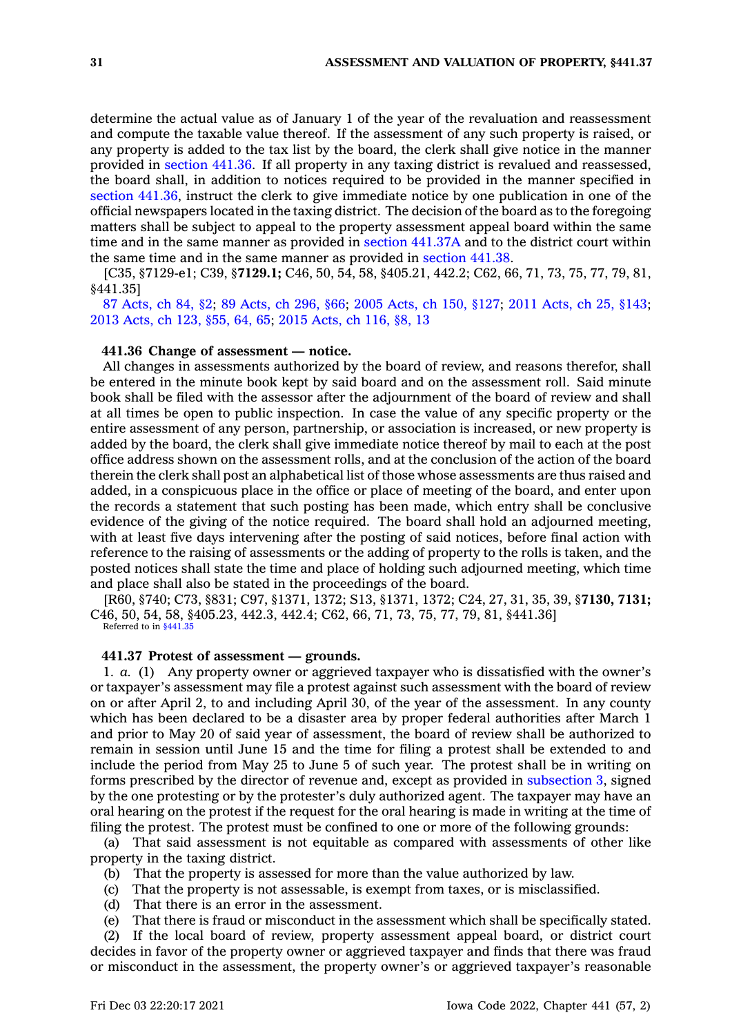determine the actual value as of January 1 of the year of the revaluation and reassessment and compute the taxable value thereof. If the assessment of any such property is raised, or any property is added to the tax list by the board, the clerk shall give notice in the manner provided in [section](https://www.legis.iowa.gov/docs/code/441.36.pdf) 441.36. If all property in any taxing district is revalued and reassessed, the board shall, in addition to notices required to be provided in the manner specified in section [441.36](https://www.legis.iowa.gov/docs/code/441.36.pdf), instruct the clerk to give immediate notice by one publication in one of the official newspapers located in the taxing district. The decision of the board as to the foregoing matters shall be subject to appeal to the property assessment appeal board within the same time and in the same manner as provided in section [441.37A](https://www.legis.iowa.gov/docs/code/441.37A.pdf) and to the district court within the same time and in the same manner as provided in [section](https://www.legis.iowa.gov/docs/code/441.38.pdf) 441.38.

[C35, §7129-e1; C39, §**7129.1;** C46, 50, 54, 58, §405.21, 442.2; C62, 66, 71, 73, 75, 77, 79, 81, §441.35]

87 [Acts,](https://www.legis.iowa.gov/docs/acts/1987/CH0084.pdf) ch 84, §2; 89 [Acts,](https://www.legis.iowa.gov/docs/acts/89/CH0296.pdf) ch 296, §66; 2005 [Acts,](https://www.legis.iowa.gov/docs/acts/2005/CH0150.pdf) ch 150, §127; 2011 [Acts,](https://www.legis.iowa.gov/docs/acts/2011/CH0025.pdf) ch 25, §143; 2013 [Acts,](https://www.legis.iowa.gov/docs/acts/2013/CH0123.pdf) ch 123, §55, 64, 65; 2015 [Acts,](https://www.legis.iowa.gov/docs/acts/2015/CH0116.pdf) ch 116, §8, 13

#### **441.36 Change of assessment — notice.**

All changes in assessments authorized by the board of review, and reasons therefor, shall be entered in the minute book kept by said board and on the assessment roll. Said minute book shall be filed with the assessor after the adjournment of the board of review and shall at all times be open to public inspection. In case the value of any specific property or the entire assessment of any person, partnership, or association is increased, or new property is added by the board, the clerk shall give immediate notice thereof by mail to each at the post office address shown on the assessment rolls, and at the conclusion of the action of the board therein the clerk shall post an alphabetical list of those whose assessments are thus raised and added, in <sup>a</sup> conspicuous place in the office or place of meeting of the board, and enter upon the records <sup>a</sup> statement that such posting has been made, which entry shall be conclusive evidence of the giving of the notice required. The board shall hold an adjourned meeting, with at least five days intervening after the posting of said notices, before final action with reference to the raising of assessments or the adding of property to the rolls is taken, and the posted notices shall state the time and place of holding such adjourned meeting, which time and place shall also be stated in the proceedings of the board.

[R60, §740; C73, §831; C97, §1371, 1372; S13, §1371, 1372; C24, 27, 31, 35, 39, §**7130, 7131;** C46, 50, 54, 58, §405.23, 442.3, 442.4; C62, 66, 71, 73, 75, 77, 79, 81, §441.36] Referred to in [§441.35](https://www.legis.iowa.gov/docs/code/441.35.pdf)

#### **441.37 Protest of assessment —grounds.**

1. *a.* (1) Any property owner or aggrieved taxpayer who is dissatisfied with the owner's or taxpayer's assessment may file <sup>a</sup> protest against such assessment with the board of review on or after April 2, to and including April 30, of the year of the assessment. In any county which has been declared to be <sup>a</sup> disaster area by proper federal authorities after March 1 and prior to May 20 of said year of assessment, the board of review shall be authorized to remain in session until June 15 and the time for filing <sup>a</sup> protest shall be extended to and include the period from May 25 to June 5 of such year. The protest shall be in writing on forms prescribed by the director of revenue and, except as provided in [subsection](https://www.legis.iowa.gov/docs/code/441.37.pdf) 3, signed by the one protesting or by the protester's duly authorized agent. The taxpayer may have an oral hearing on the protest if the request for the oral hearing is made in writing at the time of filing the protest. The protest must be confined to one or more of the following grounds:

(a) That said assessment is not equitable as compared with assessments of other like property in the taxing district.

- (b) That the property is assessed for more than the value authorized by law.
- (c) That the property is not assessable, is exempt from taxes, or is misclassified.
- (d) That there is an error in the assessment.
- (e) That there is fraud or misconduct in the assessment which shall be specifically stated.

(2) If the local board of review, property assessment appeal board, or district court decides in favor of the property owner or aggrieved taxpayer and finds that there was fraud or misconduct in the assessment, the property owner's or aggrieved taxpayer's reasonable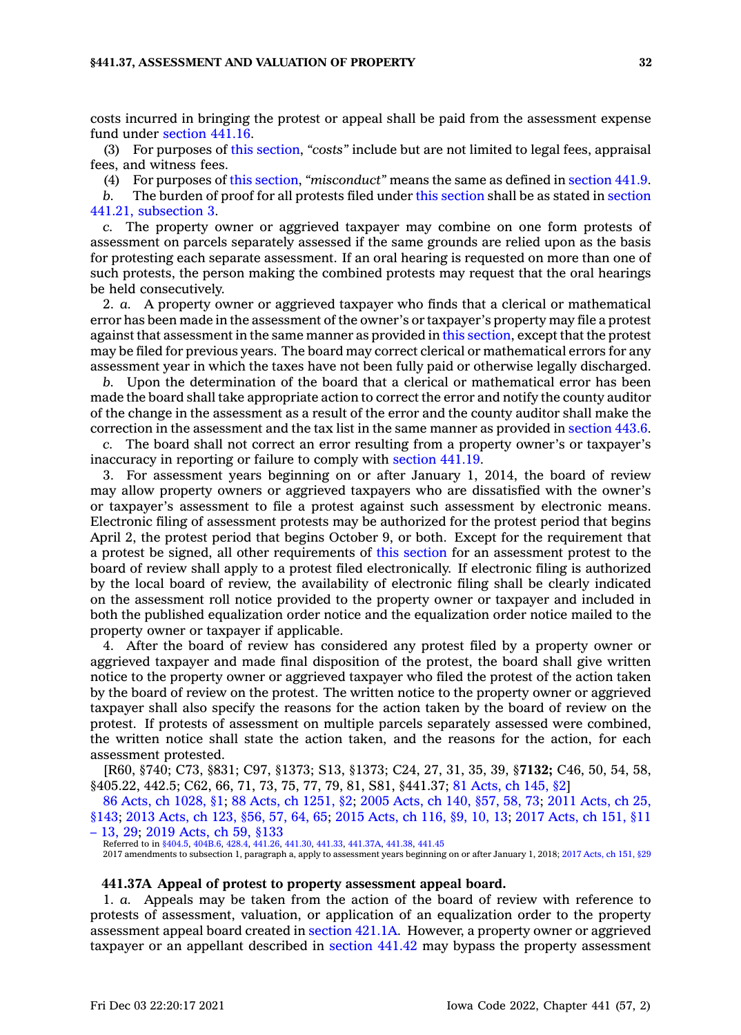costs incurred in bringing the protest or appeal shall be paid from the assessment expense fund under [section](https://www.legis.iowa.gov/docs/code/441.16.pdf) 441.16.

(3) For purposes of this [section](https://www.legis.iowa.gov/docs/code/441.37.pdf), *"costs"* include but are not limited to legal fees, appraisal fees, and witness fees.

(4) For purposes of this [section](https://www.legis.iowa.gov/docs/code/441.37.pdf), *"misconduct"* means the same as defined in [section](https://www.legis.iowa.gov/docs/code/441.9.pdf) 441.9.

*b.* The burden of proof for all protests filed under this [section](https://www.legis.iowa.gov/docs/code/441.37.pdf) shall be as stated in [section](https://www.legis.iowa.gov/docs/code/441.21.pdf) 441.21, [subsection](https://www.legis.iowa.gov/docs/code/441.21.pdf) 3.

*c.* The property owner or aggrieved taxpayer may combine on one form protests of assessment on parcels separately assessed if the same grounds are relied upon as the basis for protesting each separate assessment. If an oral hearing is requested on more than one of such protests, the person making the combined protests may request that the oral hearings be held consecutively.

2. *a.* A property owner or aggrieved taxpayer who finds that <sup>a</sup> clerical or mathematical error has been made in the assessment of the owner's or taxpayer's property may file <sup>a</sup> protest against that assessment in the same manner as provided in this [section](https://www.legis.iowa.gov/docs/code/441.37.pdf), except that the protest may be filed for previous years. The board may correct clerical or mathematical errors for any assessment year in which the taxes have not been fully paid or otherwise legally discharged.

*b.* Upon the determination of the board that <sup>a</sup> clerical or mathematical error has been made the board shall take appropriate action to correct the error and notify the county auditor of the change in the assessment as <sup>a</sup> result of the error and the county auditor shall make the correction in the assessment and the tax list in the same manner as provided in [section](https://www.legis.iowa.gov/docs/code/443.6.pdf) 443.6.

*c.* The board shall not correct an error resulting from <sup>a</sup> property owner's or taxpayer's inaccuracy in reporting or failure to comply with [section](https://www.legis.iowa.gov/docs/code/441.19.pdf) 441.19.

3. For assessment years beginning on or after January 1, 2014, the board of review may allow property owners or aggrieved taxpayers who are dissatisfied with the owner's or taxpayer's assessment to file <sup>a</sup> protest against such assessment by electronic means. Electronic filing of assessment protests may be authorized for the protest period that begins April 2, the protest period that begins October 9, or both. Except for the requirement that <sup>a</sup> protest be signed, all other requirements of this [section](https://www.legis.iowa.gov/docs/code/441.37.pdf) for an assessment protest to the board of review shall apply to <sup>a</sup> protest filed electronically. If electronic filing is authorized by the local board of review, the availability of electronic filing shall be clearly indicated on the assessment roll notice provided to the property owner or taxpayer and included in both the published equalization order notice and the equalization order notice mailed to the property owner or taxpayer if applicable.

4. After the board of review has considered any protest filed by <sup>a</sup> property owner or aggrieved taxpayer and made final disposition of the protest, the board shall give written notice to the property owner or aggrieved taxpayer who filed the protest of the action taken by the board of review on the protest. The written notice to the property owner or aggrieved taxpayer shall also specify the reasons for the action taken by the board of review on the protest. If protests of assessment on multiple parcels separately assessed were combined, the written notice shall state the action taken, and the reasons for the action, for each assessment protested.

[R60, §740; C73, §831; C97, §1373; S13, §1373; C24, 27, 31, 35, 39, §**7132;** C46, 50, 54, 58, §405.22, 442.5; C62, 66, 71, 73, 75, 77, 79, 81, S81, §441.37; 81 [Acts,](https://www.legis.iowa.gov/docs/acts/1981/CH0145.pdf) ch 145, §2]

86 Acts, ch [1028,](https://www.legis.iowa.gov/docs/acts/1986/CH1028.pdf) §1; 88 Acts, ch [1251,](https://www.legis.iowa.gov/docs/acts/88/CH1251.pdf) §2; 2005 [Acts,](https://www.legis.iowa.gov/docs/acts/2005/CH0140.pdf) ch 140, §57, 58, 73; 2011 [Acts,](https://www.legis.iowa.gov/docs/acts/2011/CH0025.pdf) ch 25, [§143](https://www.legis.iowa.gov/docs/acts/2011/CH0025.pdf); 2013 [Acts,](https://www.legis.iowa.gov/docs/acts/2013/CH0123.pdf) ch 123, §56, 57, 64, 65; 2015 [Acts,](https://www.legis.iowa.gov/docs/acts/2015/CH0116.pdf) ch 116, §9, 10, 13; 2017 [Acts,](https://www.legis.iowa.gov/docs/acts/2017/CH0151.pdf) ch 151, §11 – [13,](https://www.legis.iowa.gov/docs/acts/2017/CH0151.pdf) 29; 2019 [Acts,](https://www.legis.iowa.gov/docs/acts/2019/CH0059.pdf) ch 59, §133

Referred to in [§404.5](https://www.legis.iowa.gov/docs/code/404.5.pdf), [404B.6](https://www.legis.iowa.gov/docs/code/404B.6.pdf), [428.4](https://www.legis.iowa.gov/docs/code/428.4.pdf), [441.26](https://www.legis.iowa.gov/docs/code/441.26.pdf), [441.30](https://www.legis.iowa.gov/docs/code/441.30.pdf), [441.33](https://www.legis.iowa.gov/docs/code/441.33.pdf), [441.37A,](https://www.legis.iowa.gov/docs/code/441.37A.pdf) [441.38](https://www.legis.iowa.gov/docs/code/441.38.pdf), [441.45](https://www.legis.iowa.gov/docs/code/441.45.pdf)

2017 amendments to subsection 1, paragraph a, apply to assessment years beginning on or after January 1, 2018; 2017 [Acts,](https://www.legis.iowa.gov/docs/acts/2017/CH0151.pdf) ch 151, §29

### **441.37A Appeal of protest to property assessment appeal board.**

1. *a.* Appeals may be taken from the action of the board of review with reference to protests of assessment, valuation, or application of an equalization order to the property assessment appeal board created in [section](https://www.legis.iowa.gov/docs/code/421.1A.pdf) 421.1A. However, <sup>a</sup> property owner or aggrieved taxpayer or an appellant described in [section](https://www.legis.iowa.gov/docs/code/441.42.pdf) 441.42 may bypass the property assessment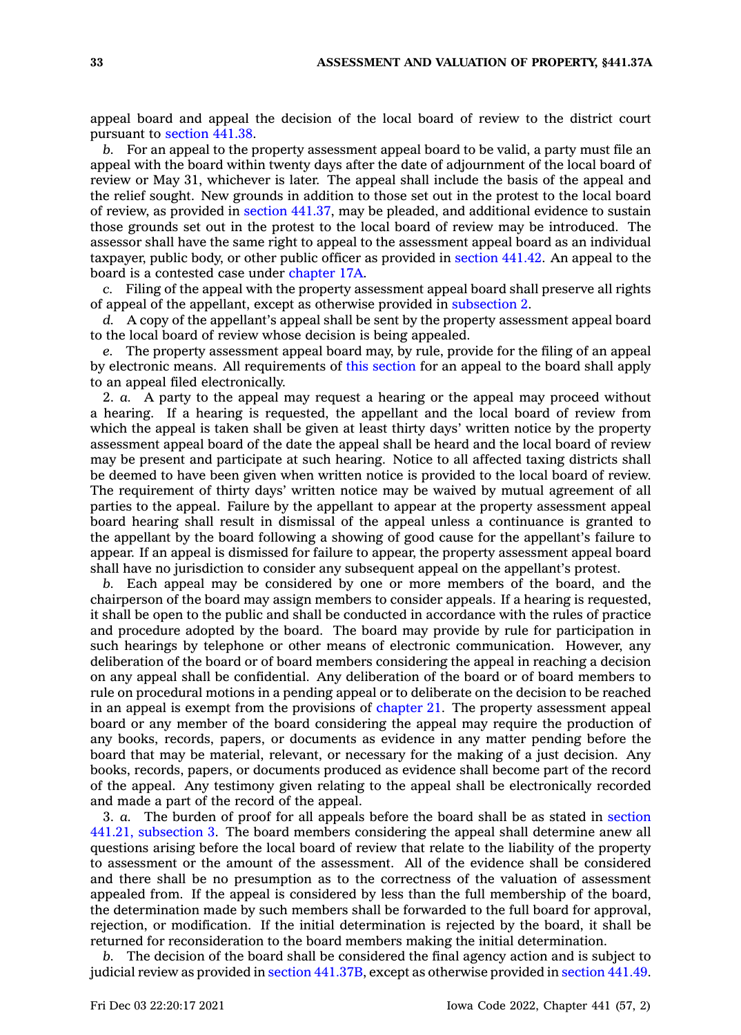appeal board and appeal the decision of the local board of review to the district court pursuant to [section](https://www.legis.iowa.gov/docs/code/441.38.pdf) 441.38.

*b.* For an appeal to the property assessment appeal board to be valid, <sup>a</sup> party must file an appeal with the board within twenty days after the date of adjournment of the local board of review or May 31, whichever is later. The appeal shall include the basis of the appeal and the relief sought. New grounds in addition to those set out in the protest to the local board of review, as provided in section [441.37](https://www.legis.iowa.gov/docs/code/441.37.pdf), may be pleaded, and additional evidence to sustain those grounds set out in the protest to the local board of review may be introduced. The assessor shall have the same right to appeal to the assessment appeal board as an individual taxpayer, public body, or other public officer as provided in [section](https://www.legis.iowa.gov/docs/code/441.42.pdf) 441.42. An appeal to the board is <sup>a</sup> contested case under [chapter](https://www.legis.iowa.gov/docs/code//17A.pdf) 17A.

*c.* Filing of the appeal with the property assessment appeal board shall preserve all rights of appeal of the appellant, except as otherwise provided in [subsection](https://www.legis.iowa.gov/docs/code/441.37A.pdf) 2.

*d.* A copy of the appellant's appeal shall be sent by the property assessment appeal board to the local board of review whose decision is being appealed.

*e.* The property assessment appeal board may, by rule, provide for the filing of an appeal by electronic means. All requirements of this [section](https://www.legis.iowa.gov/docs/code/441.37A.pdf) for an appeal to the board shall apply to an appeal filed electronically.

2. *a.* A party to the appeal may request <sup>a</sup> hearing or the appeal may proceed without <sup>a</sup> hearing. If <sup>a</sup> hearing is requested, the appellant and the local board of review from which the appeal is taken shall be given at least thirty days' written notice by the property assessment appeal board of the date the appeal shall be heard and the local board of review may be present and participate at such hearing. Notice to all affected taxing districts shall be deemed to have been given when written notice is provided to the local board of review. The requirement of thirty days' written notice may be waived by mutual agreement of all parties to the appeal. Failure by the appellant to appear at the property assessment appeal board hearing shall result in dismissal of the appeal unless <sup>a</sup> continuance is granted to the appellant by the board following <sup>a</sup> showing of good cause for the appellant's failure to appear. If an appeal is dismissed for failure to appear, the property assessment appeal board shall have no jurisdiction to consider any subsequent appeal on the appellant's protest.

*b.* Each appeal may be considered by one or more members of the board, and the chairperson of the board may assign members to consider appeals. If <sup>a</sup> hearing is requested, it shall be open to the public and shall be conducted in accordance with the rules of practice and procedure adopted by the board. The board may provide by rule for participation in such hearings by telephone or other means of electronic communication. However, any deliberation of the board or of board members considering the appeal in reaching <sup>a</sup> decision on any appeal shall be confidential. Any deliberation of the board or of board members to rule on procedural motions in <sup>a</sup> pending appeal or to deliberate on the decision to be reached in an appeal is exempt from the provisions of [chapter](https://www.legis.iowa.gov/docs/code//21.pdf) 21. The property assessment appeal board or any member of the board considering the appeal may require the production of any books, records, papers, or documents as evidence in any matter pending before the board that may be material, relevant, or necessary for the making of <sup>a</sup> just decision. Any books, records, papers, or documents produced as evidence shall become part of the record of the appeal. Any testimony given relating to the appeal shall be electronically recorded and made <sup>a</sup> part of the record of the appeal.

3. *a.* The burden of proof for all appeals before the board shall be as stated in [section](https://www.legis.iowa.gov/docs/code/441.21.pdf) 441.21, [subsection](https://www.legis.iowa.gov/docs/code/441.21.pdf) 3. The board members considering the appeal shall determine anew all questions arising before the local board of review that relate to the liability of the property to assessment or the amount of the assessment. All of the evidence shall be considered and there shall be no presumption as to the correctness of the valuation of assessment appealed from. If the appeal is considered by less than the full membership of the board, the determination made by such members shall be forwarded to the full board for approval, rejection, or modification. If the initial determination is rejected by the board, it shall be returned for reconsideration to the board members making the initial determination.

*b.* The decision of the board shall be considered the final agency action and is subject to judicial review as provided in section [441.37B](https://www.legis.iowa.gov/docs/code/441.37B.pdf), except as otherwise provided in [section](https://www.legis.iowa.gov/docs/code/441.49.pdf) 441.49.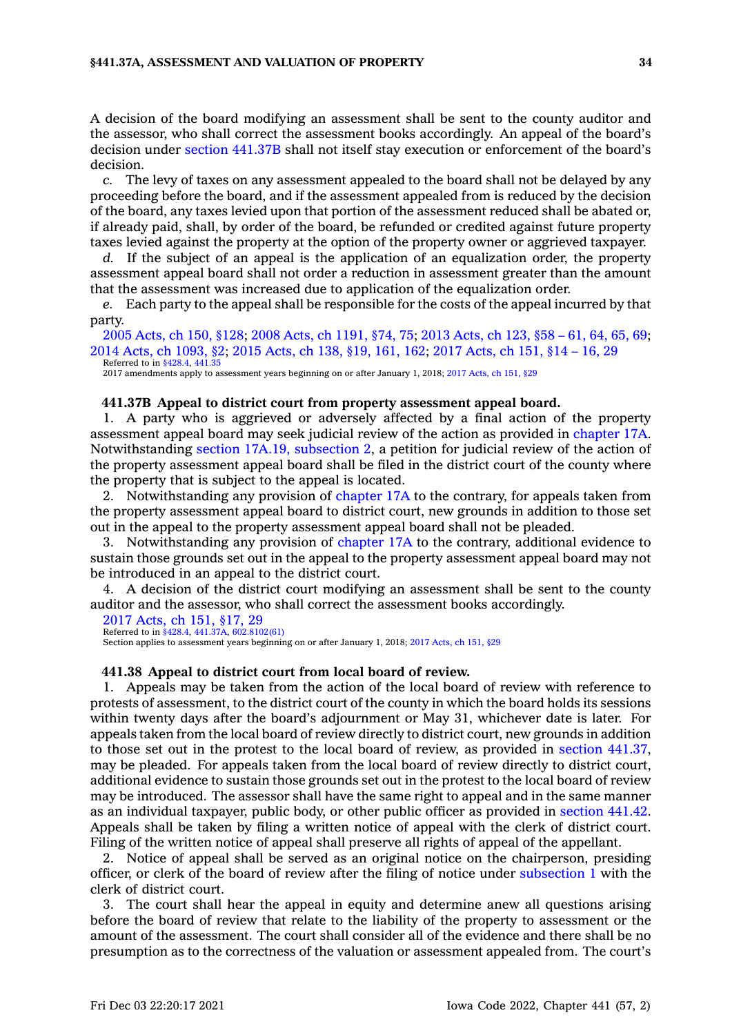A decision of the board modifying an assessment shall be sent to the county auditor and the assessor, who shall correct the assessment books accordingly. An appeal of the board's decision under section [441.37B](https://www.legis.iowa.gov/docs/code/441.37B.pdf) shall not itself stay execution or enforcement of the board's decision.

*c.* The levy of taxes on any assessment appealed to the board shall not be delayed by any proceeding before the board, and if the assessment appealed from is reduced by the decision of the board, any taxes levied upon that portion of the assessment reduced shall be abated or, if already paid, shall, by order of the board, be refunded or credited against future property taxes levied against the property at the option of the property owner or aggrieved taxpayer.

*d.* If the subject of an appeal is the application of an equalization order, the property assessment appeal board shall not order <sup>a</sup> reduction in assessment greater than the amount that the assessment was increased due to application of the equalization order.

*e.* Each party to the appeal shall be responsible for the costs of the appeal incurred by that party.

2005 [Acts,](https://www.legis.iowa.gov/docs/acts/2005/CH0150.pdf) ch 150, §128; 2008 Acts, ch [1191,](https://www.legis.iowa.gov/docs/acts/2008/CH1191.pdf) §74, 75; 2013 [Acts,](https://www.legis.iowa.gov/docs/acts/2013/CH0123.pdf) ch 123, §58 – 61, 64, 65, 69; 2014 Acts, ch [1093,](https://www.legis.iowa.gov/docs/acts/2014/CH1093.pdf) §2; 2015 [Acts,](https://www.legis.iowa.gov/docs/acts/2015/CH0138.pdf) ch 138, §19, 161, 162; 2017 [Acts,](https://www.legis.iowa.gov/docs/acts/2017/CH0151.pdf) ch 151, §14 – 16, 29 Referred to in [§428.4](https://www.legis.iowa.gov/docs/code/428.4.pdf), [441.35](https://www.legis.iowa.gov/docs/code/441.35.pdf)

2017 amendments apply to assessment years beginning on or after January 1, 2018; 2017 [Acts,](https://www.legis.iowa.gov/docs/acts/2017/CH0151.pdf) ch 151, §29

#### **441.37B Appeal to district court from property assessment appeal board.**

1. A party who is aggrieved or adversely affected by <sup>a</sup> final action of the property assessment appeal board may seek judicial review of the action as provided in [chapter](https://www.legis.iowa.gov/docs/code//17A.pdf) 17A. Notwithstanding section 17A.19, [subsection](https://www.legis.iowa.gov/docs/code/17A.19.pdf) 2, <sup>a</sup> petition for judicial review of the action of the property assessment appeal board shall be filed in the district court of the county where the property that is subject to the appeal is located.

2. Notwithstanding any provision of [chapter](https://www.legis.iowa.gov/docs/code//17A.pdf) 17A to the contrary, for appeals taken from the property assessment appeal board to district court, new grounds in addition to those set out in the appeal to the property assessment appeal board shall not be pleaded.

3. Notwithstanding any provision of [chapter](https://www.legis.iowa.gov/docs/code//17A.pdf) 17A to the contrary, additional evidence to sustain those grounds set out in the appeal to the property assessment appeal board may not be introduced in an appeal to the district court.

4. A decision of the district court modifying an assessment shall be sent to the county auditor and the assessor, who shall correct the assessment books accordingly.

2017 [Acts,](https://www.legis.iowa.gov/docs/acts/2017/CH0151.pdf) ch 151, §17, 29 Referred to in [§428.4](https://www.legis.iowa.gov/docs/code/428.4.pdf), [441.37A](https://www.legis.iowa.gov/docs/code/441.37A.pdf), [602.8102\(61\)](https://www.legis.iowa.gov/docs/code/602.8102.pdf)

Section applies to assessment years beginning on or after January 1, 2018; 2017 [Acts,](https://www.legis.iowa.gov/docs/acts/2017/CH0151.pdf) ch 151, §29

#### **441.38 Appeal to district court from local board of review.**

1. Appeals may be taken from the action of the local board of review with reference to protests of assessment, to the district court of the county in which the board holds its sessions within twenty days after the board's adjournment or May 31, whichever date is later. For appeals taken from the local board of review directly to district court, new grounds in addition to those set out in the protest to the local board of review, as provided in section [441.37](https://www.legis.iowa.gov/docs/code/441.37.pdf), may be pleaded. For appeals taken from the local board of review directly to district court, additional evidence to sustain those grounds set out in the protest to the local board of review may be introduced. The assessor shall have the same right to appeal and in the same manner as an individual taxpayer, public body, or other public officer as provided in [section](https://www.legis.iowa.gov/docs/code/441.42.pdf) 441.42. Appeals shall be taken by filing <sup>a</sup> written notice of appeal with the clerk of district court. Filing of the written notice of appeal shall preserve all rights of appeal of the appellant.

2. Notice of appeal shall be served as an original notice on the chairperson, presiding officer, or clerk of the board of review after the filing of notice under [subsection](https://www.legis.iowa.gov/docs/code/441.38.pdf) 1 with the clerk of district court.

3. The court shall hear the appeal in equity and determine anew all questions arising before the board of review that relate to the liability of the property to assessment or the amount of the assessment. The court shall consider all of the evidence and there shall be no presumption as to the correctness of the valuation or assessment appealed from. The court's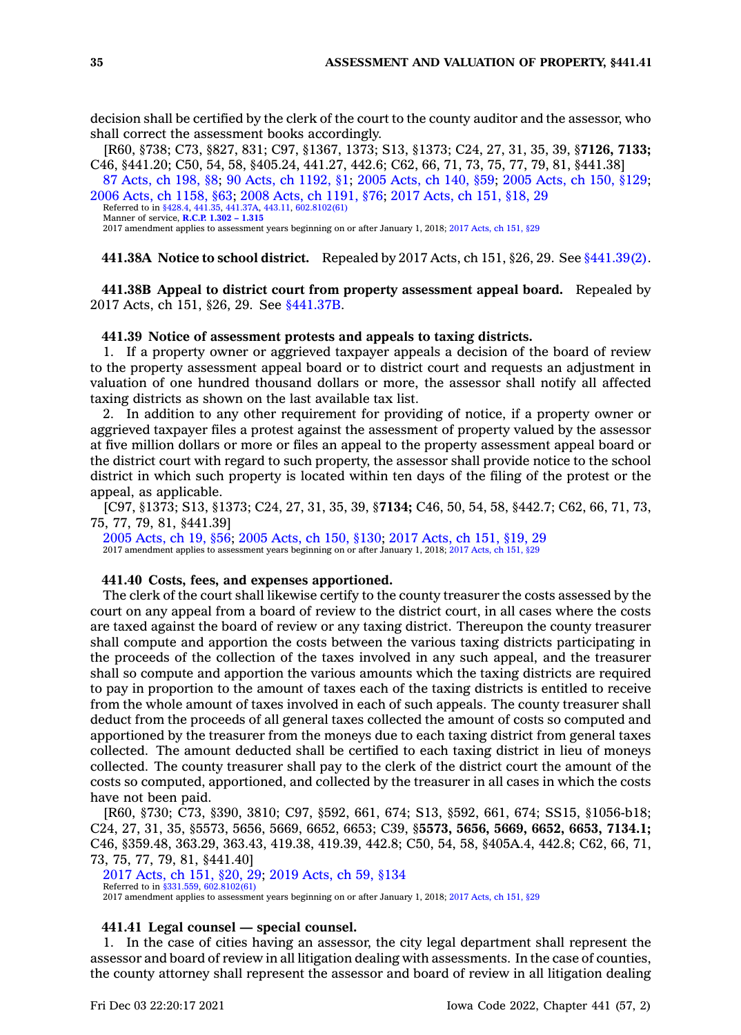decision shall be certified by the clerk of the court to the county auditor and the assessor, who shall correct the assessment books accordingly.

[R60, §738; C73, §827, 831; C97, §1367, 1373; S13, §1373; C24, 27, 31, 35, 39, §**7126, 7133;** C46, §441.20; C50, 54, 58, §405.24, 441.27, 442.6; C62, 66, 71, 73, 75, 77, 79, 81, §441.38]

87 [Acts,](https://www.legis.iowa.gov/docs/acts/1987/CH0198.pdf) ch 198, §8; 90 Acts, ch [1192,](https://www.legis.iowa.gov/docs/acts/90/CH1192.pdf) §1; 2005 [Acts,](https://www.legis.iowa.gov/docs/acts/2005/CH0140.pdf) ch 140, §59; 2005 [Acts,](https://www.legis.iowa.gov/docs/acts/2005/CH0150.pdf) ch 150, §129; 2006 Acts, ch [1158,](https://www.legis.iowa.gov/docs/acts/2006/CH1158.pdf) §63; 2008 Acts, ch [1191,](https://www.legis.iowa.gov/docs/acts/2008/CH1191.pdf) §76; 2017 [Acts,](https://www.legis.iowa.gov/docs/acts/2017/CH0151.pdf) ch 151, §18, 29

Referred to in [§428.4](https://www.legis.iowa.gov/docs/code/428.4.pdf), [441.35](https://www.legis.iowa.gov/docs/code/441.35.pdf), [441.37A](https://www.legis.iowa.gov/docs/code/441.37A.pdf), [443.11](https://www.legis.iowa.gov/docs/code/443.11.pdf), [602.8102\(61\)](https://www.legis.iowa.gov/docs/code/602.8102.pdf) Manner of service, **[R.C.P.](https://www.legis.iowa.gov/docs/ACO/CourtRulesChapter/1.pdf) 1.302 – 1.315**

2017 amendment applies to assessment years beginning on or after January 1, 2018; 2017 [Acts,](https://www.legis.iowa.gov/docs/acts/2017/CH0151.pdf) ch 151, §29

**441.38A Notice to school district.** Repealed by 2017 Acts, ch 151, §26, 29. See [§441.39\(2\)](https://www.legis.iowa.gov/docs/code/441.39.pdf).

**441.38B Appeal to district court from property assessment appeal board.** Repealed by 2017 Acts, ch 151, §26, 29. See [§441.37B](https://www.legis.iowa.gov/docs/code/441.37B.pdf).

**441.39 Notice of assessment protests and appeals to taxing districts.**

1. If <sup>a</sup> property owner or aggrieved taxpayer appeals <sup>a</sup> decision of the board of review to the property assessment appeal board or to district court and requests an adjustment in valuation of one hundred thousand dollars or more, the assessor shall notify all affected taxing districts as shown on the last available tax list.

2. In addition to any other requirement for providing of notice, if <sup>a</sup> property owner or aggrieved taxpayer files <sup>a</sup> protest against the assessment of property valued by the assessor at five million dollars or more or files an appeal to the property assessment appeal board or the district court with regard to such property, the assessor shall provide notice to the school district in which such property is located within ten days of the filing of the protest or the appeal, as applicable.

[C97, §1373; S13, §1373; C24, 27, 31, 35, 39, §**7134;** C46, 50, 54, 58, §442.7; C62, 66, 71, 73, 75, 77, 79, 81, §441.39]

2005 [Acts,](https://www.legis.iowa.gov/docs/acts/2005/CH0019.pdf) ch 19, §56; 2005 [Acts,](https://www.legis.iowa.gov/docs/acts/2005/CH0150.pdf) ch 150, §130; 2017 [Acts,](https://www.legis.iowa.gov/docs/acts/2017/CH0151.pdf) ch 151, §19, 29 2017 amendment applies to assessment years beginning on or after January 1, 2018; 2017 [Acts,](https://www.legis.iowa.gov/docs/acts/2017/CH0151.pdf) ch 151, §29

#### **441.40 Costs, fees, and expenses apportioned.**

The clerk of the court shall likewise certify to the county treasurer the costs assessed by the court on any appeal from <sup>a</sup> board of review to the district court, in all cases where the costs are taxed against the board of review or any taxing district. Thereupon the county treasurer shall compute and apportion the costs between the various taxing districts participating in the proceeds of the collection of the taxes involved in any such appeal, and the treasurer shall so compute and apportion the various amounts which the taxing districts are required to pay in proportion to the amount of taxes each of the taxing districts is entitled to receive from the whole amount of taxes involved in each of such appeals. The county treasurer shall deduct from the proceeds of all general taxes collected the amount of costs so computed and apportioned by the treasurer from the moneys due to each taxing district from general taxes collected. The amount deducted shall be certified to each taxing district in lieu of moneys collected. The county treasurer shall pay to the clerk of the district court the amount of the costs so computed, apportioned, and collected by the treasurer in all cases in which the costs have not been paid.

[R60, §730; C73, §390, 3810; C97, §592, 661, 674; S13, §592, 661, 674; SS15, §1056-b18; C24, 27, 31, 35, §5573, 5656, 5669, 6652, 6653; C39, §**5573, 5656, 5669, 6652, 6653, 7134.1;** C46, §359.48, 363.29, 363.43, 419.38, 419.39, 442.8; C50, 54, 58, §405A.4, 442.8; C62, 66, 71, 73, 75, 77, 79, 81, §441.40]

2017 [Acts,](https://www.legis.iowa.gov/docs/acts/2017/CH0151.pdf) ch 151, §20, 29; 2019 [Acts,](https://www.legis.iowa.gov/docs/acts/2019/CH0059.pdf) ch 59, §134

Referred to in [§331.559](https://www.legis.iowa.gov/docs/code/331.559.pdf), [602.8102\(61\)](https://www.legis.iowa.gov/docs/code/602.8102.pdf)

2017 amendment applies to assessment years beginning on or after January 1, 2018; 2017 [Acts,](https://www.legis.iowa.gov/docs/acts/2017/CH0151.pdf) ch 151, §29

### **441.41 Legal counsel —special counsel.**

1. In the case of cities having an assessor, the city legal department shall represent the assessor and board of review in all litigation dealing with assessments. In the case of counties, the county attorney shall represent the assessor and board of review in all litigation dealing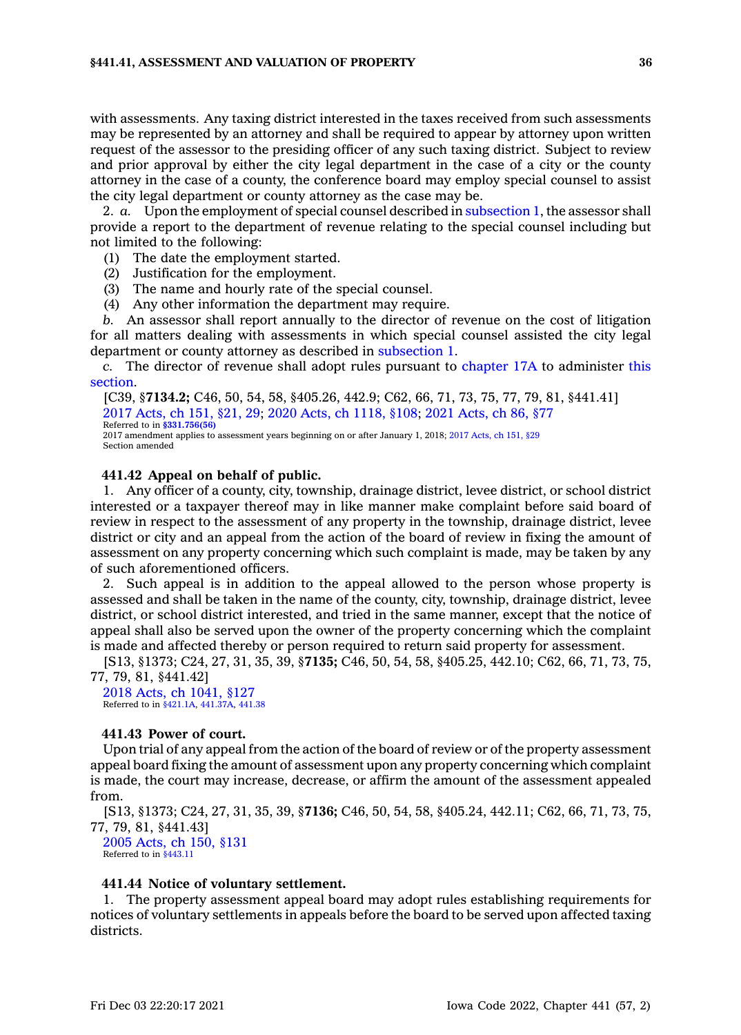with assessments. Any taxing district interested in the taxes received from such assessments may be represented by an attorney and shall be required to appear by attorney upon written request of the assessor to the presiding officer of any such taxing district. Subject to review and prior approval by either the city legal department in the case of <sup>a</sup> city or the county attorney in the case of <sup>a</sup> county, the conference board may employ special counsel to assist the city legal department or county attorney as the case may be.

2. *a.* Upon the employment of special counsel described in [subsection](https://www.legis.iowa.gov/docs/code/441.41.pdf) 1, the assessor shall provide <sup>a</sup> report to the department of revenue relating to the special counsel including but not limited to the following:

- (1) The date the employment started.
- (2) Justification for the employment.
- (3) The name and hourly rate of the special counsel.
- (4) Any other information the department may require.

*b.* An assessor shall report annually to the director of revenue on the cost of litigation for all matters dealing with assessments in which special counsel assisted the city legal department or county attorney as described in [subsection](https://www.legis.iowa.gov/docs/code/441.41.pdf) 1.

*c.* The director of revenue shall adopt rules pursuant to [chapter](https://www.legis.iowa.gov/docs/code//17A.pdf) 17A to administer [this](https://www.legis.iowa.gov/docs/code/441.41.pdf) [section](https://www.legis.iowa.gov/docs/code/441.41.pdf).

[C39, §**7134.2;** C46, 50, 54, 58, §405.26, 442.9; C62, 66, 71, 73, 75, 77, 79, 81, §441.41] 2017 [Acts,](https://www.legis.iowa.gov/docs/acts/2017/CH0151.pdf) ch 151, §21, 29; 2020 Acts, ch [1118,](https://www.legis.iowa.gov/docs/acts/2020/CH1118.pdf) §108; 2021 [Acts,](https://www.legis.iowa.gov/docs/acts/2021/CH0086.pdf) ch 86, §77 Referred to in **[§331.756\(56\)](https://www.legis.iowa.gov/docs/code/331.756.pdf)** 2017 amendment applies to assessment years beginning on or after January 1, 2018; 2017 [Acts,](https://www.legis.iowa.gov/docs/acts/2017/CH0151.pdf) ch 151, §29 Section amended

### **441.42 Appeal on behalf of public.**

1. Any officer of <sup>a</sup> county, city, township, drainage district, levee district, or school district interested or <sup>a</sup> taxpayer thereof may in like manner make complaint before said board of review in respect to the assessment of any property in the township, drainage district, levee district or city and an appeal from the action of the board of review in fixing the amount of assessment on any property concerning which such complaint is made, may be taken by any of such aforementioned officers.

2. Such appeal is in addition to the appeal allowed to the person whose property is assessed and shall be taken in the name of the county, city, township, drainage district, levee district, or school district interested, and tried in the same manner, except that the notice of appeal shall also be served upon the owner of the property concerning which the complaint is made and affected thereby or person required to return said property for assessment.

[S13, §1373; C24, 27, 31, 35, 39, §**7135;** C46, 50, 54, 58, §405.25, 442.10; C62, 66, 71, 73, 75, 77, 79, 81, §441.42]

2018 Acts, ch [1041,](https://www.legis.iowa.gov/docs/acts/2018/CH1041.pdf) §127 Referred to in [§421.1A](https://www.legis.iowa.gov/docs/code/421.1A.pdf), [441.37A,](https://www.legis.iowa.gov/docs/code/441.37A.pdf) [441.38](https://www.legis.iowa.gov/docs/code/441.38.pdf)

#### **441.43 Power of court.**

Upon trial of any appeal from the action of the board of review or of the property assessment appeal board fixing the amount of assessment upon any property concerning which complaint is made, the court may increase, decrease, or affirm the amount of the assessment appealed from.

[S13, §1373; C24, 27, 31, 35, 39, §**7136;** C46, 50, 54, 58, §405.24, 442.11; C62, 66, 71, 73, 75, 77, 79, 81, §441.43]

2005 [Acts,](https://www.legis.iowa.gov/docs/acts/2005/CH0150.pdf) ch 150, §131 Referred to in [§443.11](https://www.legis.iowa.gov/docs/code/443.11.pdf)

### **441.44 Notice of voluntary settlement.**

1. The property assessment appeal board may adopt rules establishing requirements for notices of voluntary settlements in appeals before the board to be served upon affected taxing districts.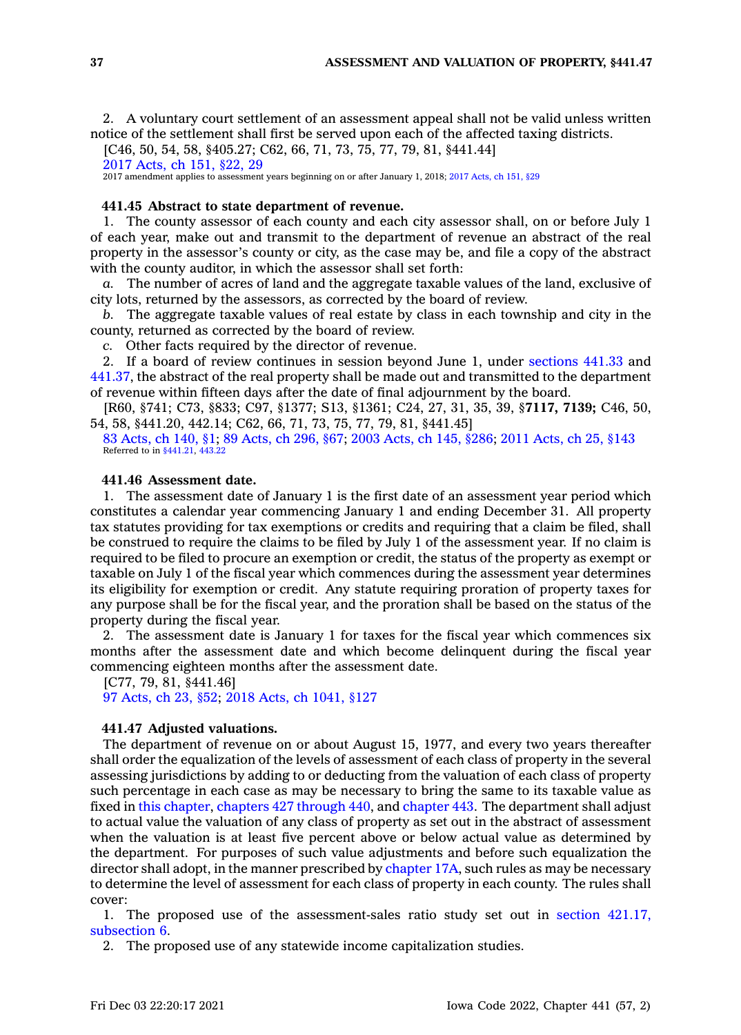2. A voluntary court settlement of an assessment appeal shall not be valid unless written notice of the settlement shall first be served upon each of the affected taxing districts.

[C46, 50, 54, 58, §405.27; C62, 66, 71, 73, 75, 77, 79, 81, §441.44]

2017 [Acts,](https://www.legis.iowa.gov/docs/acts/2017/CH0151.pdf) ch 151, §22, 29

2017 amendment applies to assessment years beginning on or after January 1, 2018; 2017 [Acts,](https://www.legis.iowa.gov/docs/acts/2017/CH0151.pdf) ch 151, §29

### **441.45 Abstract to state department of revenue.**

1. The county assessor of each county and each city assessor shall, on or before July 1 of each year, make out and transmit to the department of revenue an abstract of the real property in the assessor's county or city, as the case may be, and file <sup>a</sup> copy of the abstract with the county auditor, in which the assessor shall set forth:

*a.* The number of acres of land and the aggregate taxable values of the land, exclusive of city lots, returned by the assessors, as corrected by the board of review.

*b.* The aggregate taxable values of real estate by class in each township and city in the county, returned as corrected by the board of review.

*c.* Other facts required by the director of revenue.

2. If <sup>a</sup> board of review continues in session beyond June 1, under [sections](https://www.legis.iowa.gov/docs/code/441.33.pdf) 441.33 and [441.37](https://www.legis.iowa.gov/docs/code/441.37.pdf), the abstract of the real property shall be made out and transmitted to the department of revenue within fifteen days after the date of final adjournment by the board.

[R60, §741; C73, §833; C97, §1377; S13, §1361; C24, 27, 31, 35, 39, §**7117, 7139;** C46, 50, 54, 58, §441.20, 442.14; C62, 66, 71, 73, 75, 77, 79, 81, §441.45]

83 [Acts,](https://www.legis.iowa.gov/docs/acts/1983/CH0140.pdf) ch 140, §1; 89 [Acts,](https://www.legis.iowa.gov/docs/acts/89/CH0296.pdf) ch 296, §67; 2003 [Acts,](https://www.legis.iowa.gov/docs/acts/2003/CH0145.pdf) ch 145, §286; 2011 [Acts,](https://www.legis.iowa.gov/docs/acts/2011/CH0025.pdf) ch 25, §143 Referred to in [§441.21](https://www.legis.iowa.gov/docs/code/441.21.pdf), [443.22](https://www.legis.iowa.gov/docs/code/443.22.pdf)

### **441.46 Assessment date.**

1. The assessment date of January 1 is the first date of an assessment year period which constitutes <sup>a</sup> calendar year commencing January 1 and ending December 31. All property tax statutes providing for tax exemptions or credits and requiring that <sup>a</sup> claim be filed, shall be construed to require the claims to be filed by July 1 of the assessment year. If no claim is required to be filed to procure an exemption or credit, the status of the property as exempt or taxable on July 1 of the fiscal year which commences during the assessment year determines its eligibility for exemption or credit. Any statute requiring proration of property taxes for any purpose shall be for the fiscal year, and the proration shall be based on the status of the property during the fiscal year.

2. The assessment date is January 1 for taxes for the fiscal year which commences six months after the assessment date and which become delinquent during the fiscal year commencing eighteen months after the assessment date.

[C77, 79, 81, §441.46]

97 [Acts,](https://www.legis.iowa.gov/docs/acts/1997/CH0023.pdf) ch 23, §52; 2018 Acts, ch [1041,](https://www.legis.iowa.gov/docs/acts/2018/CH1041.pdf) §127

#### **441.47 Adjusted valuations.**

The department of revenue on or about August 15, 1977, and every two years thereafter shall order the equalization of the levels of assessment of each class of property in the several assessing jurisdictions by adding to or deducting from the valuation of each class of property such percentage in each case as may be necessary to bring the same to its taxable value as fixed in this [chapter](https://www.legis.iowa.gov/docs/code//441.pdf), [chapters](https://www.legis.iowa.gov/docs/code/427.pdf) 427 through 440, and [chapter](https://www.legis.iowa.gov/docs/code//443.pdf) 443. The department shall adjust to actual value the valuation of any class of property as set out in the abstract of assessment when the valuation is at least five percent above or below actual value as determined by the department. For purposes of such value adjustments and before such equalization the director shall adopt, in the manner prescribed by [chapter](https://www.legis.iowa.gov/docs/code//17A.pdf) 17A, such rules as may be necessary to determine the level of assessment for each class of property in each county. The rules shall cover:

1. The proposed use of the assessment-sales ratio study set out in section [421.17,](https://www.legis.iowa.gov/docs/code/421.17.pdf) [subsection](https://www.legis.iowa.gov/docs/code/421.17.pdf) 6.

2. The proposed use of any statewide income capitalization studies.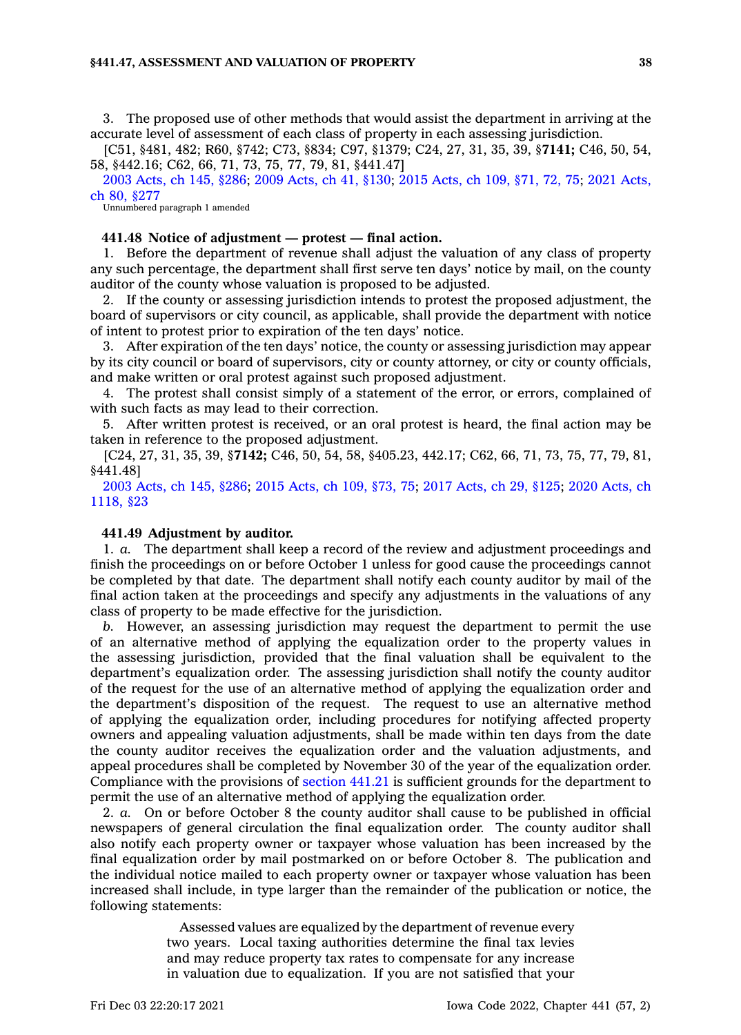#### **§441.47, ASSESSMENT AND VALUATION OF PROPERTY 38**

3. The proposed use of other methods that would assist the department in arriving at the accurate level of assessment of each class of property in each assessing jurisdiction.

[C51, §481, 482; R60, §742; C73, §834; C97, §1379; C24, 27, 31, 35, 39, §**7141;** C46, 50, 54, 58, §442.16; C62, 66, 71, 73, 75, 77, 79, 81, §441.47]

2003 [Acts,](https://www.legis.iowa.gov/docs/acts/2003/CH0145.pdf) ch 145, §286; 2009 [Acts,](https://www.legis.iowa.gov/docs/acts/2009/CH0041.pdf) ch 41, §130; 2015 [Acts,](https://www.legis.iowa.gov/docs/acts/2015/CH0109.pdf) ch 109, §71, 72, 75; 2021 [Acts,](https://www.legis.iowa.gov/docs/acts/2021/CH0080.pdf) ch 80, [§277](https://www.legis.iowa.gov/docs/acts/2021/CH0080.pdf)

Unnumbered paragraph 1 amended

### **441.48 Notice of adjustment —protest — final action.**

1. Before the department of revenue shall adjust the valuation of any class of property any such percentage, the department shall first serve ten days' notice by mail, on the county auditor of the county whose valuation is proposed to be adjusted.

2. If the county or assessing jurisdiction intends to protest the proposed adjustment, the board of supervisors or city council, as applicable, shall provide the department with notice of intent to protest prior to expiration of the ten days' notice.

3. After expiration of the ten days' notice, the county or assessing jurisdiction may appear by its city council or board of supervisors, city or county attorney, or city or county officials, and make written or oral protest against such proposed adjustment.

4. The protest shall consist simply of <sup>a</sup> statement of the error, or errors, complained of with such facts as may lead to their correction.

5. After written protest is received, or an oral protest is heard, the final action may be taken in reference to the proposed adjustment.

[C24, 27, 31, 35, 39, §**7142;** C46, 50, 54, 58, §405.23, 442.17; C62, 66, 71, 73, 75, 77, 79, 81, §441.48]

2003 [Acts,](https://www.legis.iowa.gov/docs/acts/2003/CH0145.pdf) ch 145, §286; 2015 [Acts,](https://www.legis.iowa.gov/docs/acts/2015/CH0109.pdf) ch 109, §73, 75; 2017 [Acts,](https://www.legis.iowa.gov/docs/acts/2017/CH0029.pdf) ch 29, §125; 2020 [Acts,](https://www.legis.iowa.gov/docs/acts/2020/CH1118.pdf) ch [1118,](https://www.legis.iowa.gov/docs/acts/2020/CH1118.pdf) §23

#### **441.49 Adjustment by auditor.**

1. *a.* The department shall keep <sup>a</sup> record of the review and adjustment proceedings and finish the proceedings on or before October 1 unless for good cause the proceedings cannot be completed by that date. The department shall notify each county auditor by mail of the final action taken at the proceedings and specify any adjustments in the valuations of any class of property to be made effective for the jurisdiction.

*b.* However, an assessing jurisdiction may request the department to permit the use of an alternative method of applying the equalization order to the property values in the assessing jurisdiction, provided that the final valuation shall be equivalent to the department's equalization order. The assessing jurisdiction shall notify the county auditor of the request for the use of an alternative method of applying the equalization order and the department's disposition of the request. The request to use an alternative method of applying the equalization order, including procedures for notifying affected property owners and appealing valuation adjustments, shall be made within ten days from the date the county auditor receives the equalization order and the valuation adjustments, and appeal procedures shall be completed by November 30 of the year of the equalization order. Compliance with the provisions of [section](https://www.legis.iowa.gov/docs/code/441.21.pdf) 441.21 is sufficient grounds for the department to permit the use of an alternative method of applying the equalization order.

2. *a.* On or before October 8 the county auditor shall cause to be published in official newspapers of general circulation the final equalization order. The county auditor shall also notify each property owner or taxpayer whose valuation has been increased by the final equalization order by mail postmarked on or before October 8. The publication and the individual notice mailed to each property owner or taxpayer whose valuation has been increased shall include, in type larger than the remainder of the publication or notice, the following statements:

> Assessed values are equalized by the department of revenue every two years. Local taxing authorities determine the final tax levies and may reduce property tax rates to compensate for any increase in valuation due to equalization. If you are not satisfied that your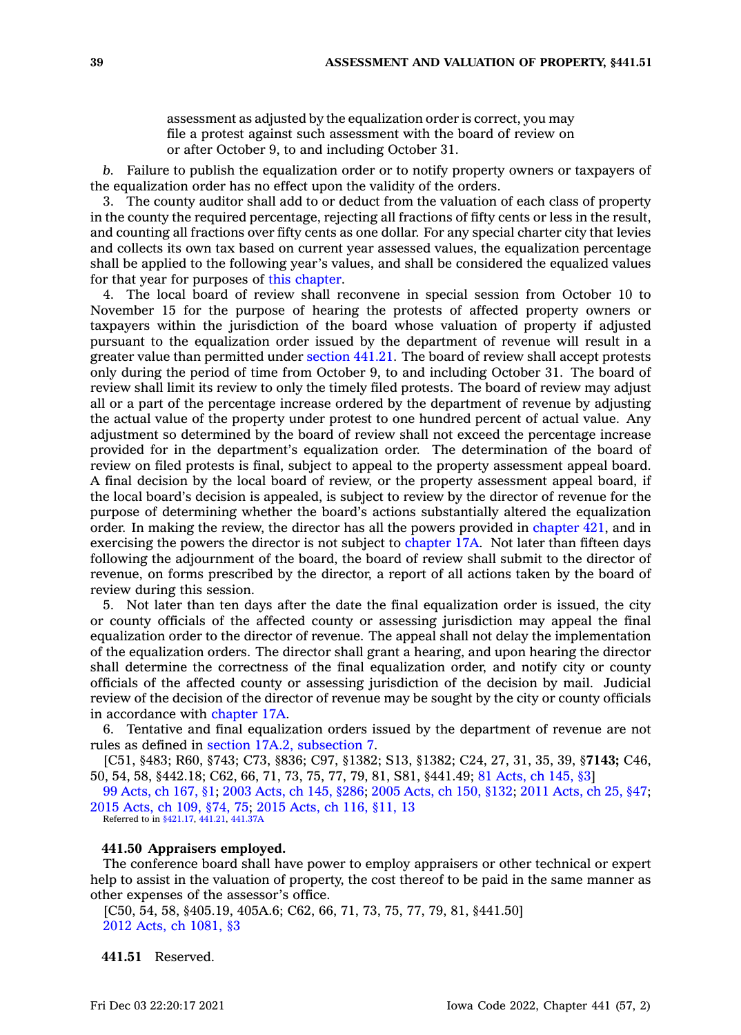assessment as adjusted by the equalization order is correct, you may file <sup>a</sup> protest against such assessment with the board of review on or after October 9, to and including October 31.

*b.* Failure to publish the equalization order or to notify property owners or taxpayers of the equalization order has no effect upon the validity of the orders.

3. The county auditor shall add to or deduct from the valuation of each class of property in the county the required percentage, rejecting all fractions of fifty cents or less in the result, and counting all fractions over fifty cents as one dollar. For any special charter city that levies and collects its own tax based on current year assessed values, the equalization percentage shall be applied to the following year's values, and shall be considered the equalized values for that year for purposes of this [chapter](https://www.legis.iowa.gov/docs/code//441.pdf).

4. The local board of review shall reconvene in special session from October 10 to November 15 for the purpose of hearing the protests of affected property owners or taxpayers within the jurisdiction of the board whose valuation of property if adjusted pursuant to the equalization order issued by the department of revenue will result in <sup>a</sup> greater value than permitted under [section](https://www.legis.iowa.gov/docs/code/441.21.pdf) 441.21. The board of review shall accept protests only during the period of time from October 9, to and including October 31. The board of review shall limit its review to only the timely filed protests. The board of review may adjust all or <sup>a</sup> part of the percentage increase ordered by the department of revenue by adjusting the actual value of the property under protest to one hundred percent of actual value. Any adjustment so determined by the board of review shall not exceed the percentage increase provided for in the department's equalization order. The determination of the board of review on filed protests is final, subject to appeal to the property assessment appeal board. A final decision by the local board of review, or the property assessment appeal board, if the local board's decision is appealed, is subject to review by the director of revenue for the purpose of determining whether the board's actions substantially altered the equalization order. In making the review, the director has all the powers provided in [chapter](https://www.legis.iowa.gov/docs/code//421.pdf) 421, and in exercising the powers the director is not subject to [chapter](https://www.legis.iowa.gov/docs/code//17A.pdf) 17A. Not later than fifteen days following the adjournment of the board, the board of review shall submit to the director of revenue, on forms prescribed by the director, <sup>a</sup> report of all actions taken by the board of review during this session.

5. Not later than ten days after the date the final equalization order is issued, the city or county officials of the affected county or assessing jurisdiction may appeal the final equalization order to the director of revenue. The appeal shall not delay the implementation of the equalization orders. The director shall grant <sup>a</sup> hearing, and upon hearing the director shall determine the correctness of the final equalization order, and notify city or county officials of the affected county or assessing jurisdiction of the decision by mail. Judicial review of the decision of the director of revenue may be sought by the city or county officials in accordance with [chapter](https://www.legis.iowa.gov/docs/code//17A.pdf) 17A.

6. Tentative and final equalization orders issued by the department of revenue are not rules as defined in section 17A.2, [subsection](https://www.legis.iowa.gov/docs/code/17A.2.pdf) 7.

[C51, §483; R60, §743; C73, §836; C97, §1382; S13, §1382; C24, 27, 31, 35, 39, §**7143;** C46, 50, 54, 58, §442.18; C62, 66, 71, 73, 75, 77, 79, 81, S81, §441.49; 81 [Acts,](https://www.legis.iowa.gov/docs/acts/1981/CH0145.pdf) ch 145, §3]

99 [Acts,](https://www.legis.iowa.gov/docs/acts/1999/CH0167.pdf) ch 167, §1; 2003 [Acts,](https://www.legis.iowa.gov/docs/acts/2003/CH0145.pdf) ch 145, §286; 2005 [Acts,](https://www.legis.iowa.gov/docs/acts/2005/CH0150.pdf) ch 150, §132; 2011 [Acts,](https://www.legis.iowa.gov/docs/acts/2011/CH0025.pdf) ch 25, §47; 2015 [Acts,](https://www.legis.iowa.gov/docs/acts/2015/CH0109.pdf) ch 109, §74, 75; 2015 [Acts,](https://www.legis.iowa.gov/docs/acts/2015/CH0116.pdf) ch 116, §11, 13 Referred to in [§421.17,](https://www.legis.iowa.gov/docs/code/421.17.pdf) [441.21](https://www.legis.iowa.gov/docs/code/441.21.pdf), [441.37A](https://www.legis.iowa.gov/docs/code/441.37A.pdf)

# **441.50 Appraisers employed.**

The conference board shall have power to employ appraisers or other technical or expert help to assist in the valuation of property, the cost thereof to be paid in the same manner as other expenses of the assessor's office.

[C50, 54, 58, §405.19, 405A.6; C62, 66, 71, 73, 75, 77, 79, 81, §441.50] 2012 Acts, ch [1081,](https://www.legis.iowa.gov/docs/acts/2012/CH1081.pdf) §3

**441.51** Reserved.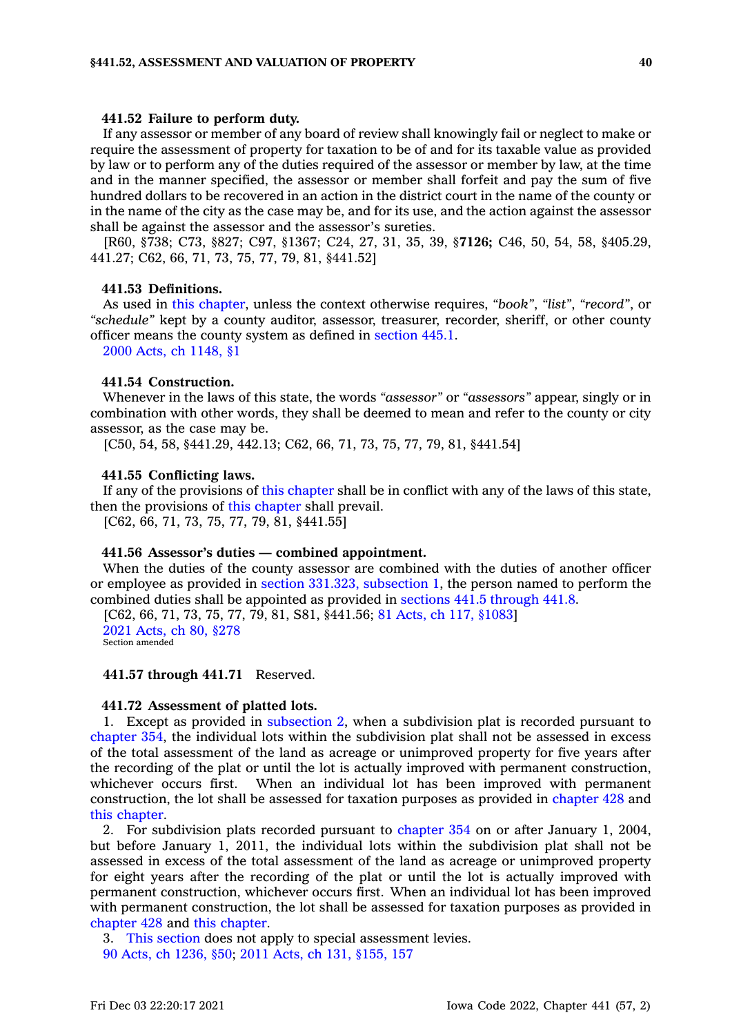#### **441.52 Failure to perform duty.**

If any assessor or member of any board of review shall knowingly fail or neglect to make or require the assessment of property for taxation to be of and for its taxable value as provided by law or to perform any of the duties required of the assessor or member by law, at the time and in the manner specified, the assessor or member shall forfeit and pay the sum of five hundred dollars to be recovered in an action in the district court in the name of the county or in the name of the city as the case may be, and for its use, and the action against the assessor shall be against the assessor and the assessor's sureties.

[R60, §738; C73, §827; C97, §1367; C24, 27, 31, 35, 39, §**7126;** C46, 50, 54, 58, §405.29, 441.27; C62, 66, 71, 73, 75, 77, 79, 81, §441.52]

### **441.53 Definitions.**

As used in this [chapter](https://www.legis.iowa.gov/docs/code//441.pdf), unless the context otherwise requires, *"book"*, *"list"*, *"record"*, or *"schedule"* kept by <sup>a</sup> county auditor, assessor, treasurer, recorder, sheriff, or other county officer means the county system as defined in [section](https://www.legis.iowa.gov/docs/code/445.1.pdf) 445.1.

2000 Acts, ch [1148,](https://www.legis.iowa.gov/docs/acts/2000/CH1148.pdf) §1

#### **441.54 Construction.**

Whenever in the laws of this state, the words *"assessor"* or *"assessors"* appear, singly or in combination with other words, they shall be deemed to mean and refer to the county or city assessor, as the case may be.

[C50, 54, 58, §441.29, 442.13; C62, 66, 71, 73, 75, 77, 79, 81, §441.54]

### **441.55 Conflicting laws.**

If any of the provisions of this [chapter](https://www.legis.iowa.gov/docs/code//441.pdf) shall be in conflict with any of the laws of this state, then the provisions of this [chapter](https://www.legis.iowa.gov/docs/code//441.pdf) shall prevail.

[C62, 66, 71, 73, 75, 77, 79, 81, §441.55]

### **441.56 Assessor's duties — combined appointment.**

When the duties of the county assessor are combined with the duties of another officer or employee as provided in section 331.323, [subsection](https://www.legis.iowa.gov/docs/code/331.323.pdf) 1, the person named to perform the combined duties shall be appointed as provided in sections 441.5 [through](https://www.legis.iowa.gov/docs/code/441.5.pdf) 441.8.

[C62, 66, 71, 73, 75, 77, 79, 81, S81, §441.56; 81 Acts, ch 117, [§1083](https://www.legis.iowa.gov/docs/acts/1981/CH0117.pdf)] 2021 [Acts,](https://www.legis.iowa.gov/docs/acts/2021/CH0080.pdf) ch 80, §278 Section amended

**441.57 through 441.71** Reserved.

#### **441.72 Assessment of platted lots.**

1. Except as provided in [subsection](https://www.legis.iowa.gov/docs/code/441.72.pdf) 2, when <sup>a</sup> subdivision plat is recorded pursuant to [chapter](https://www.legis.iowa.gov/docs/code//354.pdf) 354, the individual lots within the subdivision plat shall not be assessed in excess of the total assessment of the land as acreage or unimproved property for five years after the recording of the plat or until the lot is actually improved with permanent construction, whichever occurs first. When an individual lot has been improved with permanent construction, the lot shall be assessed for taxation purposes as provided in [chapter](https://www.legis.iowa.gov/docs/code//428.pdf) 428 and this [chapter](https://www.legis.iowa.gov/docs/code//441.pdf).

2. For subdivision plats recorded pursuant to [chapter](https://www.legis.iowa.gov/docs/code//354.pdf) 354 on or after January 1, 2004, but before January 1, 2011, the individual lots within the subdivision plat shall not be assessed in excess of the total assessment of the land as acreage or unimproved property for eight years after the recording of the plat or until the lot is actually improved with permanent construction, whichever occurs first. When an individual lot has been improved with permanent construction, the lot shall be assessed for taxation purposes as provided in [chapter](https://www.legis.iowa.gov/docs/code//428.pdf) 428 and this [chapter](https://www.legis.iowa.gov/docs/code//441.pdf).

3. This [section](https://www.legis.iowa.gov/docs/code/441.72.pdf) does not apply to special assessment levies. 90 Acts, ch [1236,](https://www.legis.iowa.gov/docs/acts/1990/CH1236.pdf) §50; 2011 Acts, ch 131, [§155,](https://www.legis.iowa.gov/docs/acts/2011/CH0131.pdf) 157